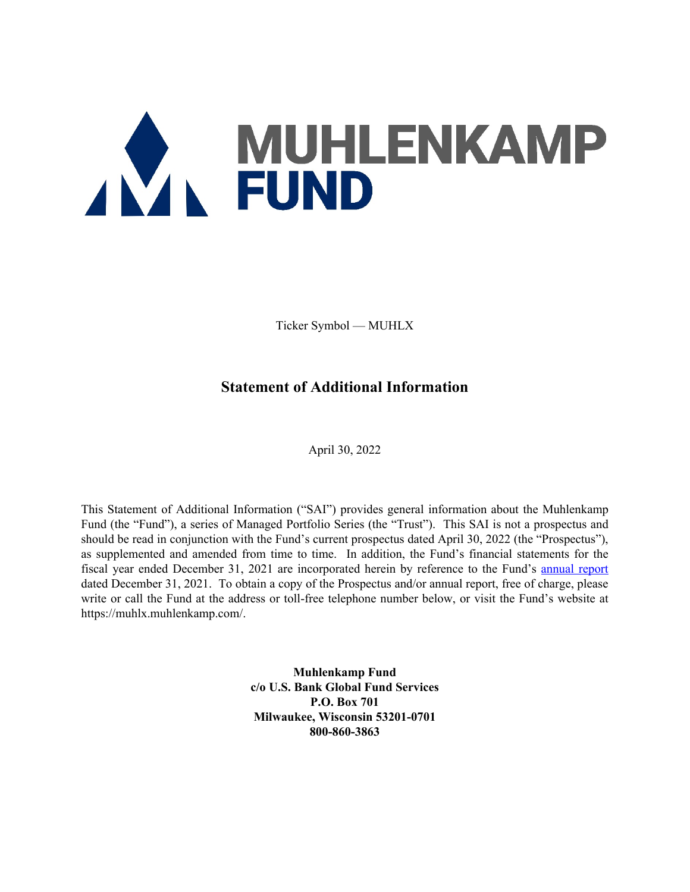# AVA MUHLENKAMP

Ticker Symbol — MUHLX

# **Statement of Additional Information**

April 30, 2022

This Statement of Additional Information ("SAI") provides general information about the Muhlenkamp Fund (the "Fund"), a series of Managed Portfolio Series (the "Trust"). This SAI is not a prospectus and should be read in conjunction with the Fund's current prospectus dated April 30, 2022 (the "Prospectus"), as supplemented and amended from time to time. In addition, the Fund's financial statements for the fiscal year ended December 31, 2021 are incorporated herein by reference to the Fund's annual report dated December 31, 2021. To obtain a copy of the Prospectus and/or annual report, free of charge, please write or call the Fund at the address or toll-free telephone number below, or visit the Fund's website at https://muhlx.muhlenkamp.com/.

> **Muhlenkamp Fund c/o U.S. Bank Global Fund Services P.O. Box 701 Milwaukee, Wisconsin 53201-0701 800-860-3863**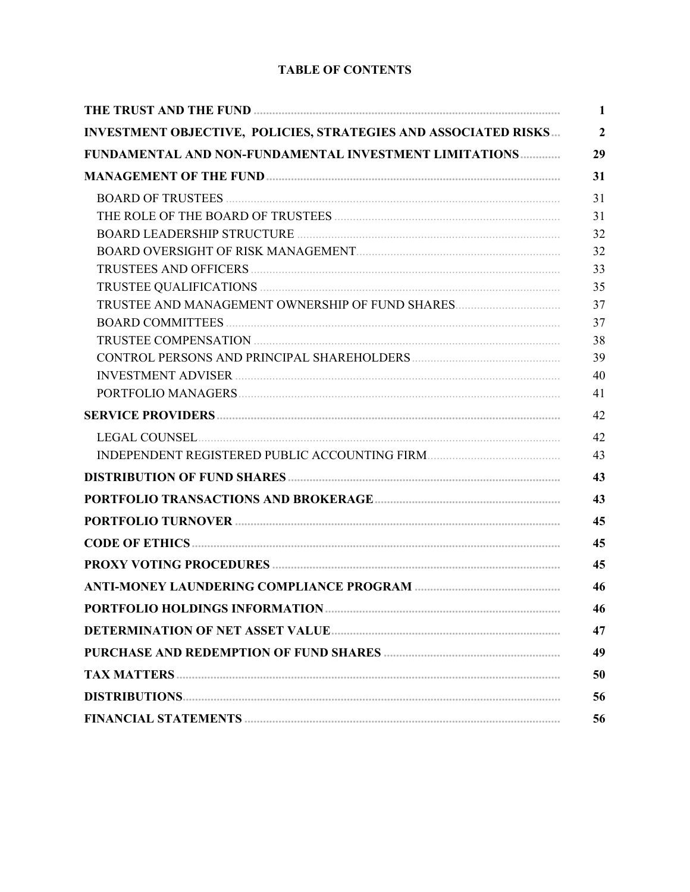# **TABLE OF CONTENTS**

|                                                                                                                                                                                                                                | $\mathbf{1}$   |
|--------------------------------------------------------------------------------------------------------------------------------------------------------------------------------------------------------------------------------|----------------|
| INVESTMENT OBJECTIVE, POLICIES, STRATEGIES AND ASSOCIATED RISKS                                                                                                                                                                | $\overline{2}$ |
| FUNDAMENTAL AND NON-FUNDAMENTAL INVESTMENT LIMITATIONS                                                                                                                                                                         | 29             |
|                                                                                                                                                                                                                                | 31             |
|                                                                                                                                                                                                                                | 31             |
|                                                                                                                                                                                                                                | 31             |
|                                                                                                                                                                                                                                | 32             |
|                                                                                                                                                                                                                                | 32             |
|                                                                                                                                                                                                                                | 33             |
|                                                                                                                                                                                                                                | 35             |
| TRUSTEE AND MANAGEMENT OWNERSHIP OF FUND SHARES                                                                                                                                                                                | 37             |
|                                                                                                                                                                                                                                | 37             |
|                                                                                                                                                                                                                                | 38             |
|                                                                                                                                                                                                                                | 39             |
| INVESTMENT ADVISER MARIE AND STATE AND STATE AND STATE AND STATE AND STATE AND STATE AND STATE AND STATE AND STATE AND STATE AND STATE AND STATE AND STATE AND STATE AND STATE AND STATE AND STATE AND STATE AND STATE AND STA | 40             |
|                                                                                                                                                                                                                                | 41             |
|                                                                                                                                                                                                                                | 42             |
| LEGAL COUNSEL EXECUTIVE COUNSEL AND THE SERIES OF THE SERIES OF THE SERIES OF THE SERIES OF THE SERIES OF THE SERIES OF THE SERIES OF THE SERIES OF THE SERIES OF THE SERIES OF THE SERIES OF THE SERIES OF THE SERIES OF THE  | 42             |
| INDEPENDENT REGISTERED PUBLIC ACCOUNTING FIRM                                                                                                                                                                                  | 43             |
|                                                                                                                                                                                                                                | 43             |
|                                                                                                                                                                                                                                | 43             |
|                                                                                                                                                                                                                                | 45             |
|                                                                                                                                                                                                                                | 45             |
|                                                                                                                                                                                                                                | 45             |
|                                                                                                                                                                                                                                | 46             |
|                                                                                                                                                                                                                                | 46             |
|                                                                                                                                                                                                                                | 47             |
|                                                                                                                                                                                                                                | 49             |
|                                                                                                                                                                                                                                | 50             |
|                                                                                                                                                                                                                                | 56             |
|                                                                                                                                                                                                                                | 56             |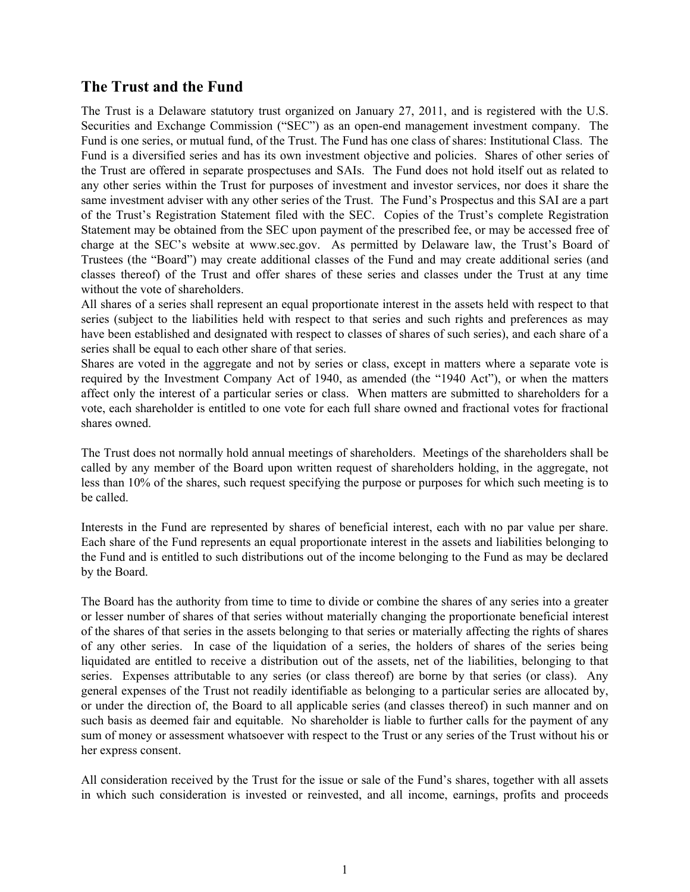# **The Trust and the Fund**

The Trust is a Delaware statutory trust organized on January 27, 2011, and is registered with the U.S. Securities and Exchange Commission ("SEC") as an open-end management investment company. The Fund is one series, or mutual fund, of the Trust. The Fund has one class of shares: Institutional Class. The Fund is a diversified series and has its own investment objective and policies. Shares of other series of the Trust are offered in separate prospectuses and SAIs. The Fund does not hold itself out as related to any other series within the Trust for purposes of investment and investor services, nor does it share the same investment adviser with any other series of the Trust. The Fund's Prospectus and this SAI are a part of the Trust's Registration Statement filed with the SEC. Copies of the Trust's complete Registration Statement may be obtained from the SEC upon payment of the prescribed fee, or may be accessed free of charge at the SEC's website at www.sec.gov. As permitted by Delaware law, the Trust's Board of Trustees (the "Board") may create additional classes of the Fund and may create additional series (and classes thereof) of the Trust and offer shares of these series and classes under the Trust at any time without the vote of shareholders.

All shares of a series shall represent an equal proportionate interest in the assets held with respect to that series (subject to the liabilities held with respect to that series and such rights and preferences as may have been established and designated with respect to classes of shares of such series), and each share of a series shall be equal to each other share of that series.

Shares are voted in the aggregate and not by series or class, except in matters where a separate vote is required by the Investment Company Act of 1940, as amended (the "1940 Act"), or when the matters affect only the interest of a particular series or class. When matters are submitted to shareholders for a vote, each shareholder is entitled to one vote for each full share owned and fractional votes for fractional shares owned.

The Trust does not normally hold annual meetings of shareholders. Meetings of the shareholders shall be called by any member of the Board upon written request of shareholders holding, in the aggregate, not less than 10% of the shares, such request specifying the purpose or purposes for which such meeting is to be called.

Interests in the Fund are represented by shares of beneficial interest, each with no par value per share. Each share of the Fund represents an equal proportionate interest in the assets and liabilities belonging to the Fund and is entitled to such distributions out of the income belonging to the Fund as may be declared by the Board.

The Board has the authority from time to time to divide or combine the shares of any series into a greater or lesser number of shares of that series without materially changing the proportionate beneficial interest of the shares of that series in the assets belonging to that series or materially affecting the rights of shares of any other series. In case of the liquidation of a series, the holders of shares of the series being liquidated are entitled to receive a distribution out of the assets, net of the liabilities, belonging to that series. Expenses attributable to any series (or class thereof) are borne by that series (or class). Any general expenses of the Trust not readily identifiable as belonging to a particular series are allocated by, or under the direction of, the Board to all applicable series (and classes thereof) in such manner and on such basis as deemed fair and equitable. No shareholder is liable to further calls for the payment of any sum of money or assessment whatsoever with respect to the Trust or any series of the Trust without his or her express consent.

All consideration received by the Trust for the issue or sale of the Fund's shares, together with all assets in which such consideration is invested or reinvested, and all income, earnings, profits and proceeds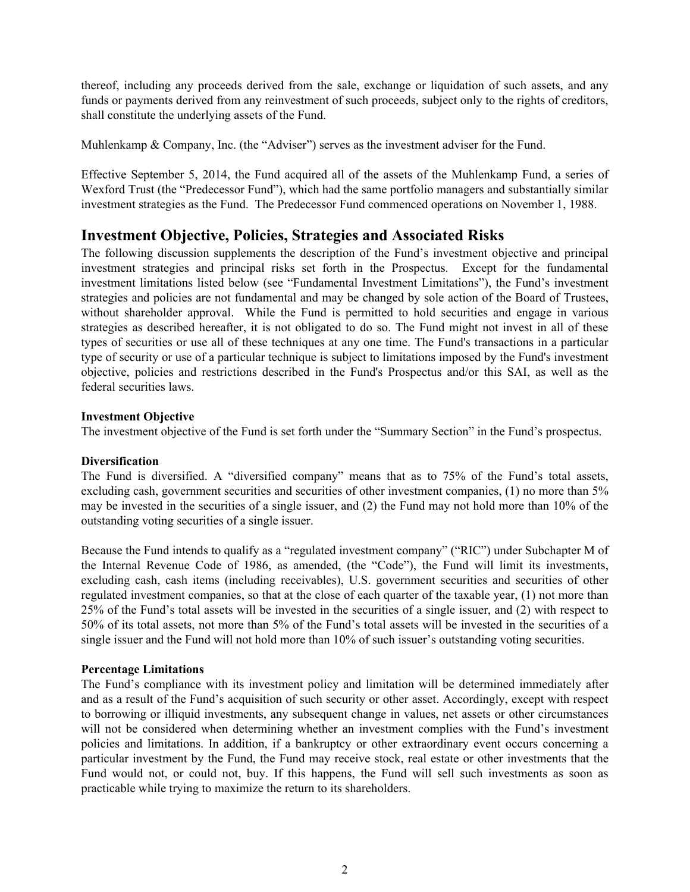thereof, including any proceeds derived from the sale, exchange or liquidation of such assets, and any funds or payments derived from any reinvestment of such proceeds, subject only to the rights of creditors, shall constitute the underlying assets of the Fund.

Muhlenkamp & Company, Inc. (the "Adviser") serves as the investment adviser for the Fund.

Effective September 5, 2014, the Fund acquired all of the assets of the Muhlenkamp Fund, a series of Wexford Trust (the "Predecessor Fund"), which had the same portfolio managers and substantially similar investment strategies as the Fund. The Predecessor Fund commenced operations on November 1, 1988.

# **Investment Objective, Policies, Strategies and Associated Risks**

The following discussion supplements the description of the Fund's investment objective and principal investment strategies and principal risks set forth in the Prospectus. Except for the fundamental investment limitations listed below (see "Fundamental Investment Limitations"), the Fund's investment strategies and policies are not fundamental and may be changed by sole action of the Board of Trustees, without shareholder approval. While the Fund is permitted to hold securities and engage in various strategies as described hereafter, it is not obligated to do so. The Fund might not invest in all of these types of securities or use all of these techniques at any one time. The Fund's transactions in a particular type of security or use of a particular technique is subject to limitations imposed by the Fund's investment objective, policies and restrictions described in the Fund's Prospectus and/or this SAI, as well as the federal securities laws.

# **Investment Objective**

The investment objective of the Fund is set forth under the "Summary Section" in the Fund's prospectus.

# **Diversification**

The Fund is diversified. A "diversified company" means that as to 75% of the Fund's total assets, excluding cash, government securities and securities of other investment companies, (1) no more than 5% may be invested in the securities of a single issuer, and (2) the Fund may not hold more than 10% of the outstanding voting securities of a single issuer.

Because the Fund intends to qualify as a "regulated investment company" ("RIC") under Subchapter M of the Internal Revenue Code of 1986, as amended, (the "Code"), the Fund will limit its investments, excluding cash, cash items (including receivables), U.S. government securities and securities of other regulated investment companies, so that at the close of each quarter of the taxable year, (1) not more than 25% of the Fund's total assets will be invested in the securities of a single issuer, and (2) with respect to 50% of its total assets, not more than 5% of the Fund's total assets will be invested in the securities of a single issuer and the Fund will not hold more than 10% of such issuer's outstanding voting securities.

# **Percentage Limitations**

The Fund's compliance with its investment policy and limitation will be determined immediately after and as a result of the Fund's acquisition of such security or other asset. Accordingly, except with respect to borrowing or illiquid investments, any subsequent change in values, net assets or other circumstances will not be considered when determining whether an investment complies with the Fund's investment policies and limitations. In addition, if a bankruptcy or other extraordinary event occurs concerning a particular investment by the Fund, the Fund may receive stock, real estate or other investments that the Fund would not, or could not, buy. If this happens, the Fund will sell such investments as soon as practicable while trying to maximize the return to its shareholders.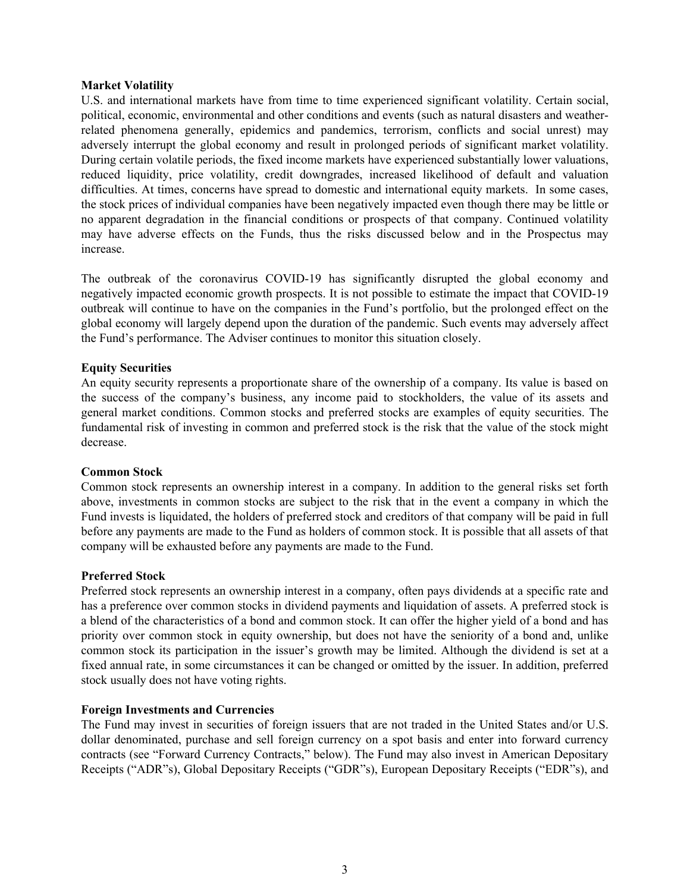#### **Market Volatility**

U.S. and international markets have from time to time experienced significant volatility. Certain social, political, economic, environmental and other conditions and events (such as natural disasters and weatherrelated phenomena generally, epidemics and pandemics, terrorism, conflicts and social unrest) may adversely interrupt the global economy and result in prolonged periods of significant market volatility. During certain volatile periods, the fixed income markets have experienced substantially lower valuations, reduced liquidity, price volatility, credit downgrades, increased likelihood of default and valuation difficulties. At times, concerns have spread to domestic and international equity markets. In some cases, the stock prices of individual companies have been negatively impacted even though there may be little or no apparent degradation in the financial conditions or prospects of that company. Continued volatility may have adverse effects on the Funds, thus the risks discussed below and in the Prospectus may increase.

The outbreak of the coronavirus COVID-19 has significantly disrupted the global economy and negatively impacted economic growth prospects. It is not possible to estimate the impact that COVID-19 outbreak will continue to have on the companies in the Fund's portfolio, but the prolonged effect on the global economy will largely depend upon the duration of the pandemic. Such events may adversely affect the Fund's performance. The Adviser continues to monitor this situation closely.

# **Equity Securities**

An equity security represents a proportionate share of the ownership of a company. Its value is based on the success of the company's business, any income paid to stockholders, the value of its assets and general market conditions. Common stocks and preferred stocks are examples of equity securities. The fundamental risk of investing in common and preferred stock is the risk that the value of the stock might decrease.

#### **Common Stock**

Common stock represents an ownership interest in a company. In addition to the general risks set forth above, investments in common stocks are subject to the risk that in the event a company in which the Fund invests is liquidated, the holders of preferred stock and creditors of that company will be paid in full before any payments are made to the Fund as holders of common stock. It is possible that all assets of that company will be exhausted before any payments are made to the Fund.

# **Preferred Stock**

Preferred stock represents an ownership interest in a company, often pays dividends at a specific rate and has a preference over common stocks in dividend payments and liquidation of assets. A preferred stock is a blend of the characteristics of a bond and common stock. It can offer the higher yield of a bond and has priority over common stock in equity ownership, but does not have the seniority of a bond and, unlike common stock its participation in the issuer's growth may be limited. Although the dividend is set at a fixed annual rate, in some circumstances it can be changed or omitted by the issuer. In addition, preferred stock usually does not have voting rights.

# **Foreign Investments and Currencies**

The Fund may invest in securities of foreign issuers that are not traded in the United States and/or U.S. dollar denominated, purchase and sell foreign currency on a spot basis and enter into forward currency contracts (see "Forward Currency Contracts," below). The Fund may also invest in American Depositary Receipts ("ADR"s), Global Depositary Receipts ("GDR"s), European Depositary Receipts ("EDR"s), and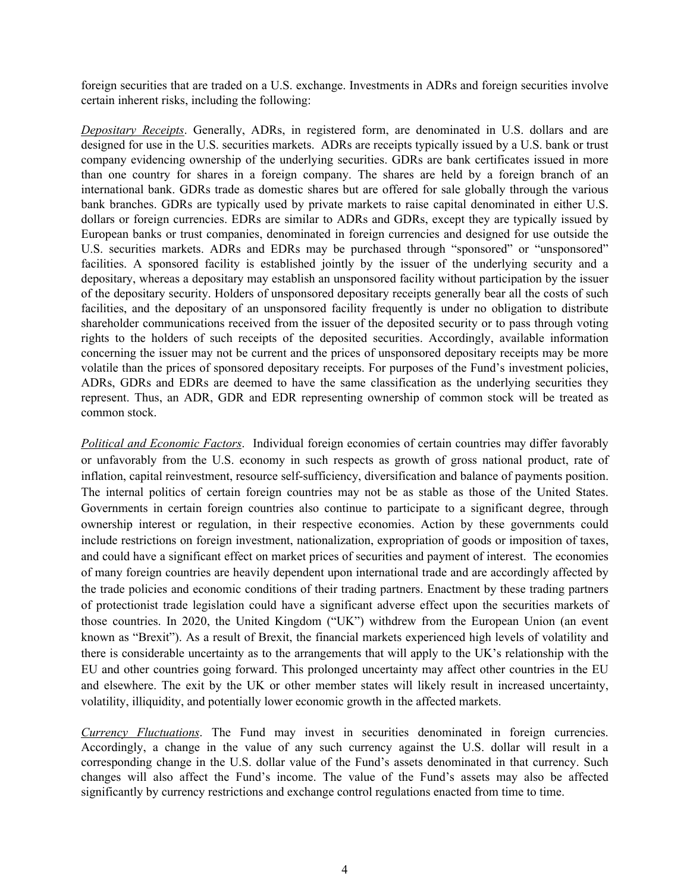foreign securities that are traded on a U.S. exchange. Investments in ADRs and foreign securities involve certain inherent risks, including the following:

*Depositary Receipts*. Generally, ADRs, in registered form, are denominated in U.S. dollars and are designed for use in the U.S. securities markets. ADRs are receipts typically issued by a U.S. bank or trust company evidencing ownership of the underlying securities. GDRs are bank certificates issued in more than one country for shares in a foreign company. The shares are held by a foreign branch of an international bank. GDRs trade as domestic shares but are offered for sale globally through the various bank branches. GDRs are typically used by private markets to raise capital denominated in either U.S. dollars or foreign currencies. EDRs are similar to ADRs and GDRs, except they are typically issued by European banks or trust companies, denominated in foreign currencies and designed for use outside the U.S. securities markets. ADRs and EDRs may be purchased through "sponsored" or "unsponsored" facilities. A sponsored facility is established jointly by the issuer of the underlying security and a depositary, whereas a depositary may establish an unsponsored facility without participation by the issuer of the depositary security. Holders of unsponsored depositary receipts generally bear all the costs of such facilities, and the depositary of an unsponsored facility frequently is under no obligation to distribute shareholder communications received from the issuer of the deposited security or to pass through voting rights to the holders of such receipts of the deposited securities. Accordingly, available information concerning the issuer may not be current and the prices of unsponsored depositary receipts may be more volatile than the prices of sponsored depositary receipts. For purposes of the Fund's investment policies, ADRs, GDRs and EDRs are deemed to have the same classification as the underlying securities they represent. Thus, an ADR, GDR and EDR representing ownership of common stock will be treated as common stock.

*Political and Economic Factors*. Individual foreign economies of certain countries may differ favorably or unfavorably from the U.S. economy in such respects as growth of gross national product, rate of inflation, capital reinvestment, resource self-sufficiency, diversification and balance of payments position. The internal politics of certain foreign countries may not be as stable as those of the United States. Governments in certain foreign countries also continue to participate to a significant degree, through ownership interest or regulation, in their respective economies. Action by these governments could include restrictions on foreign investment, nationalization, expropriation of goods or imposition of taxes, and could have a significant effect on market prices of securities and payment of interest. The economies of many foreign countries are heavily dependent upon international trade and are accordingly affected by the trade policies and economic conditions of their trading partners. Enactment by these trading partners of protectionist trade legislation could have a significant adverse effect upon the securities markets of those countries. In 2020, the United Kingdom ("UK") withdrew from the European Union (an event known as "Brexit"). As a result of Brexit, the financial markets experienced high levels of volatility and there is considerable uncertainty as to the arrangements that will apply to the UK's relationship with the EU and other countries going forward. This prolonged uncertainty may affect other countries in the EU and elsewhere. The exit by the UK or other member states will likely result in increased uncertainty, volatility, illiquidity, and potentially lower economic growth in the affected markets.

*Currency Fluctuations*. The Fund may invest in securities denominated in foreign currencies. Accordingly, a change in the value of any such currency against the U.S. dollar will result in a corresponding change in the U.S. dollar value of the Fund's assets denominated in that currency. Such changes will also affect the Fund's income. The value of the Fund's assets may also be affected significantly by currency restrictions and exchange control regulations enacted from time to time.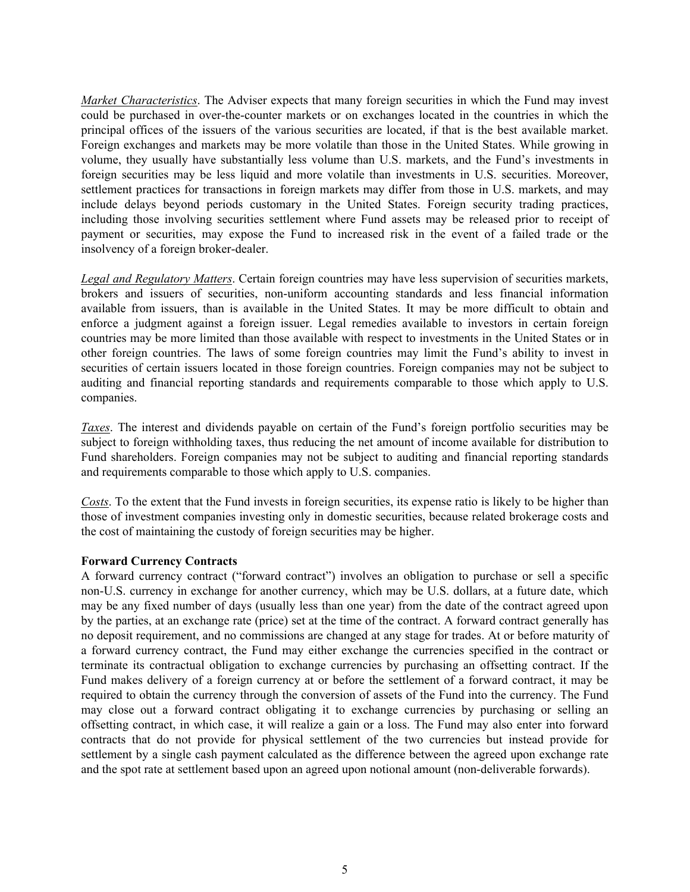*Market Characteristics*. The Adviser expects that many foreign securities in which the Fund may invest could be purchased in over-the-counter markets or on exchanges located in the countries in which the principal offices of the issuers of the various securities are located, if that is the best available market. Foreign exchanges and markets may be more volatile than those in the United States. While growing in volume, they usually have substantially less volume than U.S. markets, and the Fund's investments in foreign securities may be less liquid and more volatile than investments in U.S. securities. Moreover, settlement practices for transactions in foreign markets may differ from those in U.S. markets, and may include delays beyond periods customary in the United States. Foreign security trading practices, including those involving securities settlement where Fund assets may be released prior to receipt of payment or securities, may expose the Fund to increased risk in the event of a failed trade or the insolvency of a foreign broker-dealer.

*Legal and Regulatory Matters*. Certain foreign countries may have less supervision of securities markets, brokers and issuers of securities, non-uniform accounting standards and less financial information available from issuers, than is available in the United States. It may be more difficult to obtain and enforce a judgment against a foreign issuer. Legal remedies available to investors in certain foreign countries may be more limited than those available with respect to investments in the United States or in other foreign countries. The laws of some foreign countries may limit the Fund's ability to invest in securities of certain issuers located in those foreign countries. Foreign companies may not be subject to auditing and financial reporting standards and requirements comparable to those which apply to U.S. companies.

*Taxes*. The interest and dividends payable on certain of the Fund's foreign portfolio securities may be subject to foreign withholding taxes, thus reducing the net amount of income available for distribution to Fund shareholders. Foreign companies may not be subject to auditing and financial reporting standards and requirements comparable to those which apply to U.S. companies.

*Costs*. To the extent that the Fund invests in foreign securities, its expense ratio is likely to be higher than those of investment companies investing only in domestic securities, because related brokerage costs and the cost of maintaining the custody of foreign securities may be higher.

# **Forward Currency Contracts**

A forward currency contract ("forward contract") involves an obligation to purchase or sell a specific non-U.S. currency in exchange for another currency, which may be U.S. dollars, at a future date, which may be any fixed number of days (usually less than one year) from the date of the contract agreed upon by the parties, at an exchange rate (price) set at the time of the contract. A forward contract generally has no deposit requirement, and no commissions are changed at any stage for trades. At or before maturity of a forward currency contract, the Fund may either exchange the currencies specified in the contract or terminate its contractual obligation to exchange currencies by purchasing an offsetting contract. If the Fund makes delivery of a foreign currency at or before the settlement of a forward contract, it may be required to obtain the currency through the conversion of assets of the Fund into the currency. The Fund may close out a forward contract obligating it to exchange currencies by purchasing or selling an offsetting contract, in which case, it will realize a gain or a loss. The Fund may also enter into forward contracts that do not provide for physical settlement of the two currencies but instead provide for settlement by a single cash payment calculated as the difference between the agreed upon exchange rate and the spot rate at settlement based upon an agreed upon notional amount (non-deliverable forwards).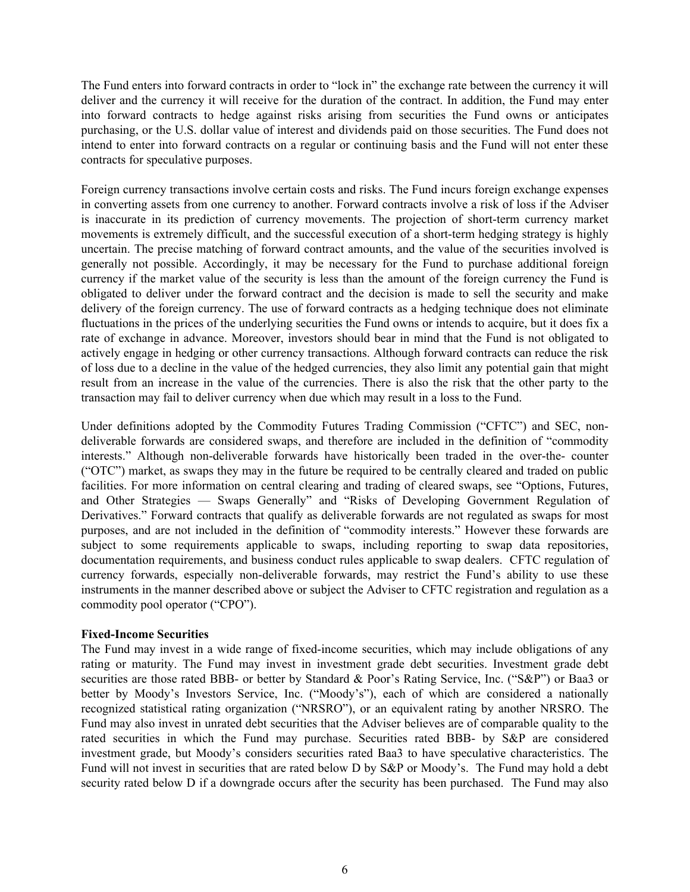The Fund enters into forward contracts in order to "lock in" the exchange rate between the currency it will deliver and the currency it will receive for the duration of the contract. In addition, the Fund may enter into forward contracts to hedge against risks arising from securities the Fund owns or anticipates purchasing, or the U.S. dollar value of interest and dividends paid on those securities. The Fund does not intend to enter into forward contracts on a regular or continuing basis and the Fund will not enter these contracts for speculative purposes.

Foreign currency transactions involve certain costs and risks. The Fund incurs foreign exchange expenses in converting assets from one currency to another. Forward contracts involve a risk of loss if the Adviser is inaccurate in its prediction of currency movements. The projection of short-term currency market movements is extremely difficult, and the successful execution of a short-term hedging strategy is highly uncertain. The precise matching of forward contract amounts, and the value of the securities involved is generally not possible. Accordingly, it may be necessary for the Fund to purchase additional foreign currency if the market value of the security is less than the amount of the foreign currency the Fund is obligated to deliver under the forward contract and the decision is made to sell the security and make delivery of the foreign currency. The use of forward contracts as a hedging technique does not eliminate fluctuations in the prices of the underlying securities the Fund owns or intends to acquire, but it does fix a rate of exchange in advance. Moreover, investors should bear in mind that the Fund is not obligated to actively engage in hedging or other currency transactions. Although forward contracts can reduce the risk of loss due to a decline in the value of the hedged currencies, they also limit any potential gain that might result from an increase in the value of the currencies. There is also the risk that the other party to the transaction may fail to deliver currency when due which may result in a loss to the Fund.

Under definitions adopted by the Commodity Futures Trading Commission ("CFTC") and SEC, nondeliverable forwards are considered swaps, and therefore are included in the definition of "commodity interests." Although non-deliverable forwards have historically been traded in the over-the- counter ("OTC") market, as swaps they may in the future be required to be centrally cleared and traded on public facilities. For more information on central clearing and trading of cleared swaps, see "Options, Futures, and Other Strategies — Swaps Generally" and "Risks of Developing Government Regulation of Derivatives." Forward contracts that qualify as deliverable forwards are not regulated as swaps for most purposes, and are not included in the definition of "commodity interests." However these forwards are subject to some requirements applicable to swaps, including reporting to swap data repositories, documentation requirements, and business conduct rules applicable to swap dealers. CFTC regulation of currency forwards, especially non-deliverable forwards, may restrict the Fund's ability to use these instruments in the manner described above or subject the Adviser to CFTC registration and regulation as a commodity pool operator ("CPO").

# **Fixed-Income Securities**

The Fund may invest in a wide range of fixed-income securities, which may include obligations of any rating or maturity. The Fund may invest in investment grade debt securities. Investment grade debt securities are those rated BBB- or better by Standard & Poor's Rating Service, Inc. ("S&P") or Baa3 or better by Moody's Investors Service, Inc. ("Moody's"), each of which are considered a nationally recognized statistical rating organization ("NRSRO"), or an equivalent rating by another NRSRO. The Fund may also invest in unrated debt securities that the Adviser believes are of comparable quality to the rated securities in which the Fund may purchase. Securities rated BBB- by S&P are considered investment grade, but Moody's considers securities rated Baa3 to have speculative characteristics. The Fund will not invest in securities that are rated below D by S&P or Moody's. The Fund may hold a debt security rated below D if a downgrade occurs after the security has been purchased. The Fund may also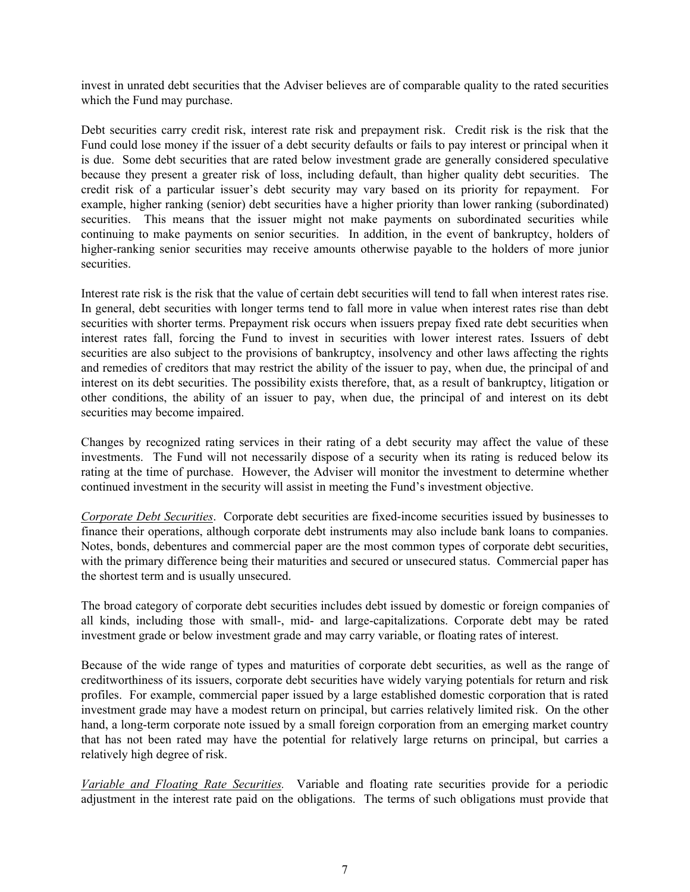invest in unrated debt securities that the Adviser believes are of comparable quality to the rated securities which the Fund may purchase.

Debt securities carry credit risk, interest rate risk and prepayment risk. Credit risk is the risk that the Fund could lose money if the issuer of a debt security defaults or fails to pay interest or principal when it is due. Some debt securities that are rated below investment grade are generally considered speculative because they present a greater risk of loss, including default, than higher quality debt securities. The credit risk of a particular issuer's debt security may vary based on its priority for repayment. For example, higher ranking (senior) debt securities have a higher priority than lower ranking (subordinated) securities. This means that the issuer might not make payments on subordinated securities while continuing to make payments on senior securities. In addition, in the event of bankruptcy, holders of higher-ranking senior securities may receive amounts otherwise payable to the holders of more junior securities.

Interest rate risk is the risk that the value of certain debt securities will tend to fall when interest rates rise. In general, debt securities with longer terms tend to fall more in value when interest rates rise than debt securities with shorter terms. Prepayment risk occurs when issuers prepay fixed rate debt securities when interest rates fall, forcing the Fund to invest in securities with lower interest rates. Issuers of debt securities are also subject to the provisions of bankruptcy, insolvency and other laws affecting the rights and remedies of creditors that may restrict the ability of the issuer to pay, when due, the principal of and interest on its debt securities. The possibility exists therefore, that, as a result of bankruptcy, litigation or other conditions, the ability of an issuer to pay, when due, the principal of and interest on its debt securities may become impaired.

Changes by recognized rating services in their rating of a debt security may affect the value of these investments. The Fund will not necessarily dispose of a security when its rating is reduced below its rating at the time of purchase. However, the Adviser will monitor the investment to determine whether continued investment in the security will assist in meeting the Fund's investment objective.

*Corporate Debt Securities*. Corporate debt securities are fixed-income securities issued by businesses to finance their operations, although corporate debt instruments may also include bank loans to companies. Notes, bonds, debentures and commercial paper are the most common types of corporate debt securities, with the primary difference being their maturities and secured or unsecured status. Commercial paper has the shortest term and is usually unsecured.

The broad category of corporate debt securities includes debt issued by domestic or foreign companies of all kinds, including those with small-, mid- and large-capitalizations. Corporate debt may be rated investment grade or below investment grade and may carry variable, or floating rates of interest.

Because of the wide range of types and maturities of corporate debt securities, as well as the range of creditworthiness of its issuers, corporate debt securities have widely varying potentials for return and risk profiles. For example, commercial paper issued by a large established domestic corporation that is rated investment grade may have a modest return on principal, but carries relatively limited risk. On the other hand, a long-term corporate note issued by a small foreign corporation from an emerging market country that has not been rated may have the potential for relatively large returns on principal, but carries a relatively high degree of risk.

*Variable and Floating Rate Securities.* Variable and floating rate securities provide for a periodic adjustment in the interest rate paid on the obligations. The terms of such obligations must provide that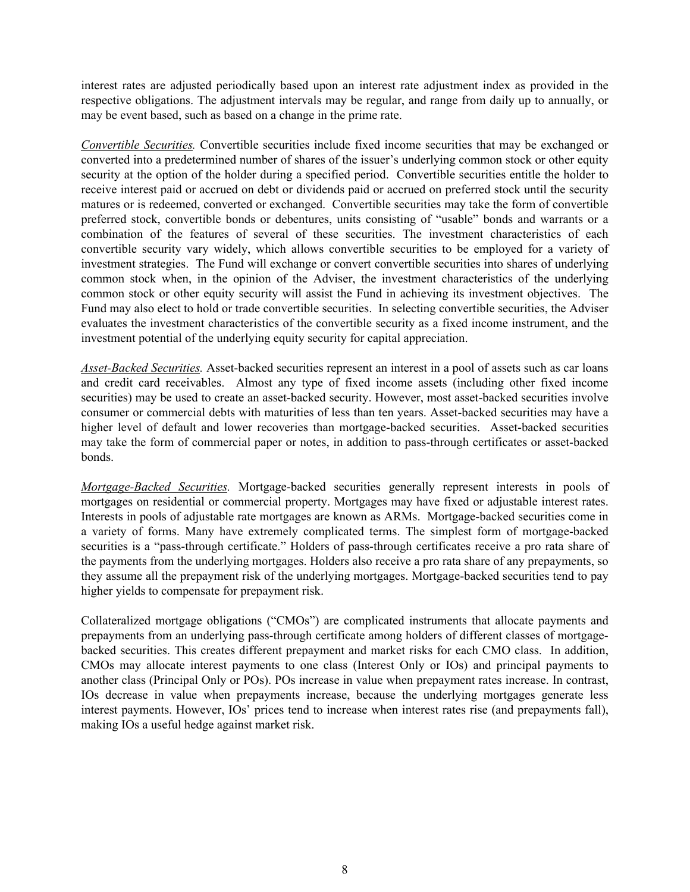interest rates are adjusted periodically based upon an interest rate adjustment index as provided in the respective obligations. The adjustment intervals may be regular, and range from daily up to annually, or may be event based, such as based on a change in the prime rate.

*Convertible Securities.* Convertible securities include fixed income securities that may be exchanged or converted into a predetermined number of shares of the issuer's underlying common stock or other equity security at the option of the holder during a specified period. Convertible securities entitle the holder to receive interest paid or accrued on debt or dividends paid or accrued on preferred stock until the security matures or is redeemed, converted or exchanged. Convertible securities may take the form of convertible preferred stock, convertible bonds or debentures, units consisting of "usable" bonds and warrants or a combination of the features of several of these securities. The investment characteristics of each convertible security vary widely, which allows convertible securities to be employed for a variety of investment strategies. The Fund will exchange or convert convertible securities into shares of underlying common stock when, in the opinion of the Adviser, the investment characteristics of the underlying common stock or other equity security will assist the Fund in achieving its investment objectives. The Fund may also elect to hold or trade convertible securities. In selecting convertible securities, the Adviser evaluates the investment characteristics of the convertible security as a fixed income instrument, and the investment potential of the underlying equity security for capital appreciation.

*Asset-Backed Securities.* Asset-backed securities represent an interest in a pool of assets such as car loans and credit card receivables. Almost any type of fixed income assets (including other fixed income securities) may be used to create an asset-backed security. However, most asset-backed securities involve consumer or commercial debts with maturities of less than ten years. Asset-backed securities may have a higher level of default and lower recoveries than mortgage-backed securities. Asset-backed securities may take the form of commercial paper or notes, in addition to pass-through certificates or asset-backed bonds.

*Mortgage-Backed Securities.* Mortgage-backed securities generally represent interests in pools of mortgages on residential or commercial property. Mortgages may have fixed or adjustable interest rates. Interests in pools of adjustable rate mortgages are known as ARMs. Mortgage-backed securities come in a variety of forms. Many have extremely complicated terms. The simplest form of mortgage-backed securities is a "pass-through certificate." Holders of pass-through certificates receive a pro rata share of the payments from the underlying mortgages. Holders also receive a pro rata share of any prepayments, so they assume all the prepayment risk of the underlying mortgages. Mortgage-backed securities tend to pay higher yields to compensate for prepayment risk.

Collateralized mortgage obligations ("CMOs") are complicated instruments that allocate payments and prepayments from an underlying pass-through certificate among holders of different classes of mortgagebacked securities. This creates different prepayment and market risks for each CMO class. In addition, CMOs may allocate interest payments to one class (Interest Only or IOs) and principal payments to another class (Principal Only or POs). POs increase in value when prepayment rates increase. In contrast, IOs decrease in value when prepayments increase, because the underlying mortgages generate less interest payments. However, IOs' prices tend to increase when interest rates rise (and prepayments fall), making IOs a useful hedge against market risk.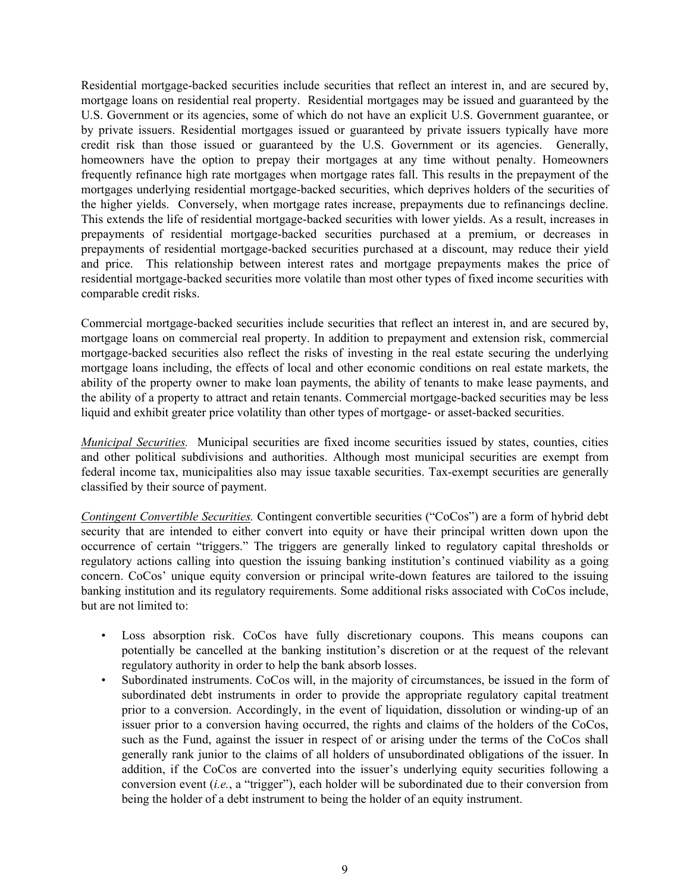Residential mortgage-backed securities include securities that reflect an interest in, and are secured by, mortgage loans on residential real property. Residential mortgages may be issued and guaranteed by the U.S. Government or its agencies, some of which do not have an explicit U.S. Government guarantee, or by private issuers. Residential mortgages issued or guaranteed by private issuers typically have more credit risk than those issued or guaranteed by the U.S. Government or its agencies. Generally, homeowners have the option to prepay their mortgages at any time without penalty. Homeowners frequently refinance high rate mortgages when mortgage rates fall. This results in the prepayment of the mortgages underlying residential mortgage-backed securities, which deprives holders of the securities of the higher yields. Conversely, when mortgage rates increase, prepayments due to refinancings decline. This extends the life of residential mortgage-backed securities with lower yields. As a result, increases in prepayments of residential mortgage-backed securities purchased at a premium, or decreases in prepayments of residential mortgage-backed securities purchased at a discount, may reduce their yield and price. This relationship between interest rates and mortgage prepayments makes the price of residential mortgage-backed securities more volatile than most other types of fixed income securities with comparable credit risks.

Commercial mortgage-backed securities include securities that reflect an interest in, and are secured by, mortgage loans on commercial real property. In addition to prepayment and extension risk, commercial mortgage-backed securities also reflect the risks of investing in the real estate securing the underlying mortgage loans including, the effects of local and other economic conditions on real estate markets, the ability of the property owner to make loan payments, the ability of tenants to make lease payments, and the ability of a property to attract and retain tenants. Commercial mortgage-backed securities may be less liquid and exhibit greater price volatility than other types of mortgage- or asset-backed securities.

*Municipal Securities.* Municipal securities are fixed income securities issued by states, counties, cities and other political subdivisions and authorities. Although most municipal securities are exempt from federal income tax, municipalities also may issue taxable securities. Tax-exempt securities are generally classified by their source of payment.

*Contingent Convertible Securities.* Contingent convertible securities ("CoCos") are a form of hybrid debt security that are intended to either convert into equity or have their principal written down upon the occurrence of certain "triggers." The triggers are generally linked to regulatory capital thresholds or regulatory actions calling into question the issuing banking institution's continued viability as a going concern. CoCos' unique equity conversion or principal write-down features are tailored to the issuing banking institution and its regulatory requirements. Some additional risks associated with CoCos include, but are not limited to:

- Loss absorption risk. CoCos have fully discretionary coupons. This means coupons can potentially be cancelled at the banking institution's discretion or at the request of the relevant regulatory authority in order to help the bank absorb losses.
- Subordinated instruments. CoCos will, in the majority of circumstances, be issued in the form of subordinated debt instruments in order to provide the appropriate regulatory capital treatment prior to a conversion. Accordingly, in the event of liquidation, dissolution or winding-up of an issuer prior to a conversion having occurred, the rights and claims of the holders of the CoCos, such as the Fund, against the issuer in respect of or arising under the terms of the CoCos shall generally rank junior to the claims of all holders of unsubordinated obligations of the issuer. In addition, if the CoCos are converted into the issuer's underlying equity securities following a conversion event (*i.e.*, a "trigger"), each holder will be subordinated due to their conversion from being the holder of a debt instrument to being the holder of an equity instrument.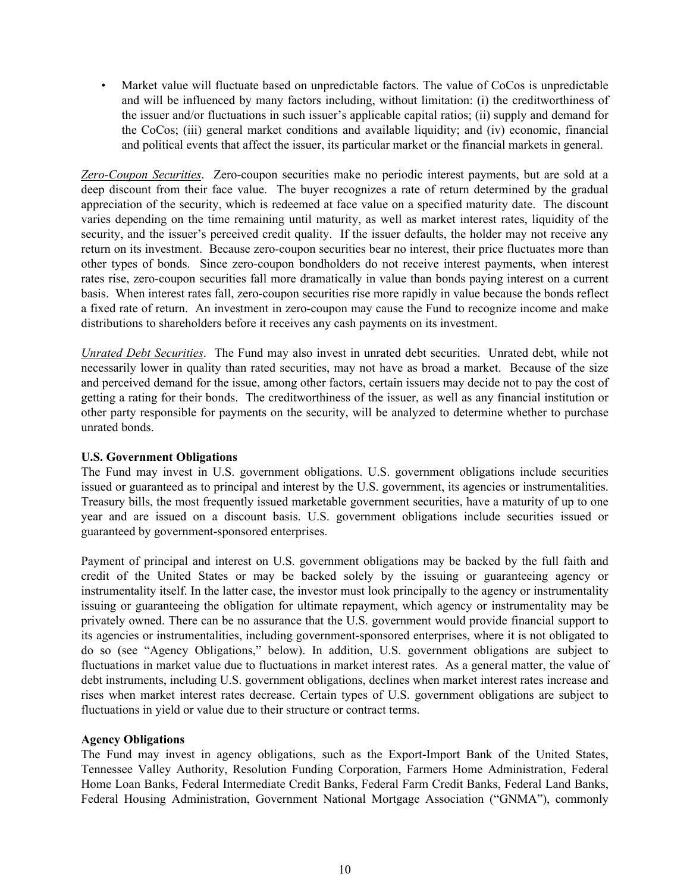• Market value will fluctuate based on unpredictable factors. The value of CoCos is unpredictable and will be influenced by many factors including, without limitation: (i) the creditworthiness of the issuer and/or fluctuations in such issuer's applicable capital ratios; (ii) supply and demand for the CoCos; (iii) general market conditions and available liquidity; and (iv) economic, financial and political events that affect the issuer, its particular market or the financial markets in general.

*Zero-Coupon Securities*. Zero-coupon securities make no periodic interest payments, but are sold at a deep discount from their face value. The buyer recognizes a rate of return determined by the gradual appreciation of the security, which is redeemed at face value on a specified maturity date. The discount varies depending on the time remaining until maturity, as well as market interest rates, liquidity of the security, and the issuer's perceived credit quality. If the issuer defaults, the holder may not receive any return on its investment. Because zero-coupon securities bear no interest, their price fluctuates more than other types of bonds. Since zero-coupon bondholders do not receive interest payments, when interest rates rise, zero-coupon securities fall more dramatically in value than bonds paying interest on a current basis. When interest rates fall, zero-coupon securities rise more rapidly in value because the bonds reflect a fixed rate of return. An investment in zero-coupon may cause the Fund to recognize income and make distributions to shareholders before it receives any cash payments on its investment.

*Unrated Debt Securities*. The Fund may also invest in unrated debt securities. Unrated debt, while not necessarily lower in quality than rated securities, may not have as broad a market. Because of the size and perceived demand for the issue, among other factors, certain issuers may decide not to pay the cost of getting a rating for their bonds. The creditworthiness of the issuer, as well as any financial institution or other party responsible for payments on the security, will be analyzed to determine whether to purchase unrated bonds.

# **U.S. Government Obligations**

The Fund may invest in U.S. government obligations. U.S. government obligations include securities issued or guaranteed as to principal and interest by the U.S. government, its agencies or instrumentalities. Treasury bills, the most frequently issued marketable government securities, have a maturity of up to one year and are issued on a discount basis. U.S. government obligations include securities issued or guaranteed by government-sponsored enterprises.

Payment of principal and interest on U.S. government obligations may be backed by the full faith and credit of the United States or may be backed solely by the issuing or guaranteeing agency or instrumentality itself. In the latter case, the investor must look principally to the agency or instrumentality issuing or guaranteeing the obligation for ultimate repayment, which agency or instrumentality may be privately owned. There can be no assurance that the U.S. government would provide financial support to its agencies or instrumentalities, including government-sponsored enterprises, where it is not obligated to do so (see "Agency Obligations," below). In addition, U.S. government obligations are subject to fluctuations in market value due to fluctuations in market interest rates. As a general matter, the value of debt instruments, including U.S. government obligations, declines when market interest rates increase and rises when market interest rates decrease. Certain types of U.S. government obligations are subject to fluctuations in yield or value due to their structure or contract terms.

# **Agency Obligations**

The Fund may invest in agency obligations, such as the Export-Import Bank of the United States, Tennessee Valley Authority, Resolution Funding Corporation, Farmers Home Administration, Federal Home Loan Banks, Federal Intermediate Credit Banks, Federal Farm Credit Banks, Federal Land Banks, Federal Housing Administration, Government National Mortgage Association ("GNMA"), commonly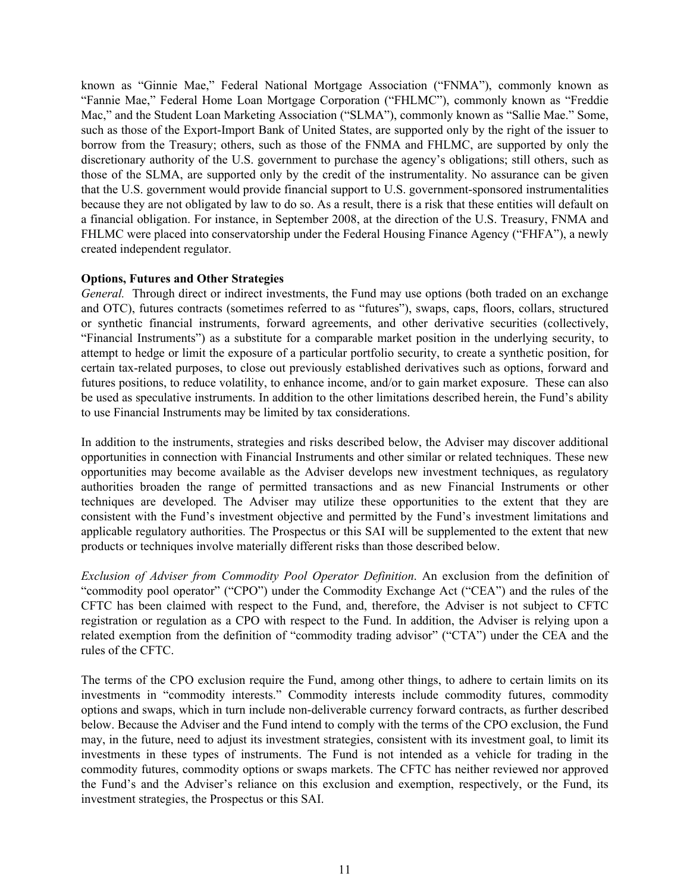known as "Ginnie Mae," Federal National Mortgage Association ("FNMA"), commonly known as "Fannie Mae," Federal Home Loan Mortgage Corporation ("FHLMC"), commonly known as "Freddie Mac," and the Student Loan Marketing Association ("SLMA"), commonly known as "Sallie Mae." Some, such as those of the Export-Import Bank of United States, are supported only by the right of the issuer to borrow from the Treasury; others, such as those of the FNMA and FHLMC, are supported by only the discretionary authority of the U.S. government to purchase the agency's obligations; still others, such as those of the SLMA, are supported only by the credit of the instrumentality. No assurance can be given that the U.S. government would provide financial support to U.S. government-sponsored instrumentalities because they are not obligated by law to do so. As a result, there is a risk that these entities will default on a financial obligation. For instance, in September 2008, at the direction of the U.S. Treasury, FNMA and FHLMC were placed into conservatorship under the Federal Housing Finance Agency ("FHFA"), a newly created independent regulator.

# **Options, Futures and Other Strategies**

*General.* Through direct or indirect investments, the Fund may use options (both traded on an exchange and OTC), futures contracts (sometimes referred to as "futures"), swaps, caps, floors, collars, structured or synthetic financial instruments, forward agreements, and other derivative securities (collectively, "Financial Instruments") as a substitute for a comparable market position in the underlying security, to attempt to hedge or limit the exposure of a particular portfolio security, to create a synthetic position, for certain tax-related purposes, to close out previously established derivatives such as options, forward and futures positions, to reduce volatility, to enhance income, and/or to gain market exposure. These can also be used as speculative instruments. In addition to the other limitations described herein, the Fund's ability to use Financial Instruments may be limited by tax considerations.

In addition to the instruments, strategies and risks described below, the Adviser may discover additional opportunities in connection with Financial Instruments and other similar or related techniques. These new opportunities may become available as the Adviser develops new investment techniques, as regulatory authorities broaden the range of permitted transactions and as new Financial Instruments or other techniques are developed. The Adviser may utilize these opportunities to the extent that they are consistent with the Fund's investment objective and permitted by the Fund's investment limitations and applicable regulatory authorities. The Prospectus or this SAI will be supplemented to the extent that new products or techniques involve materially different risks than those described below.

*Exclusion of Adviser from Commodity Pool Operator Definition*. An exclusion from the definition of "commodity pool operator" ("CPO") under the Commodity Exchange Act ("CEA") and the rules of the CFTC has been claimed with respect to the Fund, and, therefore, the Adviser is not subject to CFTC registration or regulation as a CPO with respect to the Fund. In addition, the Adviser is relying upon a related exemption from the definition of "commodity trading advisor" ("CTA") under the CEA and the rules of the CFTC.

The terms of the CPO exclusion require the Fund, among other things, to adhere to certain limits on its investments in "commodity interests." Commodity interests include commodity futures, commodity options and swaps, which in turn include non-deliverable currency forward contracts, as further described below. Because the Adviser and the Fund intend to comply with the terms of the CPO exclusion, the Fund may, in the future, need to adjust its investment strategies, consistent with its investment goal, to limit its investments in these types of instruments. The Fund is not intended as a vehicle for trading in the commodity futures, commodity options or swaps markets. The CFTC has neither reviewed nor approved the Fund's and the Adviser's reliance on this exclusion and exemption, respectively, or the Fund, its investment strategies, the Prospectus or this SAI.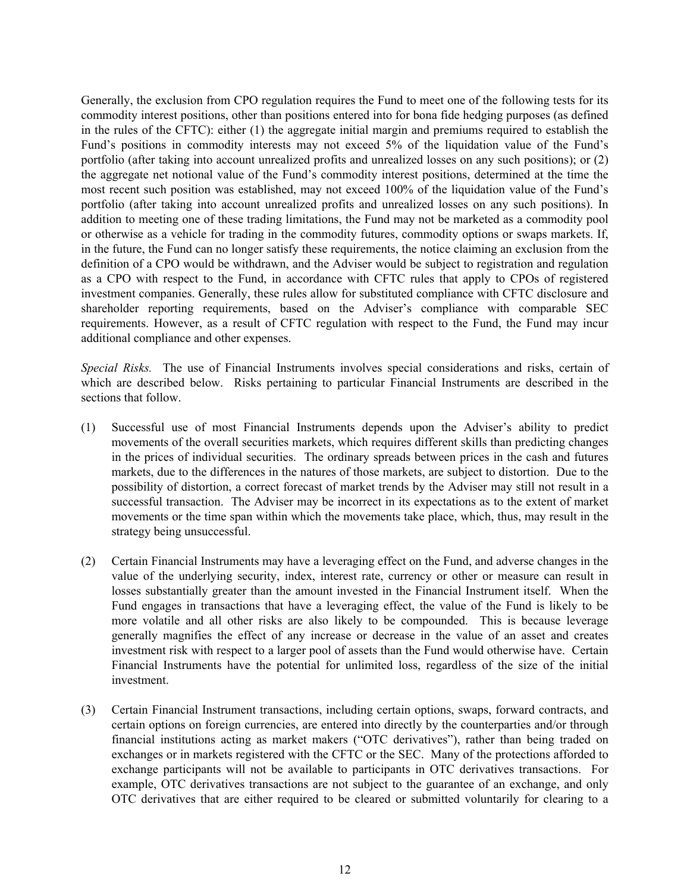Generally, the exclusion from CPO regulation requires the Fund to meet one of the following tests for its commodity interest positions, other than positions entered into for bona fide hedging purposes (as defined in the rules of the CFTC): either (1) the aggregate initial margin and premiums required to establish the Fund's positions in commodity interests may not exceed 5% of the liquidation value of the Fund's portfolio (after taking into account unrealized profits and unrealized losses on any such positions); or (2) the aggregate net notional value of the Fund's commodity interest positions, determined at the time the most recent such position was established, may not exceed 100% of the liquidation value of the Fund's portfolio (after taking into account unrealized profits and unrealized losses on any such positions). In addition to meeting one of these trading limitations, the Fund may not be marketed as a commodity pool or otherwise as a vehicle for trading in the commodity futures, commodity options or swaps markets. If, in the future, the Fund can no longer satisfy these requirements, the notice claiming an exclusion from the definition of a CPO would be withdrawn, and the Adviser would be subject to registration and regulation as a CPO with respect to the Fund, in accordance with CFTC rules that apply to CPOs of registered investment companies. Generally, these rules allow for substituted compliance with CFTC disclosure and shareholder reporting requirements, based on the Adviser's compliance with comparable SEC requirements. However, as a result of CFTC regulation with respect to the Fund, the Fund may incur additional compliance and other expenses.

*Special Risks.* The use of Financial Instruments involves special considerations and risks, certain of which are described below. Risks pertaining to particular Financial Instruments are described in the sections that follow.

- (1) Successful use of most Financial Instruments depends upon the Adviser's ability to predict movements of the overall securities markets, which requires different skills than predicting changes in the prices of individual securities. The ordinary spreads between prices in the cash and futures markets, due to the differences in the natures of those markets, are subject to distortion. Due to the possibility of distortion, a correct forecast of market trends by the Adviser may still not result in a successful transaction. The Adviser may be incorrect in its expectations as to the extent of market movements or the time span within which the movements take place, which, thus, may result in the strategy being unsuccessful.
- (2) Certain Financial Instruments may have a leveraging effect on the Fund, and adverse changes in the value of the underlying security, index, interest rate, currency or other or measure can result in losses substantially greater than the amount invested in the Financial Instrument itself. When the Fund engages in transactions that have a leveraging effect, the value of the Fund is likely to be more volatile and all other risks are also likely to be compounded. This is because leverage generally magnifies the effect of any increase or decrease in the value of an asset and creates investment risk with respect to a larger pool of assets than the Fund would otherwise have. Certain Financial Instruments have the potential for unlimited loss, regardless of the size of the initial investment.
- (3) Certain Financial Instrument transactions, including certain options, swaps, forward contracts, and certain options on foreign currencies, are entered into directly by the counterparties and/or through financial institutions acting as market makers ("OTC derivatives"), rather than being traded on exchanges or in markets registered with the CFTC or the SEC. Many of the protections afforded to exchange participants will not be available to participants in OTC derivatives transactions. For example, OTC derivatives transactions are not subject to the guarantee of an exchange, and only OTC derivatives that are either required to be cleared or submitted voluntarily for clearing to a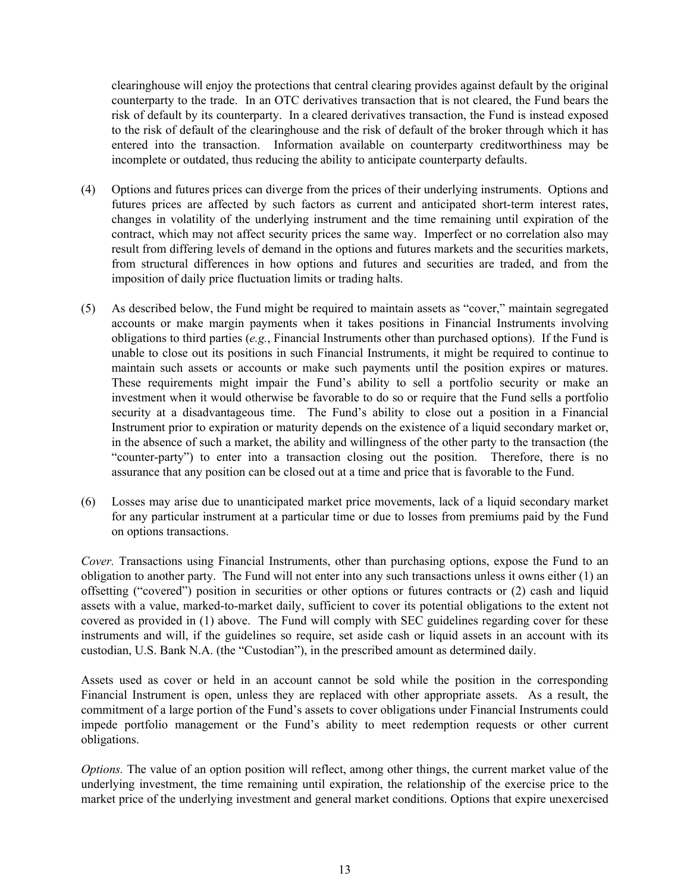clearinghouse will enjoy the protections that central clearing provides against default by the original counterparty to the trade. In an OTC derivatives transaction that is not cleared, the Fund bears the risk of default by its counterparty. In a cleared derivatives transaction, the Fund is instead exposed to the risk of default of the clearinghouse and the risk of default of the broker through which it has entered into the transaction. Information available on counterparty creditworthiness may be incomplete or outdated, thus reducing the ability to anticipate counterparty defaults.

- (4) Options and futures prices can diverge from the prices of their underlying instruments. Options and futures prices are affected by such factors as current and anticipated short-term interest rates, changes in volatility of the underlying instrument and the time remaining until expiration of the contract, which may not affect security prices the same way. Imperfect or no correlation also may result from differing levels of demand in the options and futures markets and the securities markets, from structural differences in how options and futures and securities are traded, and from the imposition of daily price fluctuation limits or trading halts.
- (5) As described below, the Fund might be required to maintain assets as "cover," maintain segregated accounts or make margin payments when it takes positions in Financial Instruments involving obligations to third parties (*e.g.*, Financial Instruments other than purchased options). If the Fund is unable to close out its positions in such Financial Instruments, it might be required to continue to maintain such assets or accounts or make such payments until the position expires or matures. These requirements might impair the Fund's ability to sell a portfolio security or make an investment when it would otherwise be favorable to do so or require that the Fund sells a portfolio security at a disadvantageous time. The Fund's ability to close out a position in a Financial Instrument prior to expiration or maturity depends on the existence of a liquid secondary market or, in the absence of such a market, the ability and willingness of the other party to the transaction (the "counter-party") to enter into a transaction closing out the position. Therefore, there is no assurance that any position can be closed out at a time and price that is favorable to the Fund.
- (6) Losses may arise due to unanticipated market price movements, lack of a liquid secondary market for any particular instrument at a particular time or due to losses from premiums paid by the Fund on options transactions.

*Cover.* Transactions using Financial Instruments, other than purchasing options, expose the Fund to an obligation to another party. The Fund will not enter into any such transactions unless it owns either (1) an offsetting ("covered") position in securities or other options or futures contracts or (2) cash and liquid assets with a value, marked-to-market daily, sufficient to cover its potential obligations to the extent not covered as provided in (1) above. The Fund will comply with SEC guidelines regarding cover for these instruments and will, if the guidelines so require, set aside cash or liquid assets in an account with its custodian, U.S. Bank N.A. (the "Custodian"), in the prescribed amount as determined daily.

Assets used as cover or held in an account cannot be sold while the position in the corresponding Financial Instrument is open, unless they are replaced with other appropriate assets. As a result, the commitment of a large portion of the Fund's assets to cover obligations under Financial Instruments could impede portfolio management or the Fund's ability to meet redemption requests or other current obligations.

*Options.* The value of an option position will reflect, among other things, the current market value of the underlying investment, the time remaining until expiration, the relationship of the exercise price to the market price of the underlying investment and general market conditions. Options that expire unexercised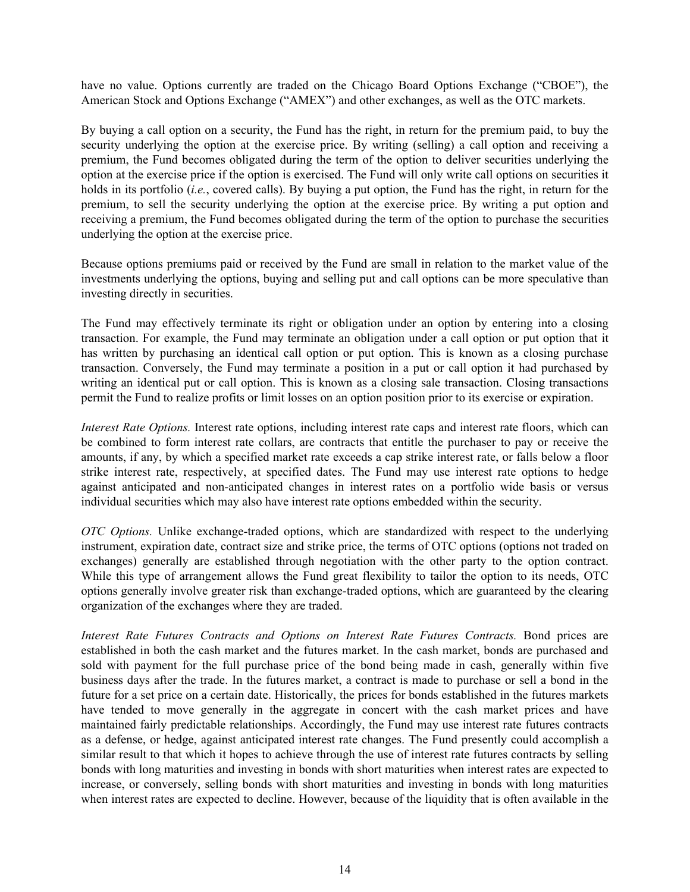have no value. Options currently are traded on the Chicago Board Options Exchange ("CBOE"), the American Stock and Options Exchange ("AMEX") and other exchanges, as well as the OTC markets.

By buying a call option on a security, the Fund has the right, in return for the premium paid, to buy the security underlying the option at the exercise price. By writing (selling) a call option and receiving a premium, the Fund becomes obligated during the term of the option to deliver securities underlying the option at the exercise price if the option is exercised. The Fund will only write call options on securities it holds in its portfolio (*i.e.*, covered calls). By buying a put option, the Fund has the right, in return for the premium, to sell the security underlying the option at the exercise price. By writing a put option and receiving a premium, the Fund becomes obligated during the term of the option to purchase the securities underlying the option at the exercise price.

Because options premiums paid or received by the Fund are small in relation to the market value of the investments underlying the options, buying and selling put and call options can be more speculative than investing directly in securities.

The Fund may effectively terminate its right or obligation under an option by entering into a closing transaction. For example, the Fund may terminate an obligation under a call option or put option that it has written by purchasing an identical call option or put option. This is known as a closing purchase transaction. Conversely, the Fund may terminate a position in a put or call option it had purchased by writing an identical put or call option. This is known as a closing sale transaction. Closing transactions permit the Fund to realize profits or limit losses on an option position prior to its exercise or expiration.

*Interest Rate Options.* Interest rate options, including interest rate caps and interest rate floors, which can be combined to form interest rate collars, are contracts that entitle the purchaser to pay or receive the amounts, if any, by which a specified market rate exceeds a cap strike interest rate, or falls below a floor strike interest rate, respectively, at specified dates. The Fund may use interest rate options to hedge against anticipated and non-anticipated changes in interest rates on a portfolio wide basis or versus individual securities which may also have interest rate options embedded within the security.

*OTC Options.* Unlike exchange-traded options, which are standardized with respect to the underlying instrument, expiration date, contract size and strike price, the terms of OTC options (options not traded on exchanges) generally are established through negotiation with the other party to the option contract. While this type of arrangement allows the Fund great flexibility to tailor the option to its needs, OTC options generally involve greater risk than exchange-traded options, which are guaranteed by the clearing organization of the exchanges where they are traded.

*Interest Rate Futures Contracts and Options on Interest Rate Futures Contracts.* Bond prices are established in both the cash market and the futures market. In the cash market, bonds are purchased and sold with payment for the full purchase price of the bond being made in cash, generally within five business days after the trade. In the futures market, a contract is made to purchase or sell a bond in the future for a set price on a certain date. Historically, the prices for bonds established in the futures markets have tended to move generally in the aggregate in concert with the cash market prices and have maintained fairly predictable relationships. Accordingly, the Fund may use interest rate futures contracts as a defense, or hedge, against anticipated interest rate changes. The Fund presently could accomplish a similar result to that which it hopes to achieve through the use of interest rate futures contracts by selling bonds with long maturities and investing in bonds with short maturities when interest rates are expected to increase, or conversely, selling bonds with short maturities and investing in bonds with long maturities when interest rates are expected to decline. However, because of the liquidity that is often available in the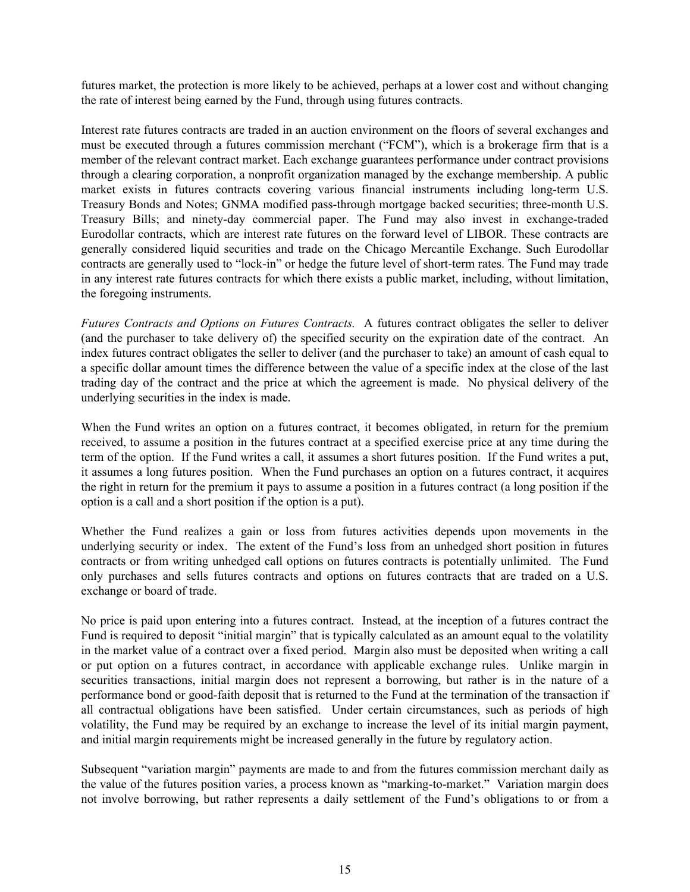futures market, the protection is more likely to be achieved, perhaps at a lower cost and without changing the rate of interest being earned by the Fund, through using futures contracts.

Interest rate futures contracts are traded in an auction environment on the floors of several exchanges and must be executed through a futures commission merchant ("FCM"), which is a brokerage firm that is a member of the relevant contract market. Each exchange guarantees performance under contract provisions through a clearing corporation, a nonprofit organization managed by the exchange membership. A public market exists in futures contracts covering various financial instruments including long-term U.S. Treasury Bonds and Notes; GNMA modified pass-through mortgage backed securities; three-month U.S. Treasury Bills; and ninety-day commercial paper. The Fund may also invest in exchange-traded Eurodollar contracts, which are interest rate futures on the forward level of LIBOR. These contracts are generally considered liquid securities and trade on the Chicago Mercantile Exchange. Such Eurodollar contracts are generally used to "lock-in" or hedge the future level of short-term rates. The Fund may trade in any interest rate futures contracts for which there exists a public market, including, without limitation, the foregoing instruments.

*Futures Contracts and Options on Futures Contracts.* A futures contract obligates the seller to deliver (and the purchaser to take delivery of) the specified security on the expiration date of the contract. An index futures contract obligates the seller to deliver (and the purchaser to take) an amount of cash equal to a specific dollar amount times the difference between the value of a specific index at the close of the last trading day of the contract and the price at which the agreement is made. No physical delivery of the underlying securities in the index is made.

When the Fund writes an option on a futures contract, it becomes obligated, in return for the premium received, to assume a position in the futures contract at a specified exercise price at any time during the term of the option. If the Fund writes a call, it assumes a short futures position. If the Fund writes a put, it assumes a long futures position. When the Fund purchases an option on a futures contract, it acquires the right in return for the premium it pays to assume a position in a futures contract (a long position if the option is a call and a short position if the option is a put).

Whether the Fund realizes a gain or loss from futures activities depends upon movements in the underlying security or index. The extent of the Fund's loss from an unhedged short position in futures contracts or from writing unhedged call options on futures contracts is potentially unlimited. The Fund only purchases and sells futures contracts and options on futures contracts that are traded on a U.S. exchange or board of trade.

No price is paid upon entering into a futures contract. Instead, at the inception of a futures contract the Fund is required to deposit "initial margin" that is typically calculated as an amount equal to the volatility in the market value of a contract over a fixed period. Margin also must be deposited when writing a call or put option on a futures contract, in accordance with applicable exchange rules. Unlike margin in securities transactions, initial margin does not represent a borrowing, but rather is in the nature of a performance bond or good-faith deposit that is returned to the Fund at the termination of the transaction if all contractual obligations have been satisfied. Under certain circumstances, such as periods of high volatility, the Fund may be required by an exchange to increase the level of its initial margin payment, and initial margin requirements might be increased generally in the future by regulatory action.

Subsequent "variation margin" payments are made to and from the futures commission merchant daily as the value of the futures position varies, a process known as "marking-to-market." Variation margin does not involve borrowing, but rather represents a daily settlement of the Fund's obligations to or from a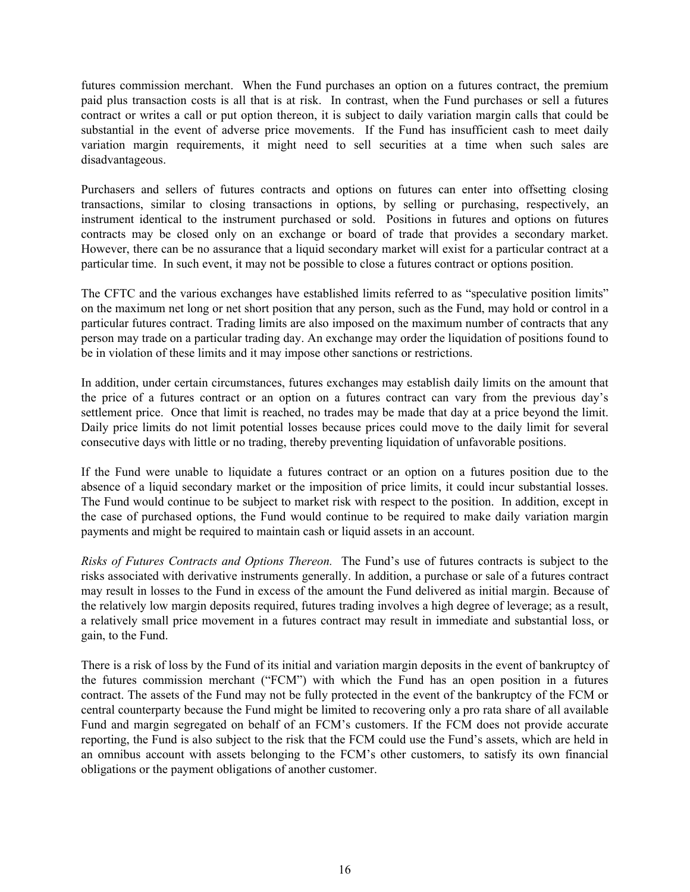futures commission merchant. When the Fund purchases an option on a futures contract, the premium paid plus transaction costs is all that is at risk. In contrast, when the Fund purchases or sell a futures contract or writes a call or put option thereon, it is subject to daily variation margin calls that could be substantial in the event of adverse price movements. If the Fund has insufficient cash to meet daily variation margin requirements, it might need to sell securities at a time when such sales are disadvantageous.

Purchasers and sellers of futures contracts and options on futures can enter into offsetting closing transactions, similar to closing transactions in options, by selling or purchasing, respectively, an instrument identical to the instrument purchased or sold. Positions in futures and options on futures contracts may be closed only on an exchange or board of trade that provides a secondary market. However, there can be no assurance that a liquid secondary market will exist for a particular contract at a particular time. In such event, it may not be possible to close a futures contract or options position.

The CFTC and the various exchanges have established limits referred to as "speculative position limits" on the maximum net long or net short position that any person, such as the Fund, may hold or control in a particular futures contract. Trading limits are also imposed on the maximum number of contracts that any person may trade on a particular trading day. An exchange may order the liquidation of positions found to be in violation of these limits and it may impose other sanctions or restrictions.

In addition, under certain circumstances, futures exchanges may establish daily limits on the amount that the price of a futures contract or an option on a futures contract can vary from the previous day's settlement price. Once that limit is reached, no trades may be made that day at a price beyond the limit. Daily price limits do not limit potential losses because prices could move to the daily limit for several consecutive days with little or no trading, thereby preventing liquidation of unfavorable positions.

If the Fund were unable to liquidate a futures contract or an option on a futures position due to the absence of a liquid secondary market or the imposition of price limits, it could incur substantial losses. The Fund would continue to be subject to market risk with respect to the position. In addition, except in the case of purchased options, the Fund would continue to be required to make daily variation margin payments and might be required to maintain cash or liquid assets in an account.

*Risks of Futures Contracts and Options Thereon.* The Fund's use of futures contracts is subject to the risks associated with derivative instruments generally. In addition, a purchase or sale of a futures contract may result in losses to the Fund in excess of the amount the Fund delivered as initial margin. Because of the relatively low margin deposits required, futures trading involves a high degree of leverage; as a result, a relatively small price movement in a futures contract may result in immediate and substantial loss, or gain, to the Fund.

There is a risk of loss by the Fund of its initial and variation margin deposits in the event of bankruptcy of the futures commission merchant ("FCM") with which the Fund has an open position in a futures contract. The assets of the Fund may not be fully protected in the event of the bankruptcy of the FCM or central counterparty because the Fund might be limited to recovering only a pro rata share of all available Fund and margin segregated on behalf of an FCM's customers. If the FCM does not provide accurate reporting, the Fund is also subject to the risk that the FCM could use the Fund's assets, which are held in an omnibus account with assets belonging to the FCM's other customers, to satisfy its own financial obligations or the payment obligations of another customer.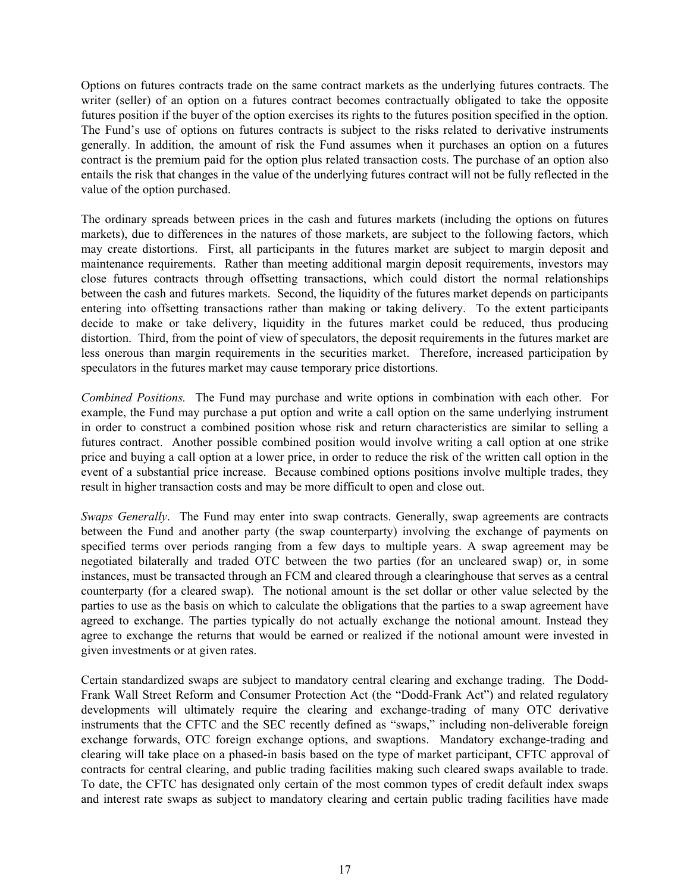Options on futures contracts trade on the same contract markets as the underlying futures contracts. The writer (seller) of an option on a futures contract becomes contractually obligated to take the opposite futures position if the buyer of the option exercises its rights to the futures position specified in the option. The Fund's use of options on futures contracts is subject to the risks related to derivative instruments generally. In addition, the amount of risk the Fund assumes when it purchases an option on a futures contract is the premium paid for the option plus related transaction costs. The purchase of an option also entails the risk that changes in the value of the underlying futures contract will not be fully reflected in the value of the option purchased.

The ordinary spreads between prices in the cash and futures markets (including the options on futures markets), due to differences in the natures of those markets, are subject to the following factors, which may create distortions. First, all participants in the futures market are subject to margin deposit and maintenance requirements. Rather than meeting additional margin deposit requirements, investors may close futures contracts through offsetting transactions, which could distort the normal relationships between the cash and futures markets. Second, the liquidity of the futures market depends on participants entering into offsetting transactions rather than making or taking delivery. To the extent participants decide to make or take delivery, liquidity in the futures market could be reduced, thus producing distortion. Third, from the point of view of speculators, the deposit requirements in the futures market are less onerous than margin requirements in the securities market. Therefore, increased participation by speculators in the futures market may cause temporary price distortions.

*Combined Positions.* The Fund may purchase and write options in combination with each other. For example, the Fund may purchase a put option and write a call option on the same underlying instrument in order to construct a combined position whose risk and return characteristics are similar to selling a futures contract. Another possible combined position would involve writing a call option at one strike price and buying a call option at a lower price, in order to reduce the risk of the written call option in the event of a substantial price increase. Because combined options positions involve multiple trades, they result in higher transaction costs and may be more difficult to open and close out.

*Swaps Generally*. The Fund may enter into swap contracts. Generally, swap agreements are contracts between the Fund and another party (the swap counterparty) involving the exchange of payments on specified terms over periods ranging from a few days to multiple years. A swap agreement may be negotiated bilaterally and traded OTC between the two parties (for an uncleared swap) or, in some instances, must be transacted through an FCM and cleared through a clearinghouse that serves as a central counterparty (for a cleared swap). The notional amount is the set dollar or other value selected by the parties to use as the basis on which to calculate the obligations that the parties to a swap agreement have agreed to exchange. The parties typically do not actually exchange the notional amount. Instead they agree to exchange the returns that would be earned or realized if the notional amount were invested in given investments or at given rates.

Certain standardized swaps are subject to mandatory central clearing and exchange trading. The Dodd-Frank Wall Street Reform and Consumer Protection Act (the "Dodd-Frank Act") and related regulatory developments will ultimately require the clearing and exchange-trading of many OTC derivative instruments that the CFTC and the SEC recently defined as "swaps," including non-deliverable foreign exchange forwards, OTC foreign exchange options, and swaptions. Mandatory exchange-trading and clearing will take place on a phased-in basis based on the type of market participant, CFTC approval of contracts for central clearing, and public trading facilities making such cleared swaps available to trade. To date, the CFTC has designated only certain of the most common types of credit default index swaps and interest rate swaps as subject to mandatory clearing and certain public trading facilities have made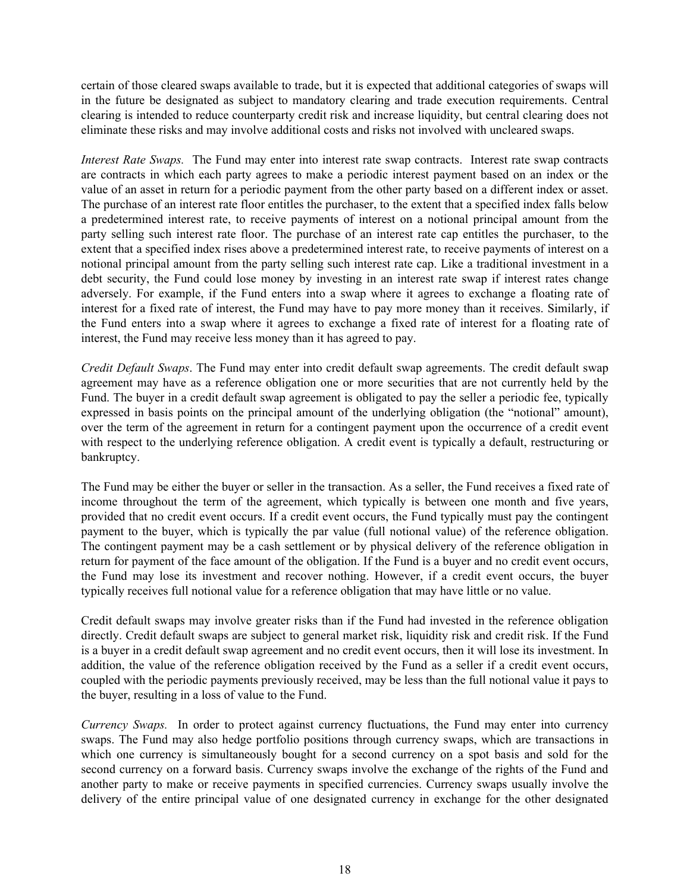certain of those cleared swaps available to trade, but it is expected that additional categories of swaps will in the future be designated as subject to mandatory clearing and trade execution requirements. Central clearing is intended to reduce counterparty credit risk and increase liquidity, but central clearing does not eliminate these risks and may involve additional costs and risks not involved with uncleared swaps.

*Interest Rate Swaps.* The Fund may enter into interest rate swap contracts. Interest rate swap contracts are contracts in which each party agrees to make a periodic interest payment based on an index or the value of an asset in return for a periodic payment from the other party based on a different index or asset. The purchase of an interest rate floor entitles the purchaser, to the extent that a specified index falls below a predetermined interest rate, to receive payments of interest on a notional principal amount from the party selling such interest rate floor. The purchase of an interest rate cap entitles the purchaser, to the extent that a specified index rises above a predetermined interest rate, to receive payments of interest on a notional principal amount from the party selling such interest rate cap. Like a traditional investment in a debt security, the Fund could lose money by investing in an interest rate swap if interest rates change adversely. For example, if the Fund enters into a swap where it agrees to exchange a floating rate of interest for a fixed rate of interest, the Fund may have to pay more money than it receives. Similarly, if the Fund enters into a swap where it agrees to exchange a fixed rate of interest for a floating rate of interest, the Fund may receive less money than it has agreed to pay.

*Credit Default Swaps*. The Fund may enter into credit default swap agreements. The credit default swap agreement may have as a reference obligation one or more securities that are not currently held by the Fund. The buyer in a credit default swap agreement is obligated to pay the seller a periodic fee, typically expressed in basis points on the principal amount of the underlying obligation (the "notional" amount), over the term of the agreement in return for a contingent payment upon the occurrence of a credit event with respect to the underlying reference obligation. A credit event is typically a default, restructuring or bankruptcy.

The Fund may be either the buyer or seller in the transaction. As a seller, the Fund receives a fixed rate of income throughout the term of the agreement, which typically is between one month and five years, provided that no credit event occurs. If a credit event occurs, the Fund typically must pay the contingent payment to the buyer, which is typically the par value (full notional value) of the reference obligation. The contingent payment may be a cash settlement or by physical delivery of the reference obligation in return for payment of the face amount of the obligation. If the Fund is a buyer and no credit event occurs, the Fund may lose its investment and recover nothing. However, if a credit event occurs, the buyer typically receives full notional value for a reference obligation that may have little or no value.

Credit default swaps may involve greater risks than if the Fund had invested in the reference obligation directly. Credit default swaps are subject to general market risk, liquidity risk and credit risk. If the Fund is a buyer in a credit default swap agreement and no credit event occurs, then it will lose its investment. In addition, the value of the reference obligation received by the Fund as a seller if a credit event occurs, coupled with the periodic payments previously received, may be less than the full notional value it pays to the buyer, resulting in a loss of value to the Fund.

*Currency Swaps.* In order to protect against currency fluctuations, the Fund may enter into currency swaps. The Fund may also hedge portfolio positions through currency swaps, which are transactions in which one currency is simultaneously bought for a second currency on a spot basis and sold for the second currency on a forward basis. Currency swaps involve the exchange of the rights of the Fund and another party to make or receive payments in specified currencies. Currency swaps usually involve the delivery of the entire principal value of one designated currency in exchange for the other designated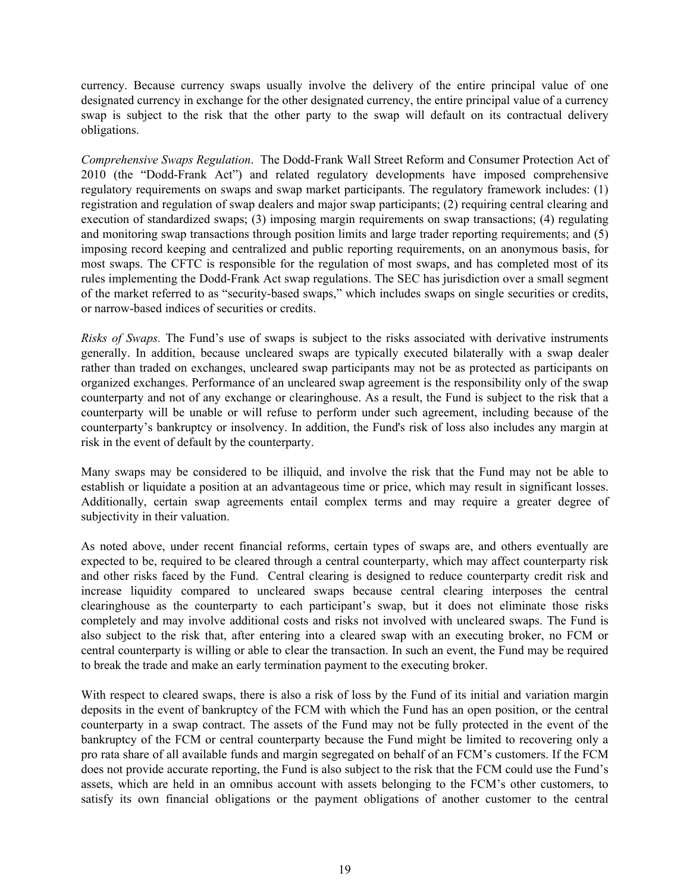currency. Because currency swaps usually involve the delivery of the entire principal value of one designated currency in exchange for the other designated currency, the entire principal value of a currency swap is subject to the risk that the other party to the swap will default on its contractual delivery obligations.

*Comprehensive Swaps Regulation*. The Dodd-Frank Wall Street Reform and Consumer Protection Act of 2010 (the "Dodd-Frank Act") and related regulatory developments have imposed comprehensive regulatory requirements on swaps and swap market participants. The regulatory framework includes: (1) registration and regulation of swap dealers and major swap participants; (2) requiring central clearing and execution of standardized swaps; (3) imposing margin requirements on swap transactions; (4) regulating and monitoring swap transactions through position limits and large trader reporting requirements; and (5) imposing record keeping and centralized and public reporting requirements, on an anonymous basis, for most swaps. The CFTC is responsible for the regulation of most swaps, and has completed most of its rules implementing the Dodd-Frank Act swap regulations. The SEC has jurisdiction over a small segment of the market referred to as "security-based swaps," which includes swaps on single securities or credits, or narrow-based indices of securities or credits.

*Risks of Swaps.* The Fund's use of swaps is subject to the risks associated with derivative instruments generally. In addition, because uncleared swaps are typically executed bilaterally with a swap dealer rather than traded on exchanges, uncleared swap participants may not be as protected as participants on organized exchanges. Performance of an uncleared swap agreement is the responsibility only of the swap counterparty and not of any exchange or clearinghouse. As a result, the Fund is subject to the risk that a counterparty will be unable or will refuse to perform under such agreement, including because of the counterparty's bankruptcy or insolvency. In addition, the Fund's risk of loss also includes any margin at risk in the event of default by the counterparty.

Many swaps may be considered to be illiquid, and involve the risk that the Fund may not be able to establish or liquidate a position at an advantageous time or price, which may result in significant losses. Additionally, certain swap agreements entail complex terms and may require a greater degree of subjectivity in their valuation.

As noted above, under recent financial reforms, certain types of swaps are, and others eventually are expected to be, required to be cleared through a central counterparty, which may affect counterparty risk and other risks faced by the Fund. Central clearing is designed to reduce counterparty credit risk and increase liquidity compared to uncleared swaps because central clearing interposes the central clearinghouse as the counterparty to each participant's swap, but it does not eliminate those risks completely and may involve additional costs and risks not involved with uncleared swaps. The Fund is also subject to the risk that, after entering into a cleared swap with an executing broker, no FCM or central counterparty is willing or able to clear the transaction. In such an event, the Fund may be required to break the trade and make an early termination payment to the executing broker.

With respect to cleared swaps, there is also a risk of loss by the Fund of its initial and variation margin deposits in the event of bankruptcy of the FCM with which the Fund has an open position, or the central counterparty in a swap contract. The assets of the Fund may not be fully protected in the event of the bankruptcy of the FCM or central counterparty because the Fund might be limited to recovering only a pro rata share of all available funds and margin segregated on behalf of an FCM's customers. If the FCM does not provide accurate reporting, the Fund is also subject to the risk that the FCM could use the Fund's assets, which are held in an omnibus account with assets belonging to the FCM's other customers, to satisfy its own financial obligations or the payment obligations of another customer to the central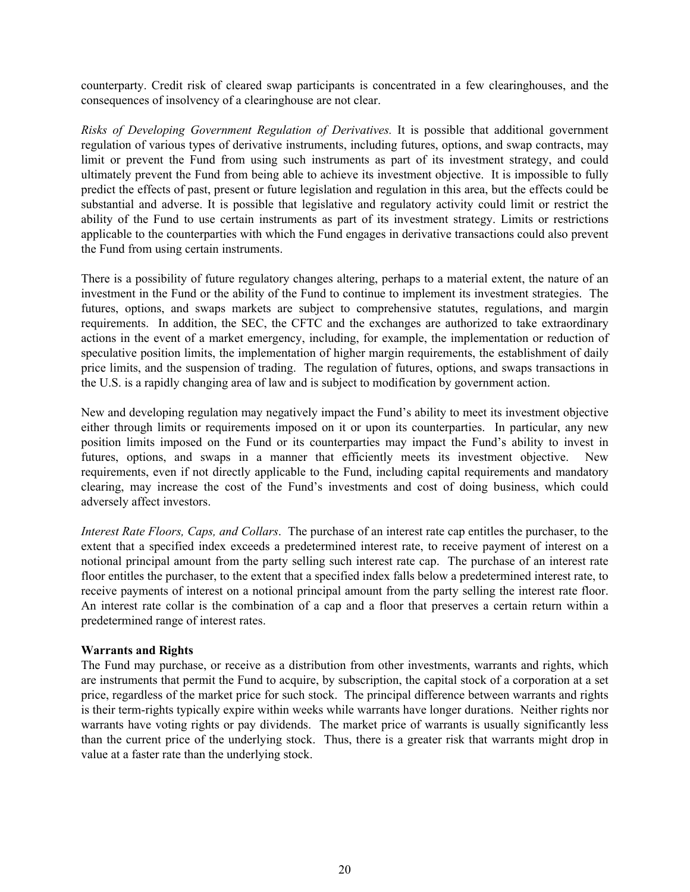counterparty. Credit risk of cleared swap participants is concentrated in a few clearinghouses, and the consequences of insolvency of a clearinghouse are not clear.

*Risks of Developing Government Regulation of Derivatives.* It is possible that additional government regulation of various types of derivative instruments, including futures, options, and swap contracts, may limit or prevent the Fund from using such instruments as part of its investment strategy, and could ultimately prevent the Fund from being able to achieve its investment objective. It is impossible to fully predict the effects of past, present or future legislation and regulation in this area, but the effects could be substantial and adverse. It is possible that legislative and regulatory activity could limit or restrict the ability of the Fund to use certain instruments as part of its investment strategy. Limits or restrictions applicable to the counterparties with which the Fund engages in derivative transactions could also prevent the Fund from using certain instruments.

There is a possibility of future regulatory changes altering, perhaps to a material extent, the nature of an investment in the Fund or the ability of the Fund to continue to implement its investment strategies. The futures, options, and swaps markets are subject to comprehensive statutes, regulations, and margin requirements. In addition, the SEC, the CFTC and the exchanges are authorized to take extraordinary actions in the event of a market emergency, including, for example, the implementation or reduction of speculative position limits, the implementation of higher margin requirements, the establishment of daily price limits, and the suspension of trading. The regulation of futures, options, and swaps transactions in the U.S. is a rapidly changing area of law and is subject to modification by government action.

New and developing regulation may negatively impact the Fund's ability to meet its investment objective either through limits or requirements imposed on it or upon its counterparties. In particular, any new position limits imposed on the Fund or its counterparties may impact the Fund's ability to invest in futures, options, and swaps in a manner that efficiently meets its investment objective. New requirements, even if not directly applicable to the Fund, including capital requirements and mandatory clearing, may increase the cost of the Fund's investments and cost of doing business, which could adversely affect investors.

*Interest Rate Floors, Caps, and Collars*. The purchase of an interest rate cap entitles the purchaser, to the extent that a specified index exceeds a predetermined interest rate, to receive payment of interest on a notional principal amount from the party selling such interest rate cap. The purchase of an interest rate floor entitles the purchaser, to the extent that a specified index falls below a predetermined interest rate, to receive payments of interest on a notional principal amount from the party selling the interest rate floor. An interest rate collar is the combination of a cap and a floor that preserves a certain return within a predetermined range of interest rates.

# **Warrants and Rights**

The Fund may purchase, or receive as a distribution from other investments, warrants and rights, which are instruments that permit the Fund to acquire, by subscription, the capital stock of a corporation at a set price, regardless of the market price for such stock. The principal difference between warrants and rights is their term-rights typically expire within weeks while warrants have longer durations. Neither rights nor warrants have voting rights or pay dividends. The market price of warrants is usually significantly less than the current price of the underlying stock. Thus, there is a greater risk that warrants might drop in value at a faster rate than the underlying stock.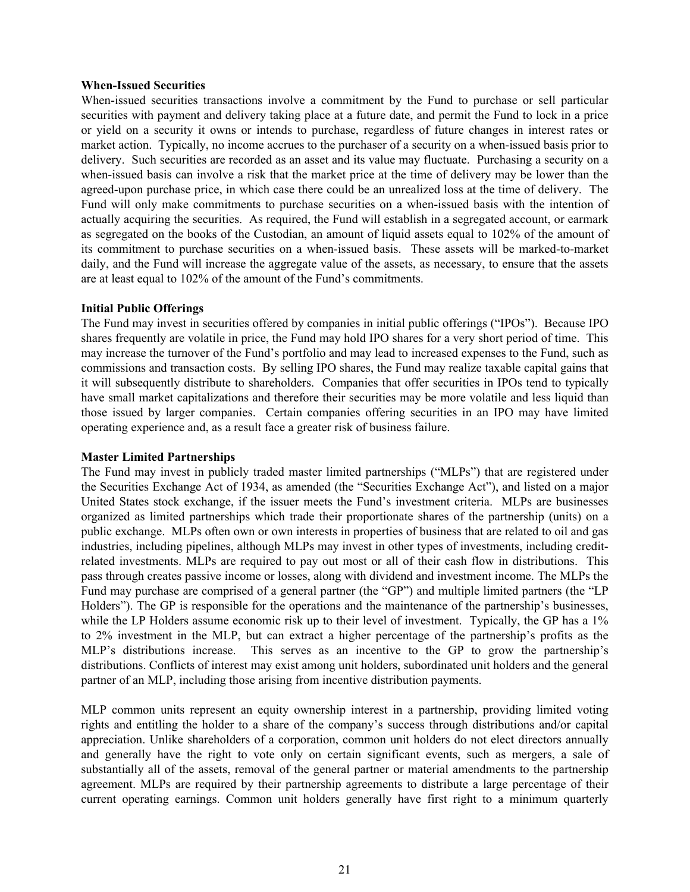#### **When-Issued Securities**

When-issued securities transactions involve a commitment by the Fund to purchase or sell particular securities with payment and delivery taking place at a future date, and permit the Fund to lock in a price or yield on a security it owns or intends to purchase, regardless of future changes in interest rates or market action. Typically, no income accrues to the purchaser of a security on a when-issued basis prior to delivery. Such securities are recorded as an asset and its value may fluctuate. Purchasing a security on a when-issued basis can involve a risk that the market price at the time of delivery may be lower than the agreed-upon purchase price, in which case there could be an unrealized loss at the time of delivery. The Fund will only make commitments to purchase securities on a when-issued basis with the intention of actually acquiring the securities. As required, the Fund will establish in a segregated account, or earmark as segregated on the books of the Custodian, an amount of liquid assets equal to 102% of the amount of its commitment to purchase securities on a when-issued basis. These assets will be marked-to-market daily, and the Fund will increase the aggregate value of the assets, as necessary, to ensure that the assets are at least equal to 102% of the amount of the Fund's commitments.

#### **Initial Public Offerings**

The Fund may invest in securities offered by companies in initial public offerings ("IPOs"). Because IPO shares frequently are volatile in price, the Fund may hold IPO shares for a very short period of time. This may increase the turnover of the Fund's portfolio and may lead to increased expenses to the Fund, such as commissions and transaction costs. By selling IPO shares, the Fund may realize taxable capital gains that it will subsequently distribute to shareholders. Companies that offer securities in IPOs tend to typically have small market capitalizations and therefore their securities may be more volatile and less liquid than those issued by larger companies. Certain companies offering securities in an IPO may have limited operating experience and, as a result face a greater risk of business failure.

#### **Master Limited Partnerships**

The Fund may invest in publicly traded master limited partnerships ("MLPs") that are registered under the Securities Exchange Act of 1934, as amended (the "Securities Exchange Act"), and listed on a major United States stock exchange, if the issuer meets the Fund's investment criteria. MLPs are businesses organized as limited partnerships which trade their proportionate shares of the partnership (units) on a public exchange. MLPs often own or own interests in properties of business that are related to oil and gas industries, including pipelines, although MLPs may invest in other types of investments, including creditrelated investments. MLPs are required to pay out most or all of their cash flow in distributions. This pass through creates passive income or losses, along with dividend and investment income. The MLPs the Fund may purchase are comprised of a general partner (the "GP") and multiple limited partners (the "LP Holders"). The GP is responsible for the operations and the maintenance of the partnership's businesses, while the LP Holders assume economic risk up to their level of investment. Typically, the GP has a 1% to 2% investment in the MLP, but can extract a higher percentage of the partnership's profits as the MLP's distributions increase. This serves as an incentive to the GP to grow the partnership's distributions. Conflicts of interest may exist among unit holders, subordinated unit holders and the general partner of an MLP, including those arising from incentive distribution payments.

MLP common units represent an equity ownership interest in a partnership, providing limited voting rights and entitling the holder to a share of the company's success through distributions and/or capital appreciation. Unlike shareholders of a corporation, common unit holders do not elect directors annually and generally have the right to vote only on certain significant events, such as mergers, a sale of substantially all of the assets, removal of the general partner or material amendments to the partnership agreement. MLPs are required by their partnership agreements to distribute a large percentage of their current operating earnings. Common unit holders generally have first right to a minimum quarterly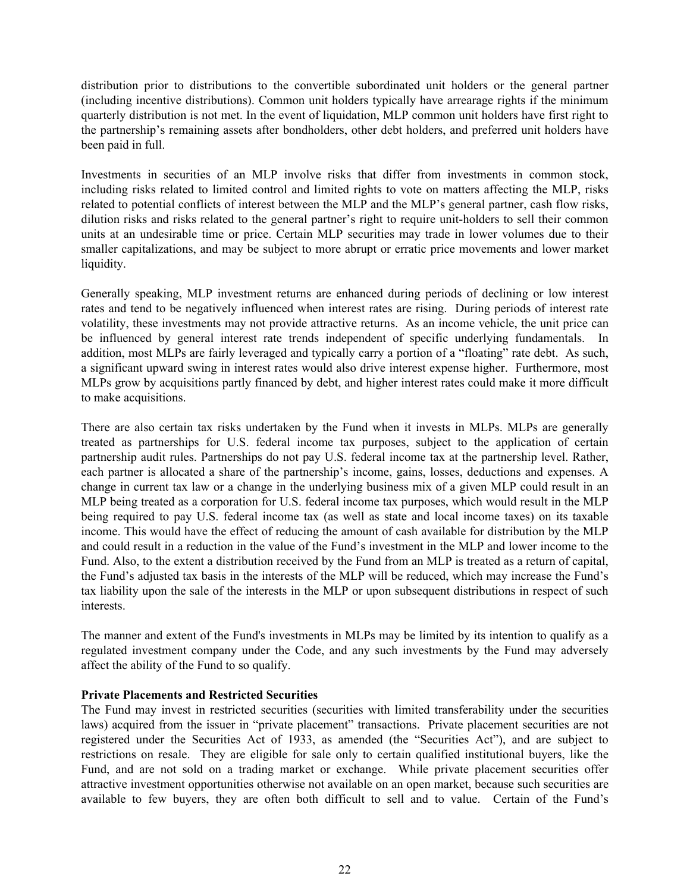distribution prior to distributions to the convertible subordinated unit holders or the general partner (including incentive distributions). Common unit holders typically have arrearage rights if the minimum quarterly distribution is not met. In the event of liquidation, MLP common unit holders have first right to the partnership's remaining assets after bondholders, other debt holders, and preferred unit holders have been paid in full.

Investments in securities of an MLP involve risks that differ from investments in common stock, including risks related to limited control and limited rights to vote on matters affecting the MLP, risks related to potential conflicts of interest between the MLP and the MLP's general partner, cash flow risks, dilution risks and risks related to the general partner's right to require unit-holders to sell their common units at an undesirable time or price. Certain MLP securities may trade in lower volumes due to their smaller capitalizations, and may be subject to more abrupt or erratic price movements and lower market liquidity.

Generally speaking, MLP investment returns are enhanced during periods of declining or low interest rates and tend to be negatively influenced when interest rates are rising. During periods of interest rate volatility, these investments may not provide attractive returns. As an income vehicle, the unit price can be influenced by general interest rate trends independent of specific underlying fundamentals. In addition, most MLPs are fairly leveraged and typically carry a portion of a "floating" rate debt. As such, a significant upward swing in interest rates would also drive interest expense higher. Furthermore, most MLPs grow by acquisitions partly financed by debt, and higher interest rates could make it more difficult to make acquisitions.

There are also certain tax risks undertaken by the Fund when it invests in MLPs. MLPs are generally treated as partnerships for U.S. federal income tax purposes, subject to the application of certain partnership audit rules. Partnerships do not pay U.S. federal income tax at the partnership level. Rather, each partner is allocated a share of the partnership's income, gains, losses, deductions and expenses. A change in current tax law or a change in the underlying business mix of a given MLP could result in an MLP being treated as a corporation for U.S. federal income tax purposes, which would result in the MLP being required to pay U.S. federal income tax (as well as state and local income taxes) on its taxable income. This would have the effect of reducing the amount of cash available for distribution by the MLP and could result in a reduction in the value of the Fund's investment in the MLP and lower income to the Fund. Also, to the extent a distribution received by the Fund from an MLP is treated as a return of capital, the Fund's adjusted tax basis in the interests of the MLP will be reduced, which may increase the Fund's tax liability upon the sale of the interests in the MLP or upon subsequent distributions in respect of such interests.

The manner and extent of the Fund's investments in MLPs may be limited by its intention to qualify as a regulated investment company under the Code, and any such investments by the Fund may adversely affect the ability of the Fund to so qualify.

# **Private Placements and Restricted Securities**

The Fund may invest in restricted securities (securities with limited transferability under the securities laws) acquired from the issuer in "private placement" transactions. Private placement securities are not registered under the Securities Act of 1933, as amended (the "Securities Act"), and are subject to restrictions on resale. They are eligible for sale only to certain qualified institutional buyers, like the Fund, and are not sold on a trading market or exchange. While private placement securities offer attractive investment opportunities otherwise not available on an open market, because such securities are available to few buyers, they are often both difficult to sell and to value. Certain of the Fund's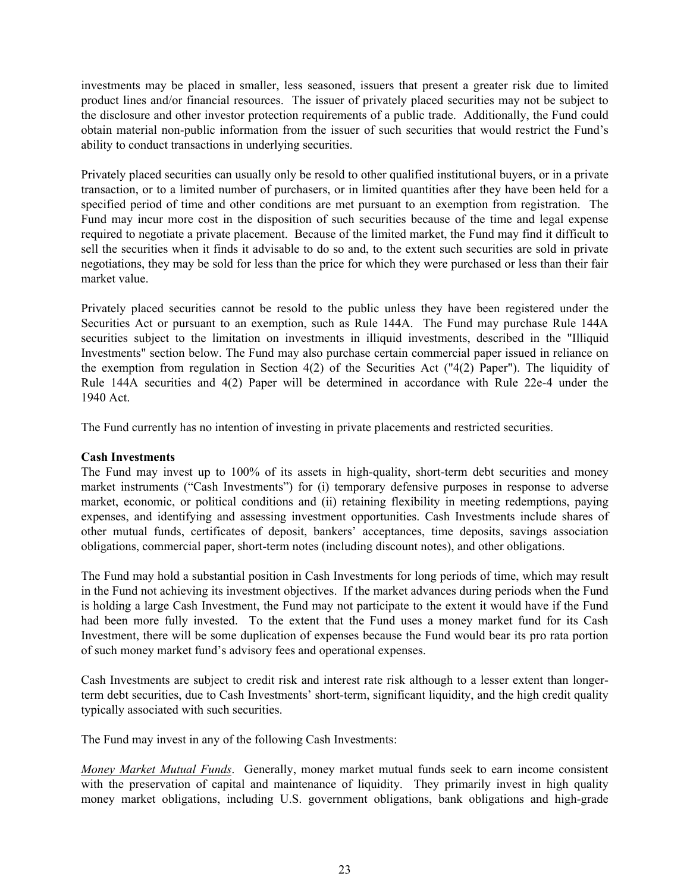investments may be placed in smaller, less seasoned, issuers that present a greater risk due to limited product lines and/or financial resources. The issuer of privately placed securities may not be subject to the disclosure and other investor protection requirements of a public trade. Additionally, the Fund could obtain material non-public information from the issuer of such securities that would restrict the Fund's ability to conduct transactions in underlying securities.

Privately placed securities can usually only be resold to other qualified institutional buyers, or in a private transaction, or to a limited number of purchasers, or in limited quantities after they have been held for a specified period of time and other conditions are met pursuant to an exemption from registration. The Fund may incur more cost in the disposition of such securities because of the time and legal expense required to negotiate a private placement. Because of the limited market, the Fund may find it difficult to sell the securities when it finds it advisable to do so and, to the extent such securities are sold in private negotiations, they may be sold for less than the price for which they were purchased or less than their fair market value.

Privately placed securities cannot be resold to the public unless they have been registered under the Securities Act or pursuant to an exemption, such as Rule 144A. The Fund may purchase Rule 144A securities subject to the limitation on investments in illiquid investments, described in the "Illiquid Investments" section below. The Fund may also purchase certain commercial paper issued in reliance on the exemption from regulation in Section 4(2) of the Securities Act ("4(2) Paper"). The liquidity of Rule 144A securities and 4(2) Paper will be determined in accordance with Rule 22e-4 under the 1940 Act.

The Fund currently has no intention of investing in private placements and restricted securities.

# **Cash Investments**

The Fund may invest up to 100% of its assets in high-quality, short-term debt securities and money market instruments ("Cash Investments") for (i) temporary defensive purposes in response to adverse market, economic, or political conditions and (ii) retaining flexibility in meeting redemptions, paying expenses, and identifying and assessing investment opportunities. Cash Investments include shares of other mutual funds, certificates of deposit, bankers' acceptances, time deposits, savings association obligations, commercial paper, short-term notes (including discount notes), and other obligations.

The Fund may hold a substantial position in Cash Investments for long periods of time, which may result in the Fund not achieving its investment objectives. If the market advances during periods when the Fund is holding a large Cash Investment, the Fund may not participate to the extent it would have if the Fund had been more fully invested. To the extent that the Fund uses a money market fund for its Cash Investment, there will be some duplication of expenses because the Fund would bear its pro rata portion of such money market fund's advisory fees and operational expenses.

Cash Investments are subject to credit risk and interest rate risk although to a lesser extent than longerterm debt securities, due to Cash Investments' short-term, significant liquidity, and the high credit quality typically associated with such securities.

The Fund may invest in any of the following Cash Investments:

*Money Market Mutual Funds*. Generally, money market mutual funds seek to earn income consistent with the preservation of capital and maintenance of liquidity. They primarily invest in high quality money market obligations, including U.S. government obligations, bank obligations and high-grade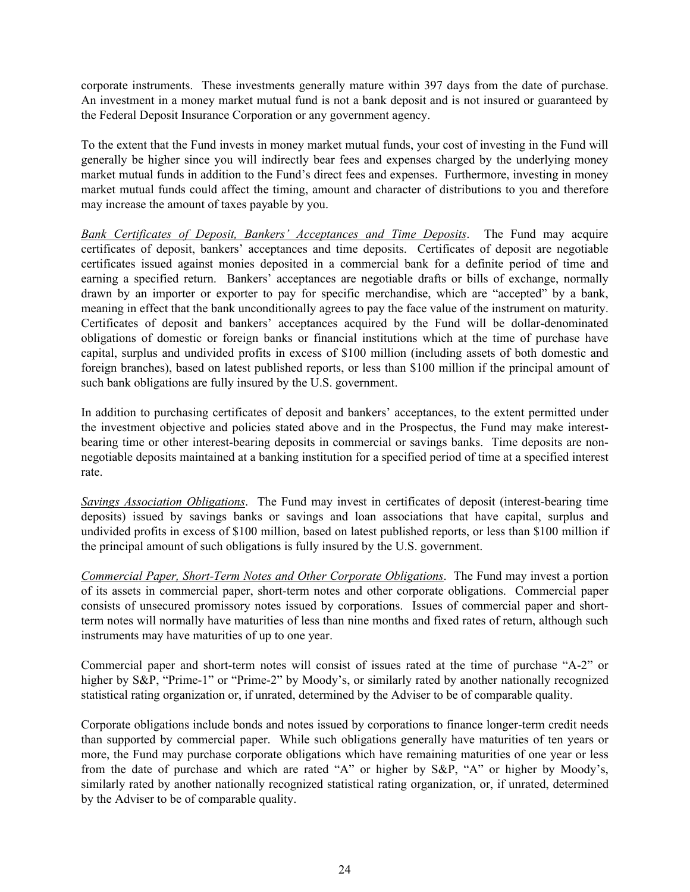corporate instruments. These investments generally mature within 397 days from the date of purchase. An investment in a money market mutual fund is not a bank deposit and is not insured or guaranteed by the Federal Deposit Insurance Corporation or any government agency.

To the extent that the Fund invests in money market mutual funds, your cost of investing in the Fund will generally be higher since you will indirectly bear fees and expenses charged by the underlying money market mutual funds in addition to the Fund's direct fees and expenses. Furthermore, investing in money market mutual funds could affect the timing, amount and character of distributions to you and therefore may increase the amount of taxes payable by you.

*Bank Certificates of Deposit, Bankers' Acceptances and Time Deposits*. The Fund may acquire certificates of deposit, bankers' acceptances and time deposits. Certificates of deposit are negotiable certificates issued against monies deposited in a commercial bank for a definite period of time and earning a specified return. Bankers' acceptances are negotiable drafts or bills of exchange, normally drawn by an importer or exporter to pay for specific merchandise, which are "accepted" by a bank, meaning in effect that the bank unconditionally agrees to pay the face value of the instrument on maturity. Certificates of deposit and bankers' acceptances acquired by the Fund will be dollar-denominated obligations of domestic or foreign banks or financial institutions which at the time of purchase have capital, surplus and undivided profits in excess of \$100 million (including assets of both domestic and foreign branches), based on latest published reports, or less than \$100 million if the principal amount of such bank obligations are fully insured by the U.S. government.

In addition to purchasing certificates of deposit and bankers' acceptances, to the extent permitted under the investment objective and policies stated above and in the Prospectus, the Fund may make interestbearing time or other interest-bearing deposits in commercial or savings banks. Time deposits are nonnegotiable deposits maintained at a banking institution for a specified period of time at a specified interest rate.

*Savings Association Obligations*. The Fund may invest in certificates of deposit (interest-bearing time deposits) issued by savings banks or savings and loan associations that have capital, surplus and undivided profits in excess of \$100 million, based on latest published reports, or less than \$100 million if the principal amount of such obligations is fully insured by the U.S. government.

*Commercial Paper, Short-Term Notes and Other Corporate Obligations*. The Fund may invest a portion of its assets in commercial paper, short-term notes and other corporate obligations. Commercial paper consists of unsecured promissory notes issued by corporations. Issues of commercial paper and shortterm notes will normally have maturities of less than nine months and fixed rates of return, although such instruments may have maturities of up to one year.

Commercial paper and short-term notes will consist of issues rated at the time of purchase "A-2" or higher by S&P, "Prime-1" or "Prime-2" by Moody's, or similarly rated by another nationally recognized statistical rating organization or, if unrated, determined by the Adviser to be of comparable quality.

Corporate obligations include bonds and notes issued by corporations to finance longer-term credit needs than supported by commercial paper. While such obligations generally have maturities of ten years or more, the Fund may purchase corporate obligations which have remaining maturities of one year or less from the date of purchase and which are rated "A" or higher by S&P, "A" or higher by Moody's, similarly rated by another nationally recognized statistical rating organization, or, if unrated, determined by the Adviser to be of comparable quality.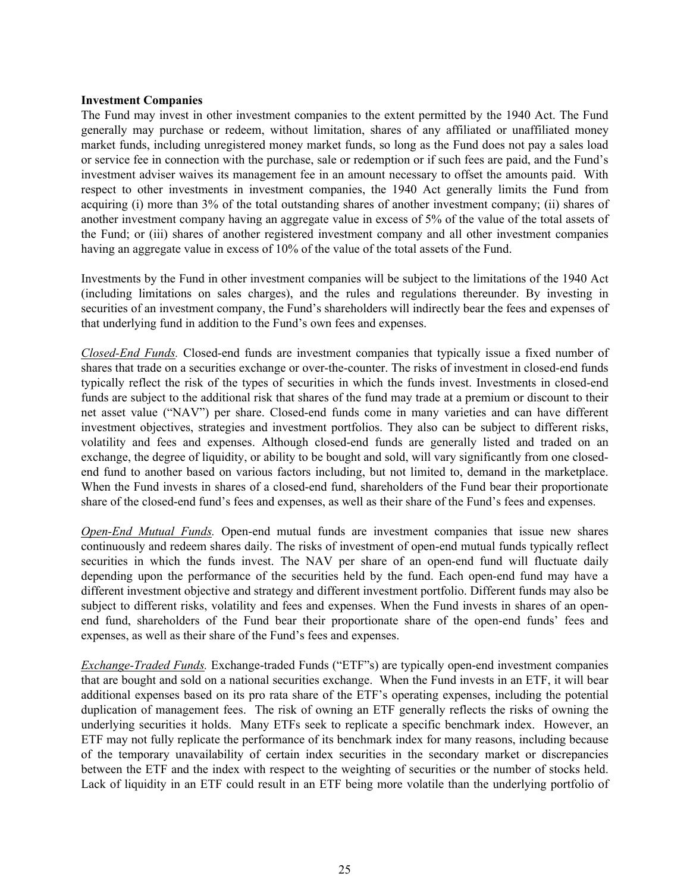#### **Investment Companies**

The Fund may invest in other investment companies to the extent permitted by the 1940 Act. The Fund generally may purchase or redeem, without limitation, shares of any affiliated or unaffiliated money market funds, including unregistered money market funds, so long as the Fund does not pay a sales load or service fee in connection with the purchase, sale or redemption or if such fees are paid, and the Fund's investment adviser waives its management fee in an amount necessary to offset the amounts paid. With respect to other investments in investment companies, the 1940 Act generally limits the Fund from acquiring (i) more than 3% of the total outstanding shares of another investment company; (ii) shares of another investment company having an aggregate value in excess of 5% of the value of the total assets of the Fund; or (iii) shares of another registered investment company and all other investment companies having an aggregate value in excess of 10% of the value of the total assets of the Fund.

Investments by the Fund in other investment companies will be subject to the limitations of the 1940 Act (including limitations on sales charges), and the rules and regulations thereunder. By investing in securities of an investment company, the Fund's shareholders will indirectly bear the fees and expenses of that underlying fund in addition to the Fund's own fees and expenses.

*Closed-End Funds.* Closed-end funds are investment companies that typically issue a fixed number of shares that trade on a securities exchange or over-the-counter. The risks of investment in closed-end funds typically reflect the risk of the types of securities in which the funds invest. Investments in closed-end funds are subject to the additional risk that shares of the fund may trade at a premium or discount to their net asset value ("NAV") per share. Closed-end funds come in many varieties and can have different investment objectives, strategies and investment portfolios. They also can be subject to different risks, volatility and fees and expenses. Although closed-end funds are generally listed and traded on an exchange, the degree of liquidity, or ability to be bought and sold, will vary significantly from one closedend fund to another based on various factors including, but not limited to, demand in the marketplace. When the Fund invests in shares of a closed-end fund, shareholders of the Fund bear their proportionate share of the closed-end fund's fees and expenses, as well as their share of the Fund's fees and expenses.

*Open-End Mutual Funds.* Open-end mutual funds are investment companies that issue new shares continuously and redeem shares daily. The risks of investment of open-end mutual funds typically reflect securities in which the funds invest. The NAV per share of an open-end fund will fluctuate daily depending upon the performance of the securities held by the fund. Each open-end fund may have a different investment objective and strategy and different investment portfolio. Different funds may also be subject to different risks, volatility and fees and expenses. When the Fund invests in shares of an openend fund, shareholders of the Fund bear their proportionate share of the open-end funds' fees and expenses, as well as their share of the Fund's fees and expenses.

*Exchange-Traded Funds.* Exchange-traded Funds ("ETF"s) are typically open-end investment companies that are bought and sold on a national securities exchange. When the Fund invests in an ETF, it will bear additional expenses based on its pro rata share of the ETF's operating expenses, including the potential duplication of management fees. The risk of owning an ETF generally reflects the risks of owning the underlying securities it holds. Many ETFs seek to replicate a specific benchmark index. However, an ETF may not fully replicate the performance of its benchmark index for many reasons, including because of the temporary unavailability of certain index securities in the secondary market or discrepancies between the ETF and the index with respect to the weighting of securities or the number of stocks held. Lack of liquidity in an ETF could result in an ETF being more volatile than the underlying portfolio of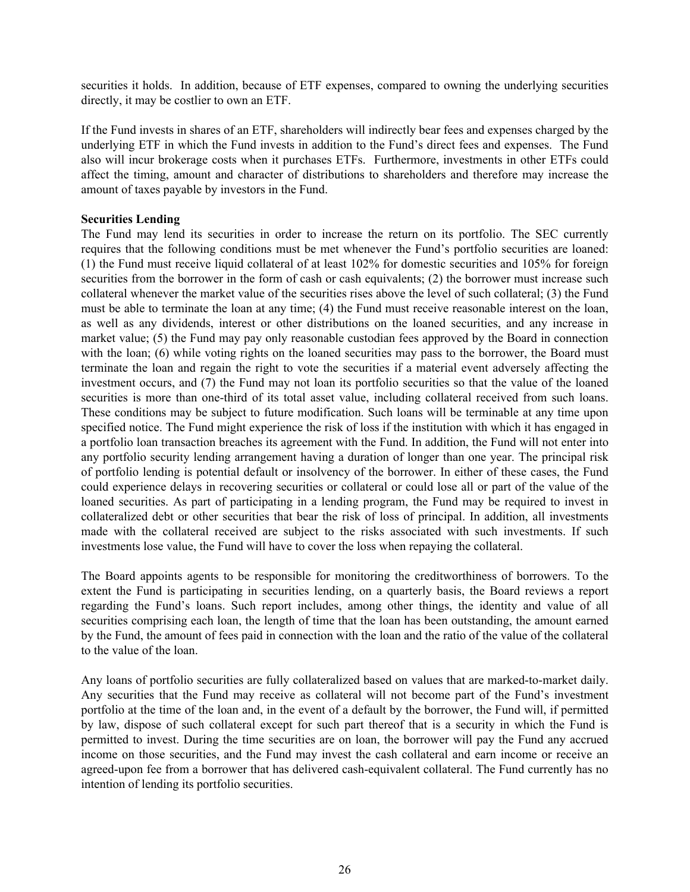securities it holds. In addition, because of ETF expenses, compared to owning the underlying securities directly, it may be costlier to own an ETF.

If the Fund invests in shares of an ETF, shareholders will indirectly bear fees and expenses charged by the underlying ETF in which the Fund invests in addition to the Fund's direct fees and expenses. The Fund also will incur brokerage costs when it purchases ETFs. Furthermore, investments in other ETFs could affect the timing, amount and character of distributions to shareholders and therefore may increase the amount of taxes payable by investors in the Fund.

### **Securities Lending**

The Fund may lend its securities in order to increase the return on its portfolio. The SEC currently requires that the following conditions must be met whenever the Fund's portfolio securities are loaned: (1) the Fund must receive liquid collateral of at least 102% for domestic securities and 105% for foreign securities from the borrower in the form of cash or cash equivalents; (2) the borrower must increase such collateral whenever the market value of the securities rises above the level of such collateral; (3) the Fund must be able to terminate the loan at any time; (4) the Fund must receive reasonable interest on the loan, as well as any dividends, interest or other distributions on the loaned securities, and any increase in market value; (5) the Fund may pay only reasonable custodian fees approved by the Board in connection with the loan; (6) while voting rights on the loaned securities may pass to the borrower, the Board must terminate the loan and regain the right to vote the securities if a material event adversely affecting the investment occurs, and (7) the Fund may not loan its portfolio securities so that the value of the loaned securities is more than one-third of its total asset value, including collateral received from such loans. These conditions may be subject to future modification. Such loans will be terminable at any time upon specified notice. The Fund might experience the risk of loss if the institution with which it has engaged in a portfolio loan transaction breaches its agreement with the Fund. In addition, the Fund will not enter into any portfolio security lending arrangement having a duration of longer than one year. The principal risk of portfolio lending is potential default or insolvency of the borrower. In either of these cases, the Fund could experience delays in recovering securities or collateral or could lose all or part of the value of the loaned securities. As part of participating in a lending program, the Fund may be required to invest in collateralized debt or other securities that bear the risk of loss of principal. In addition, all investments made with the collateral received are subject to the risks associated with such investments. If such investments lose value, the Fund will have to cover the loss when repaying the collateral.

The Board appoints agents to be responsible for monitoring the creditworthiness of borrowers. To the extent the Fund is participating in securities lending, on a quarterly basis, the Board reviews a report regarding the Fund's loans. Such report includes, among other things, the identity and value of all securities comprising each loan, the length of time that the loan has been outstanding, the amount earned by the Fund, the amount of fees paid in connection with the loan and the ratio of the value of the collateral to the value of the loan.

Any loans of portfolio securities are fully collateralized based on values that are marked-to-market daily. Any securities that the Fund may receive as collateral will not become part of the Fund's investment portfolio at the time of the loan and, in the event of a default by the borrower, the Fund will, if permitted by law, dispose of such collateral except for such part thereof that is a security in which the Fund is permitted to invest. During the time securities are on loan, the borrower will pay the Fund any accrued income on those securities, and the Fund may invest the cash collateral and earn income or receive an agreed-upon fee from a borrower that has delivered cash-equivalent collateral. The Fund currently has no intention of lending its portfolio securities.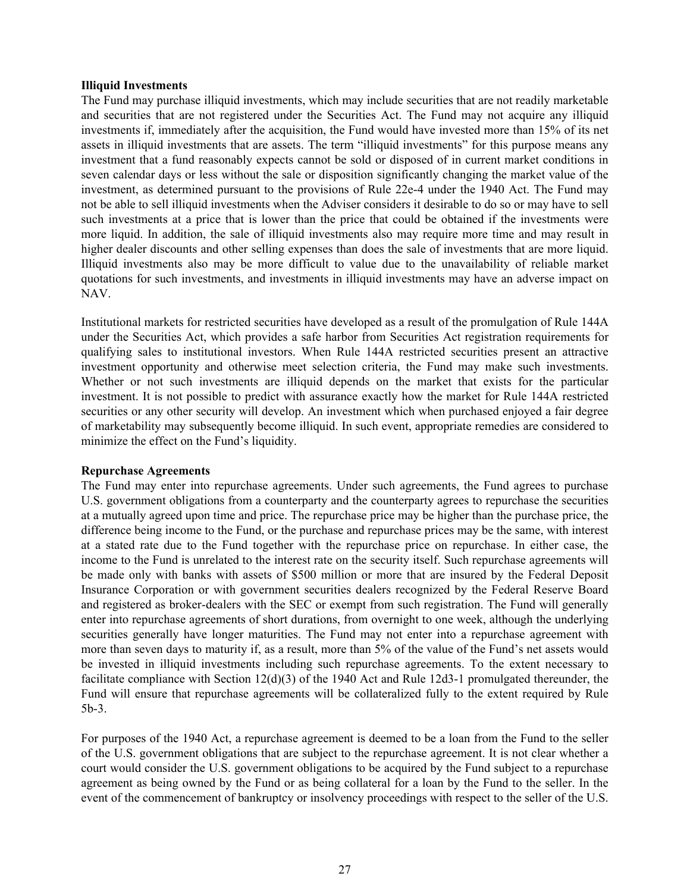#### **Illiquid Investments**

The Fund may purchase illiquid investments, which may include securities that are not readily marketable and securities that are not registered under the Securities Act. The Fund may not acquire any illiquid investments if, immediately after the acquisition, the Fund would have invested more than 15% of its net assets in illiquid investments that are assets. The term "illiquid investments" for this purpose means any investment that a fund reasonably expects cannot be sold or disposed of in current market conditions in seven calendar days or less without the sale or disposition significantly changing the market value of the investment, as determined pursuant to the provisions of Rule 22e-4 under the 1940 Act. The Fund may not be able to sell illiquid investments when the Adviser considers it desirable to do so or may have to sell such investments at a price that is lower than the price that could be obtained if the investments were more liquid. In addition, the sale of illiquid investments also may require more time and may result in higher dealer discounts and other selling expenses than does the sale of investments that are more liquid. Illiquid investments also may be more difficult to value due to the unavailability of reliable market quotations for such investments, and investments in illiquid investments may have an adverse impact on NAV.

Institutional markets for restricted securities have developed as a result of the promulgation of Rule 144A under the Securities Act, which provides a safe harbor from Securities Act registration requirements for qualifying sales to institutional investors. When Rule 144A restricted securities present an attractive investment opportunity and otherwise meet selection criteria, the Fund may make such investments. Whether or not such investments are illiquid depends on the market that exists for the particular investment. It is not possible to predict with assurance exactly how the market for Rule 144A restricted securities or any other security will develop. An investment which when purchased enjoyed a fair degree of marketability may subsequently become illiquid. In such event, appropriate remedies are considered to minimize the effect on the Fund's liquidity.

# **Repurchase Agreements**

The Fund may enter into repurchase agreements. Under such agreements, the Fund agrees to purchase U.S. government obligations from a counterparty and the counterparty agrees to repurchase the securities at a mutually agreed upon time and price. The repurchase price may be higher than the purchase price, the difference being income to the Fund, or the purchase and repurchase prices may be the same, with interest at a stated rate due to the Fund together with the repurchase price on repurchase. In either case, the income to the Fund is unrelated to the interest rate on the security itself. Such repurchase agreements will be made only with banks with assets of \$500 million or more that are insured by the Federal Deposit Insurance Corporation or with government securities dealers recognized by the Federal Reserve Board and registered as broker-dealers with the SEC or exempt from such registration. The Fund will generally enter into repurchase agreements of short durations, from overnight to one week, although the underlying securities generally have longer maturities. The Fund may not enter into a repurchase agreement with more than seven days to maturity if, as a result, more than 5% of the value of the Fund's net assets would be invested in illiquid investments including such repurchase agreements. To the extent necessary to facilitate compliance with Section 12(d)(3) of the 1940 Act and Rule 12d3-1 promulgated thereunder, the Fund will ensure that repurchase agreements will be collateralized fully to the extent required by Rule 5b-3.

For purposes of the 1940 Act, a repurchase agreement is deemed to be a loan from the Fund to the seller of the U.S. government obligations that are subject to the repurchase agreement. It is not clear whether a court would consider the U.S. government obligations to be acquired by the Fund subject to a repurchase agreement as being owned by the Fund or as being collateral for a loan by the Fund to the seller. In the event of the commencement of bankruptcy or insolvency proceedings with respect to the seller of the U.S.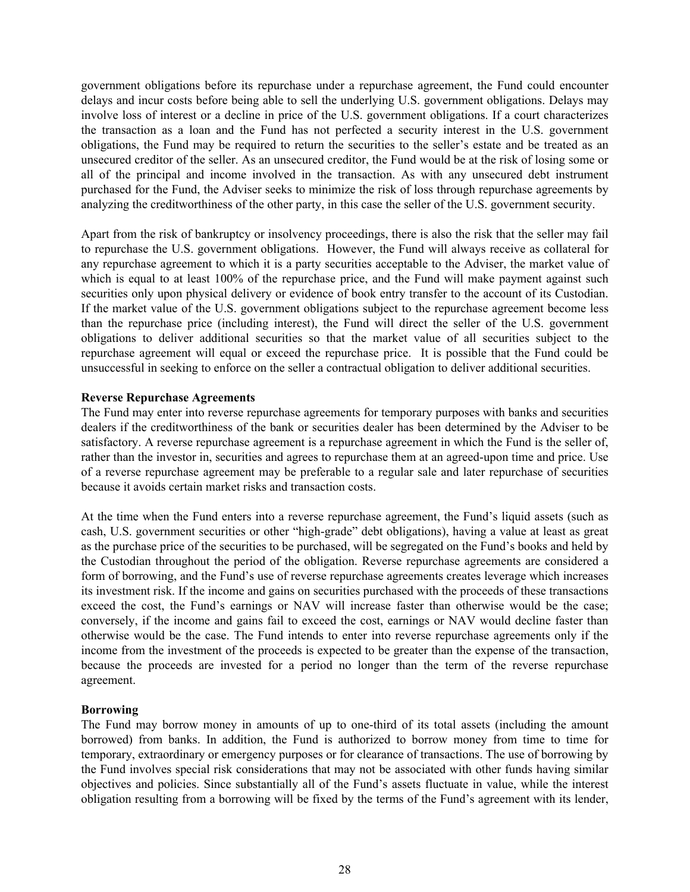government obligations before its repurchase under a repurchase agreement, the Fund could encounter delays and incur costs before being able to sell the underlying U.S. government obligations. Delays may involve loss of interest or a decline in price of the U.S. government obligations. If a court characterizes the transaction as a loan and the Fund has not perfected a security interest in the U.S. government obligations, the Fund may be required to return the securities to the seller's estate and be treated as an unsecured creditor of the seller. As an unsecured creditor, the Fund would be at the risk of losing some or all of the principal and income involved in the transaction. As with any unsecured debt instrument purchased for the Fund, the Adviser seeks to minimize the risk of loss through repurchase agreements by analyzing the creditworthiness of the other party, in this case the seller of the U.S. government security.

Apart from the risk of bankruptcy or insolvency proceedings, there is also the risk that the seller may fail to repurchase the U.S. government obligations. However, the Fund will always receive as collateral for any repurchase agreement to which it is a party securities acceptable to the Adviser, the market value of which is equal to at least 100% of the repurchase price, and the Fund will make payment against such securities only upon physical delivery or evidence of book entry transfer to the account of its Custodian. If the market value of the U.S. government obligations subject to the repurchase agreement become less than the repurchase price (including interest), the Fund will direct the seller of the U.S. government obligations to deliver additional securities so that the market value of all securities subject to the repurchase agreement will equal or exceed the repurchase price. It is possible that the Fund could be unsuccessful in seeking to enforce on the seller a contractual obligation to deliver additional securities.

# **Reverse Repurchase Agreements**

The Fund may enter into reverse repurchase agreements for temporary purposes with banks and securities dealers if the creditworthiness of the bank or securities dealer has been determined by the Adviser to be satisfactory. A reverse repurchase agreement is a repurchase agreement in which the Fund is the seller of, rather than the investor in, securities and agrees to repurchase them at an agreed-upon time and price. Use of a reverse repurchase agreement may be preferable to a regular sale and later repurchase of securities because it avoids certain market risks and transaction costs.

At the time when the Fund enters into a reverse repurchase agreement, the Fund's liquid assets (such as cash, U.S. government securities or other "high-grade" debt obligations), having a value at least as great as the purchase price of the securities to be purchased, will be segregated on the Fund's books and held by the Custodian throughout the period of the obligation. Reverse repurchase agreements are considered a form of borrowing, and the Fund's use of reverse repurchase agreements creates leverage which increases its investment risk. If the income and gains on securities purchased with the proceeds of these transactions exceed the cost, the Fund's earnings or NAV will increase faster than otherwise would be the case; conversely, if the income and gains fail to exceed the cost, earnings or NAV would decline faster than otherwise would be the case. The Fund intends to enter into reverse repurchase agreements only if the income from the investment of the proceeds is expected to be greater than the expense of the transaction, because the proceeds are invested for a period no longer than the term of the reverse repurchase agreement.

# **Borrowing**

The Fund may borrow money in amounts of up to one-third of its total assets (including the amount borrowed) from banks. In addition, the Fund is authorized to borrow money from time to time for temporary, extraordinary or emergency purposes or for clearance of transactions. The use of borrowing by the Fund involves special risk considerations that may not be associated with other funds having similar objectives and policies. Since substantially all of the Fund's assets fluctuate in value, while the interest obligation resulting from a borrowing will be fixed by the terms of the Fund's agreement with its lender,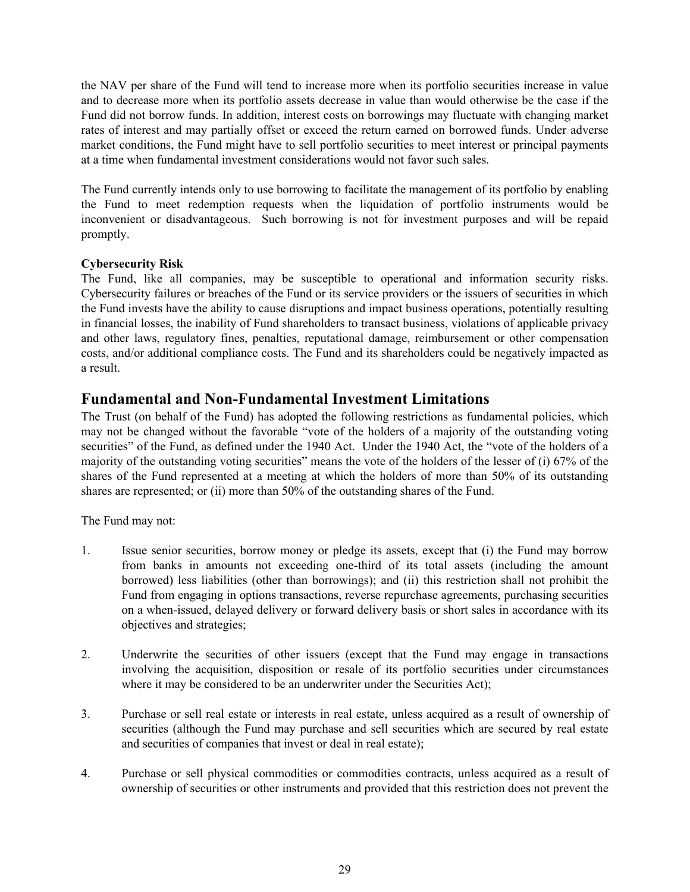the NAV per share of the Fund will tend to increase more when its portfolio securities increase in value and to decrease more when its portfolio assets decrease in value than would otherwise be the case if the Fund did not borrow funds. In addition, interest costs on borrowings may fluctuate with changing market rates of interest and may partially offset or exceed the return earned on borrowed funds. Under adverse market conditions, the Fund might have to sell portfolio securities to meet interest or principal payments at a time when fundamental investment considerations would not favor such sales.

The Fund currently intends only to use borrowing to facilitate the management of its portfolio by enabling the Fund to meet redemption requests when the liquidation of portfolio instruments would be inconvenient or disadvantageous. Such borrowing is not for investment purposes and will be repaid promptly.

# **Cybersecurity Risk**

The Fund, like all companies, may be susceptible to operational and information security risks. Cybersecurity failures or breaches of the Fund or its service providers or the issuers of securities in which the Fund invests have the ability to cause disruptions and impact business operations, potentially resulting in financial losses, the inability of Fund shareholders to transact business, violations of applicable privacy and other laws, regulatory fines, penalties, reputational damage, reimbursement or other compensation costs, and/or additional compliance costs. The Fund and its shareholders could be negatively impacted as a result.

# **Fundamental and Non-Fundamental Investment Limitations**

The Trust (on behalf of the Fund) has adopted the following restrictions as fundamental policies, which may not be changed without the favorable "vote of the holders of a majority of the outstanding voting securities" of the Fund, as defined under the 1940 Act. Under the 1940 Act, the "vote of the holders of a majority of the outstanding voting securities" means the vote of the holders of the lesser of (i) 67% of the shares of the Fund represented at a meeting at which the holders of more than 50% of its outstanding shares are represented; or (ii) more than 50% of the outstanding shares of the Fund.

The Fund may not:

- 1. Issue senior securities, borrow money or pledge its assets, except that (i) the Fund may borrow from banks in amounts not exceeding one-third of its total assets (including the amount borrowed) less liabilities (other than borrowings); and (ii) this restriction shall not prohibit the Fund from engaging in options transactions, reverse repurchase agreements, purchasing securities on a when-issued, delayed delivery or forward delivery basis or short sales in accordance with its objectives and strategies;
- 2. Underwrite the securities of other issuers (except that the Fund may engage in transactions involving the acquisition, disposition or resale of its portfolio securities under circumstances where it may be considered to be an underwriter under the Securities Act);
- 3. Purchase or sell real estate or interests in real estate, unless acquired as a result of ownership of securities (although the Fund may purchase and sell securities which are secured by real estate and securities of companies that invest or deal in real estate);
- 4. Purchase or sell physical commodities or commodities contracts, unless acquired as a result of ownership of securities or other instruments and provided that this restriction does not prevent the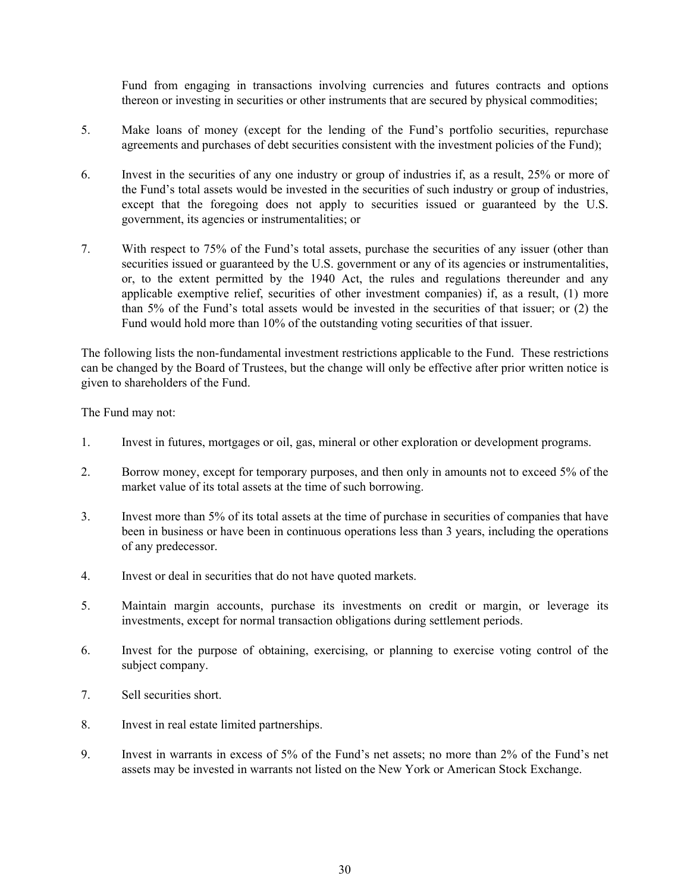Fund from engaging in transactions involving currencies and futures contracts and options thereon or investing in securities or other instruments that are secured by physical commodities;

- 5. Make loans of money (except for the lending of the Fund's portfolio securities, repurchase agreements and purchases of debt securities consistent with the investment policies of the Fund);
- 6. Invest in the securities of any one industry or group of industries if, as a result, 25% or more of the Fund's total assets would be invested in the securities of such industry or group of industries, except that the foregoing does not apply to securities issued or guaranteed by the U.S. government, its agencies or instrumentalities; or
- 7. With respect to 75% of the Fund's total assets, purchase the securities of any issuer (other than securities issued or guaranteed by the U.S. government or any of its agencies or instrumentalities, or, to the extent permitted by the 1940 Act, the rules and regulations thereunder and any applicable exemptive relief, securities of other investment companies) if, as a result, (1) more than 5% of the Fund's total assets would be invested in the securities of that issuer; or (2) the Fund would hold more than 10% of the outstanding voting securities of that issuer.

The following lists the non-fundamental investment restrictions applicable to the Fund. These restrictions can be changed by the Board of Trustees, but the change will only be effective after prior written notice is given to shareholders of the Fund.

The Fund may not:

- 1. Invest in futures, mortgages or oil, gas, mineral or other exploration or development programs.
- 2. Borrow money, except for temporary purposes, and then only in amounts not to exceed 5% of the market value of its total assets at the time of such borrowing.
- 3. Invest more than 5% of its total assets at the time of purchase in securities of companies that have been in business or have been in continuous operations less than 3 years, including the operations of any predecessor.
- 4. Invest or deal in securities that do not have quoted markets.
- 5. Maintain margin accounts, purchase its investments on credit or margin, or leverage its investments, except for normal transaction obligations during settlement periods.
- 6. Invest for the purpose of obtaining, exercising, or planning to exercise voting control of the subject company.
- 7. Sell securities short.
- 8. Invest in real estate limited partnerships.
- 9. Invest in warrants in excess of 5% of the Fund's net assets; no more than 2% of the Fund's net assets may be invested in warrants not listed on the New York or American Stock Exchange.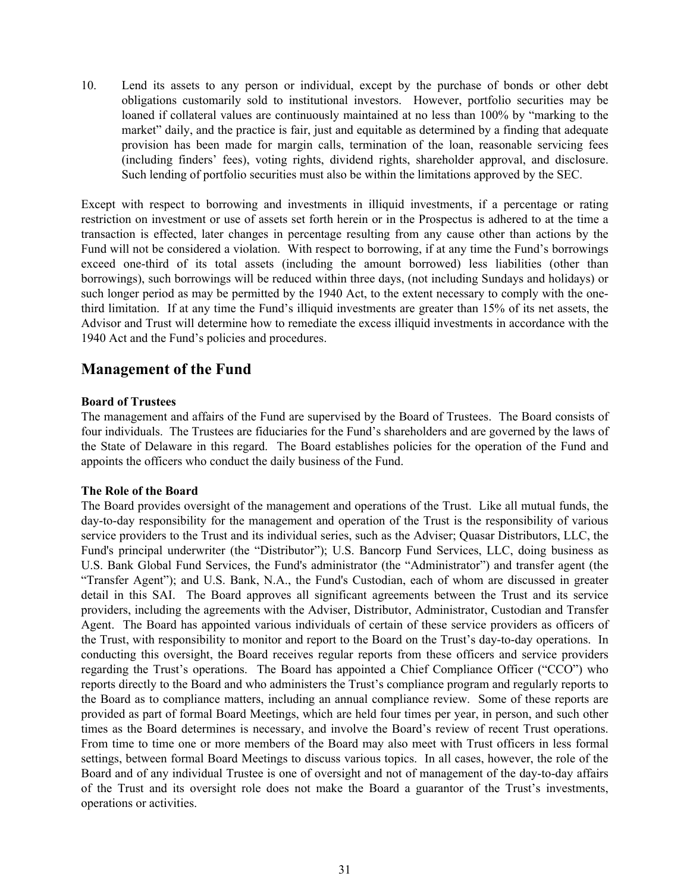10. Lend its assets to any person or individual, except by the purchase of bonds or other debt obligations customarily sold to institutional investors. However, portfolio securities may be loaned if collateral values are continuously maintained at no less than 100% by "marking to the market" daily, and the practice is fair, just and equitable as determined by a finding that adequate provision has been made for margin calls, termination of the loan, reasonable servicing fees (including finders' fees), voting rights, dividend rights, shareholder approval, and disclosure. Such lending of portfolio securities must also be within the limitations approved by the SEC.

Except with respect to borrowing and investments in illiquid investments, if a percentage or rating restriction on investment or use of assets set forth herein or in the Prospectus is adhered to at the time a transaction is effected, later changes in percentage resulting from any cause other than actions by the Fund will not be considered a violation. With respect to borrowing, if at any time the Fund's borrowings exceed one-third of its total assets (including the amount borrowed) less liabilities (other than borrowings), such borrowings will be reduced within three days, (not including Sundays and holidays) or such longer period as may be permitted by the 1940 Act, to the extent necessary to comply with the onethird limitation. If at any time the Fund's illiquid investments are greater than 15% of its net assets, the Advisor and Trust will determine how to remediate the excess illiquid investments in accordance with the 1940 Act and the Fund's policies and procedures.

# **Management of the Fund**

# **Board of Trustees**

The management and affairs of the Fund are supervised by the Board of Trustees. The Board consists of four individuals. The Trustees are fiduciaries for the Fund's shareholders and are governed by the laws of the State of Delaware in this regard. The Board establishes policies for the operation of the Fund and appoints the officers who conduct the daily business of the Fund.

# **The Role of the Board**

The Board provides oversight of the management and operations of the Trust. Like all mutual funds, the day-to-day responsibility for the management and operation of the Trust is the responsibility of various service providers to the Trust and its individual series, such as the Adviser; Quasar Distributors, LLC, the Fund's principal underwriter (the "Distributor"); U.S. Bancorp Fund Services, LLC, doing business as U.S. Bank Global Fund Services, the Fund's administrator (the "Administrator") and transfer agent (the "Transfer Agent"); and U.S. Bank, N.A., the Fund's Custodian, each of whom are discussed in greater detail in this SAI. The Board approves all significant agreements between the Trust and its service providers, including the agreements with the Adviser, Distributor, Administrator, Custodian and Transfer Agent. The Board has appointed various individuals of certain of these service providers as officers of the Trust, with responsibility to monitor and report to the Board on the Trust's day-to-day operations. In conducting this oversight, the Board receives regular reports from these officers and service providers regarding the Trust's operations. The Board has appointed a Chief Compliance Officer ("CCO") who reports directly to the Board and who administers the Trust's compliance program and regularly reports to the Board as to compliance matters, including an annual compliance review. Some of these reports are provided as part of formal Board Meetings, which are held four times per year, in person, and such other times as the Board determines is necessary, and involve the Board's review of recent Trust operations. From time to time one or more members of the Board may also meet with Trust officers in less formal settings, between formal Board Meetings to discuss various topics. In all cases, however, the role of the Board and of any individual Trustee is one of oversight and not of management of the day-to-day affairs of the Trust and its oversight role does not make the Board a guarantor of the Trust's investments, operations or activities.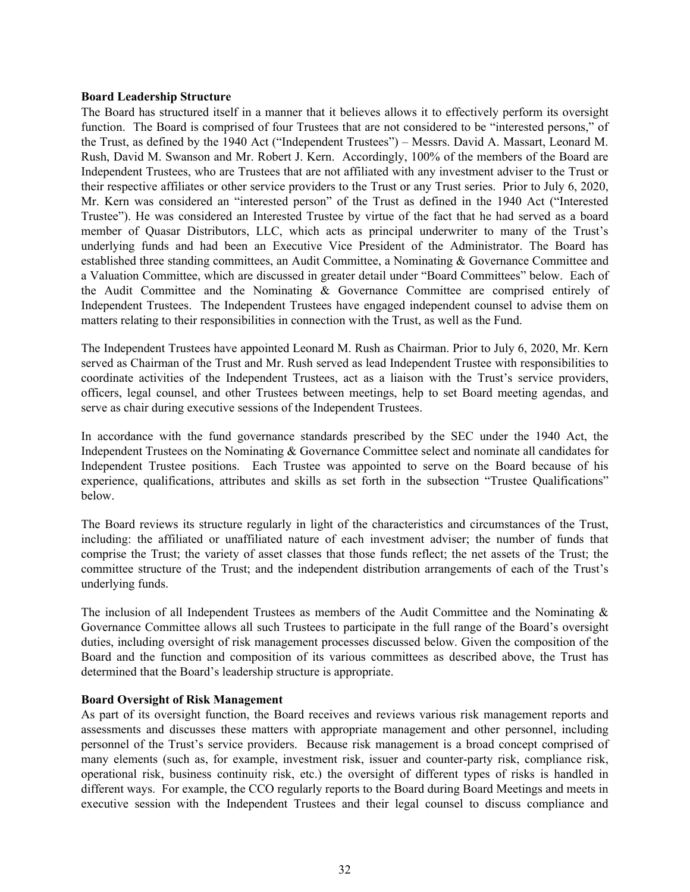#### **Board Leadership Structure**

The Board has structured itself in a manner that it believes allows it to effectively perform its oversight function. The Board is comprised of four Trustees that are not considered to be "interested persons," of the Trust, as defined by the 1940 Act ("Independent Trustees") – Messrs. David A. Massart, Leonard M. Rush, David M. Swanson and Mr. Robert J. Kern. Accordingly, 100% of the members of the Board are Independent Trustees, who are Trustees that are not affiliated with any investment adviser to the Trust or their respective affiliates or other service providers to the Trust or any Trust series. Prior to July 6, 2020, Mr. Kern was considered an "interested person" of the Trust as defined in the 1940 Act ("Interested Trustee"). He was considered an Interested Trustee by virtue of the fact that he had served as a board member of Quasar Distributors, LLC, which acts as principal underwriter to many of the Trust's underlying funds and had been an Executive Vice President of the Administrator. The Board has established three standing committees, an Audit Committee, a Nominating & Governance Committee and a Valuation Committee, which are discussed in greater detail under "Board Committees" below. Each of the Audit Committee and the Nominating & Governance Committee are comprised entirely of Independent Trustees. The Independent Trustees have engaged independent counsel to advise them on matters relating to their responsibilities in connection with the Trust, as well as the Fund.

The Independent Trustees have appointed Leonard M. Rush as Chairman. Prior to July 6, 2020, Mr. Kern served as Chairman of the Trust and Mr. Rush served as lead Independent Trustee with responsibilities to coordinate activities of the Independent Trustees, act as a liaison with the Trust's service providers, officers, legal counsel, and other Trustees between meetings, help to set Board meeting agendas, and serve as chair during executive sessions of the Independent Trustees.

In accordance with the fund governance standards prescribed by the SEC under the 1940 Act, the Independent Trustees on the Nominating & Governance Committee select and nominate all candidates for Independent Trustee positions. Each Trustee was appointed to serve on the Board because of his experience, qualifications, attributes and skills as set forth in the subsection "Trustee Qualifications" below.

The Board reviews its structure regularly in light of the characteristics and circumstances of the Trust, including: the affiliated or unaffiliated nature of each investment adviser; the number of funds that comprise the Trust; the variety of asset classes that those funds reflect; the net assets of the Trust; the committee structure of the Trust; and the independent distribution arrangements of each of the Trust's underlying funds.

The inclusion of all Independent Trustees as members of the Audit Committee and the Nominating & Governance Committee allows all such Trustees to participate in the full range of the Board's oversight duties, including oversight of risk management processes discussed below. Given the composition of the Board and the function and composition of its various committees as described above, the Trust has determined that the Board's leadership structure is appropriate.

# **Board Oversight of Risk Management**

As part of its oversight function, the Board receives and reviews various risk management reports and assessments and discusses these matters with appropriate management and other personnel, including personnel of the Trust's service providers. Because risk management is a broad concept comprised of many elements (such as, for example, investment risk, issuer and counter-party risk, compliance risk, operational risk, business continuity risk, etc.) the oversight of different types of risks is handled in different ways. For example, the CCO regularly reports to the Board during Board Meetings and meets in executive session with the Independent Trustees and their legal counsel to discuss compliance and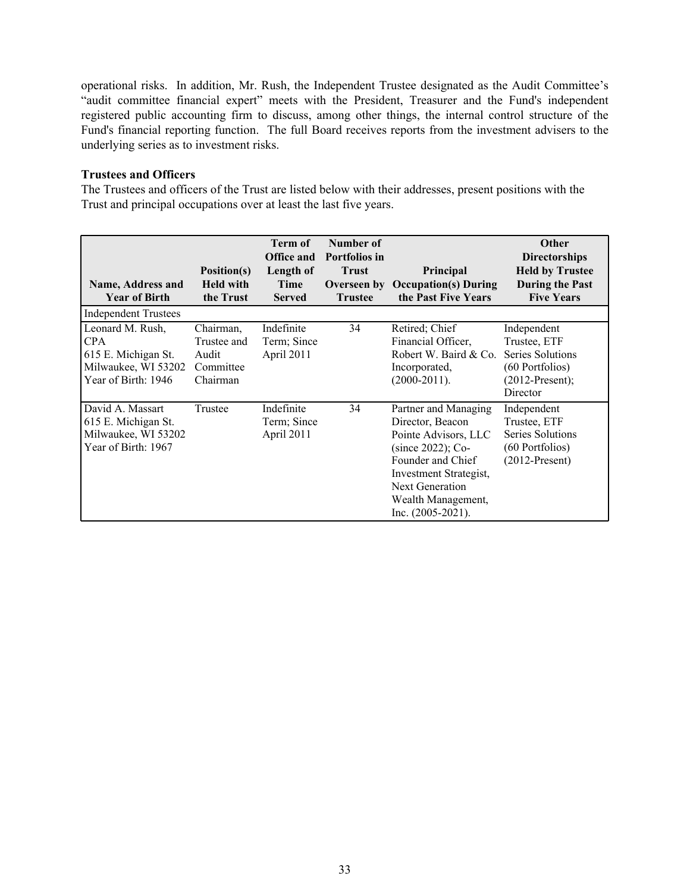operational risks. In addition, Mr. Rush, the Independent Trustee designated as the Audit Committee's "audit committee financial expert" meets with the President, Treasurer and the Fund's independent registered public accounting firm to discuss, among other things, the internal control structure of the Fund's financial reporting function. The full Board receives reports from the investment advisers to the underlying series as to investment risks.

# **Trustees and Officers**

The Trustees and officers of the Trust are listed below with their addresses, present positions with the Trust and principal occupations over at least the last five years.

| Name, Address and<br><b>Year of Birth</b>                                             | Position(s)<br><b>Held with</b><br>the Trust | Term of<br><b>Office and</b><br>Length of<br>Time<br><b>Served</b> | Number of<br><b>Portfolios in</b><br><b>Trust</b><br>Overseen by<br><b>Trustee</b> | <b>Principal</b><br><b>Occupation(s) During</b><br>the Past Five Years                                                                                                                                   | Other<br><b>Directorships</b><br><b>Held by Trustee</b><br><b>During the Past</b><br><b>Five Years</b> |
|---------------------------------------------------------------------------------------|----------------------------------------------|--------------------------------------------------------------------|------------------------------------------------------------------------------------|----------------------------------------------------------------------------------------------------------------------------------------------------------------------------------------------------------|--------------------------------------------------------------------------------------------------------|
| <b>Independent Trustees</b><br>Leonard M. Rush,<br><b>CPA</b>                         | Chairman,<br>Trustee and                     | Indefinite                                                         | 34                                                                                 | Retired; Chief                                                                                                                                                                                           | Independent                                                                                            |
| 615 E. Michigan St.<br>Milwaukee, WI 53202<br>Year of Birth: 1946                     | Audit<br>Committee<br>Chairman               | Term; Since<br>April 2011                                          |                                                                                    | Financial Officer,<br>Robert W. Baird & Co.<br>Incorporated,<br>$(2000-2011).$                                                                                                                           | Trustee, ETF<br>Series Solutions<br>(60 Portfolios)<br>$(2012$ -Present);<br>Director                  |
| David A. Massart<br>615 E. Michigan St.<br>Milwaukee, WI 53202<br>Year of Birth: 1967 | Trustee                                      | Indefinite<br>Term; Since<br>April 2011                            | 34                                                                                 | Partner and Managing<br>Director, Beacon<br>Pointe Advisors, LLC<br>$(since 2022)$ ; Co-<br>Founder and Chief<br>Investment Strategist,<br>Next Generation<br>Wealth Management,<br>Inc. $(2005-2021)$ . | Independent<br>Trustee, ETF<br>Series Solutions<br>(60 Portfolios)<br>$(2012$ -Present)                |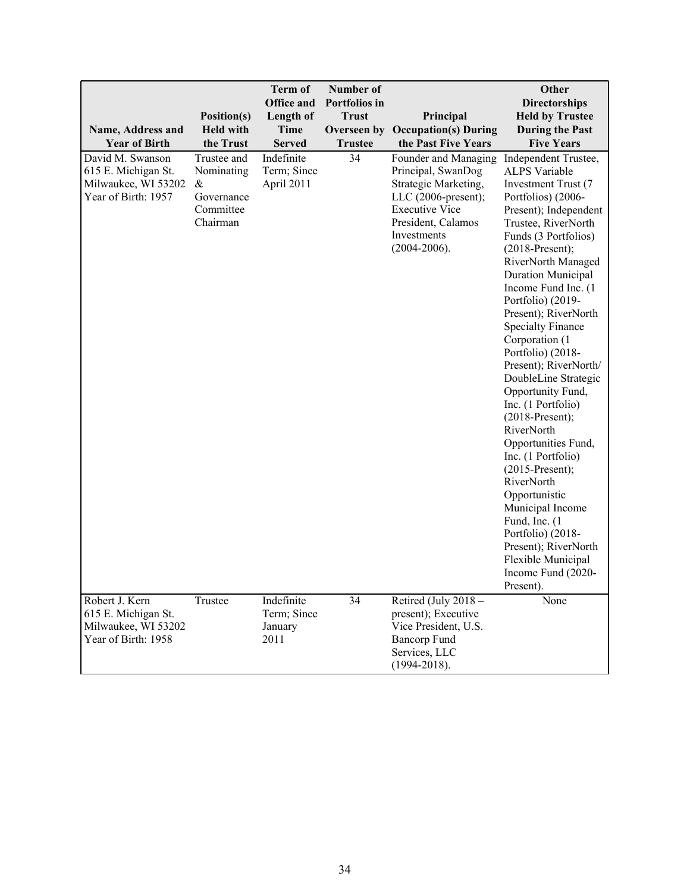| Name, Address and<br><b>Year of Birth</b>                                             | Position(s)<br><b>Held with</b><br>the Trust                             | <b>Term of</b><br><b>Office and</b><br>Length of<br><b>Time</b><br><b>Served</b> | Number of<br><b>Portfolios</b> in<br><b>Trust</b><br><b>Trustee</b> | Principal<br><b>Overseen by Occupation(s) During</b><br>the Past Five Years                                                                                                    | Other<br><b>Directorships</b><br><b>Held by Trustee</b><br><b>During the Past</b><br><b>Five Years</b>                                                                                                                                                                                                                                                                                                                                                                                                                                                                                                                                                                                                                                                       |
|---------------------------------------------------------------------------------------|--------------------------------------------------------------------------|----------------------------------------------------------------------------------|---------------------------------------------------------------------|--------------------------------------------------------------------------------------------------------------------------------------------------------------------------------|--------------------------------------------------------------------------------------------------------------------------------------------------------------------------------------------------------------------------------------------------------------------------------------------------------------------------------------------------------------------------------------------------------------------------------------------------------------------------------------------------------------------------------------------------------------------------------------------------------------------------------------------------------------------------------------------------------------------------------------------------------------|
| David M. Swanson<br>615 E. Michigan St.<br>Milwaukee, WI 53202<br>Year of Birth: 1957 | Trustee and<br>Nominating<br>$\&$<br>Governance<br>Committee<br>Chairman | Indefinite<br>Term; Since<br>April 2011                                          | 34                                                                  | Founder and Managing<br>Principal, SwanDog<br>Strategic Marketing,<br>LLC $(2006$ -present);<br><b>Executive Vice</b><br>President, Calamos<br>Investments<br>$(2004 - 2006).$ | Independent Trustee,<br><b>ALPS Variable</b><br>Investment Trust (7<br>Portfolios) (2006-<br>Present); Independent<br>Trustee, RiverNorth<br>Funds (3 Portfolios)<br>$(2018-Present);$<br>RiverNorth Managed<br><b>Duration Municipal</b><br>Income Fund Inc. (1)<br>Portfolio) (2019-<br>Present); RiverNorth<br><b>Specialty Finance</b><br>Corporation (1<br>Portfolio) (2018-<br>Present); RiverNorth/<br>DoubleLine Strategic<br>Opportunity Fund,<br>Inc. (1 Portfolio)<br>$(2018-Present);$<br>RiverNorth<br>Opportunities Fund,<br>Inc. (1 Portfolio)<br>$(2015-Present);$<br>RiverNorth<br>Opportunistic<br>Municipal Income<br>Fund, Inc. (1<br>Portfolio) (2018-<br>Present); RiverNorth<br>Flexible Municipal<br>Income Fund (2020-<br>Present). |
| Robert J. Kern<br>615 E. Michigan St.<br>Milwaukee, WI 53202<br>Year of Birth: 1958   | Trustee                                                                  | Indefinite<br>Term; Since<br>January<br>2011                                     | 34                                                                  | Retired (July 2018 -<br>present); Executive<br>Vice President, U.S.<br><b>Bancorp Fund</b><br>Services, LLC<br>$(1994 - 2018).$                                                | None                                                                                                                                                                                                                                                                                                                                                                                                                                                                                                                                                                                                                                                                                                                                                         |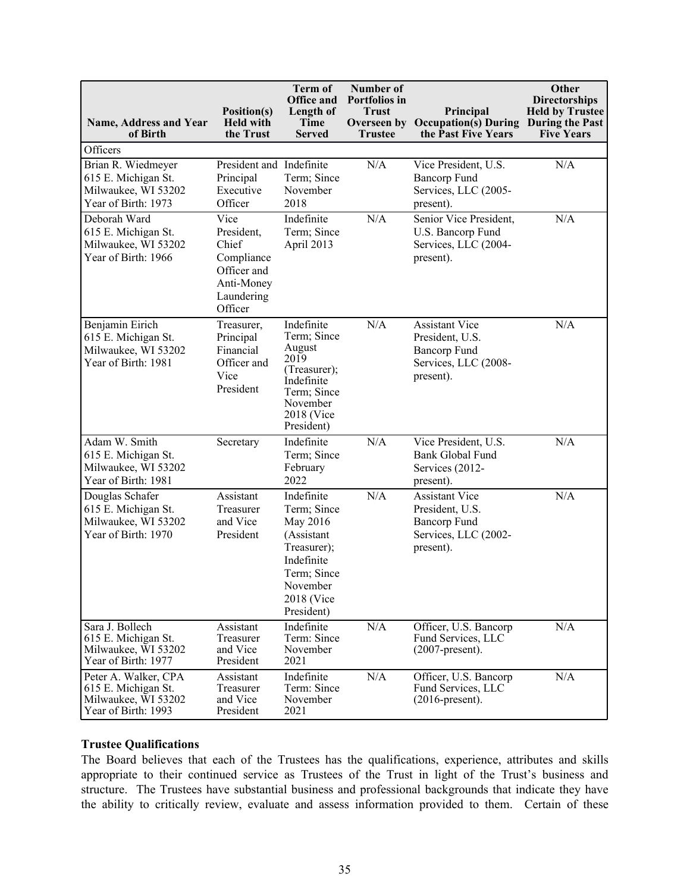| Name, Address and Year<br>of Birth                                                        | Position(s)<br><b>Held with</b><br>the Trust                                                    | <b>Term of</b><br><b>Office and</b><br>Length of<br>Time<br><b>Served</b>                                                               | Number of<br>Portfolios in<br><b>Trust</b><br><b>Trustee</b> | Principal<br><b>Overseen by Occupation(s) During</b><br>the Past Five Years                          | Other<br><b>Directorships</b><br><b>Held by Trustee</b><br>During the Past<br><b>Five Years</b> |
|-------------------------------------------------------------------------------------------|-------------------------------------------------------------------------------------------------|-----------------------------------------------------------------------------------------------------------------------------------------|--------------------------------------------------------------|------------------------------------------------------------------------------------------------------|-------------------------------------------------------------------------------------------------|
| Officers                                                                                  |                                                                                                 |                                                                                                                                         |                                                              |                                                                                                      |                                                                                                 |
| Brian R. Wiedmeyer<br>615 E. Michigan St.<br>Milwaukee, WI 53202<br>Year of Birth: 1973   | President and Indefinite<br>Principal<br>Executive<br>Officer                                   | Term; Since<br>November<br>2018                                                                                                         | N/A                                                          | Vice President, U.S.<br><b>Bancorp Fund</b><br>Services, LLC (2005-<br>present).                     | N/A                                                                                             |
| Deborah Ward<br>615 E. Michigan St.<br>Milwaukee, WI 53202<br>Year of Birth: 1966         | Vice<br>President,<br>Chief<br>Compliance<br>Officer and<br>Anti-Money<br>Laundering<br>Officer | Indefinite<br>Term; Since<br>April 2013                                                                                                 | N/A                                                          | Senior Vice President,<br>U.S. Bancorp Fund<br>Services, LLC (2004-<br>present).                     | N/A                                                                                             |
| Benjamin Eirich<br>615 E. Michigan St.<br>Milwaukee, WI 53202<br>Year of Birth: 1981      | Treasurer,<br>Principal<br>Financial<br>Officer and<br>Vice<br>President                        | Indefinite<br>Term; Since<br>August<br>2019<br>(Treasurer);<br>Indefinite<br>Term; Since<br>November<br>2018 (Vice<br>President)        | N/A                                                          | <b>Assistant Vice</b><br>President, U.S.<br><b>Bancorp Fund</b><br>Services, LLC (2008-<br>present). | N/A                                                                                             |
| Adam W. Smith<br>615 E. Michigan St.<br>Milwaukee, WI 53202<br>Year of Birth: 1981        | Secretary                                                                                       | Indefinite<br>Term; Since<br>February<br>2022                                                                                           | N/A                                                          | Vice President, U.S.<br><b>Bank Global Fund</b><br>Services (2012-<br>present).                      | N/A                                                                                             |
| Douglas Schafer<br>615 E. Michigan St.<br>Milwaukee, WI 53202<br>Year of Birth: 1970      | Assistant<br>Treasurer<br>and Vice<br>President                                                 | Indefinite<br>Term; Since<br>May 2016<br>(Assistant<br>Treasurer);<br>Indefinite<br>Term; Since<br>November<br>2018 (Vice<br>President) | N/A                                                          | <b>Assistant Vice</b><br>President, U.S.<br><b>Bancorp Fund</b><br>Services, LLC (2002-<br>present). | N/A                                                                                             |
| Sara J. Bollech<br>615 E. Michigan St.<br>Milwaukee, WI 53202<br>Year of Birth: 1977      | Assistant<br>Treasurer<br>and Vice<br>President                                                 | Indefinite<br>Term: Since<br>November<br>2021                                                                                           | N/A                                                          | Officer, U.S. Bancorp<br>Fund Services, LLC<br>$(2007$ -present).                                    | N/A                                                                                             |
| Peter A. Walker, CPA<br>615 E. Michigan St.<br>Milwaukee, WI 53202<br>Year of Birth: 1993 | Assistant<br>Treasurer<br>and Vice<br>President                                                 | Indefinite<br>Term: Since<br>November<br>2021                                                                                           | N/A                                                          | Officer, U.S. Bancorp<br>Fund Services, LLC<br>$(2016$ -present).                                    | N/A                                                                                             |

#### **Trustee Qualifications**

The Board believes that each of the Trustees has the qualifications, experience, attributes and skills appropriate to their continued service as Trustees of the Trust in light of the Trust's business and structure. The Trustees have substantial business and professional backgrounds that indicate they have the ability to critically review, evaluate and assess information provided to them. Certain of these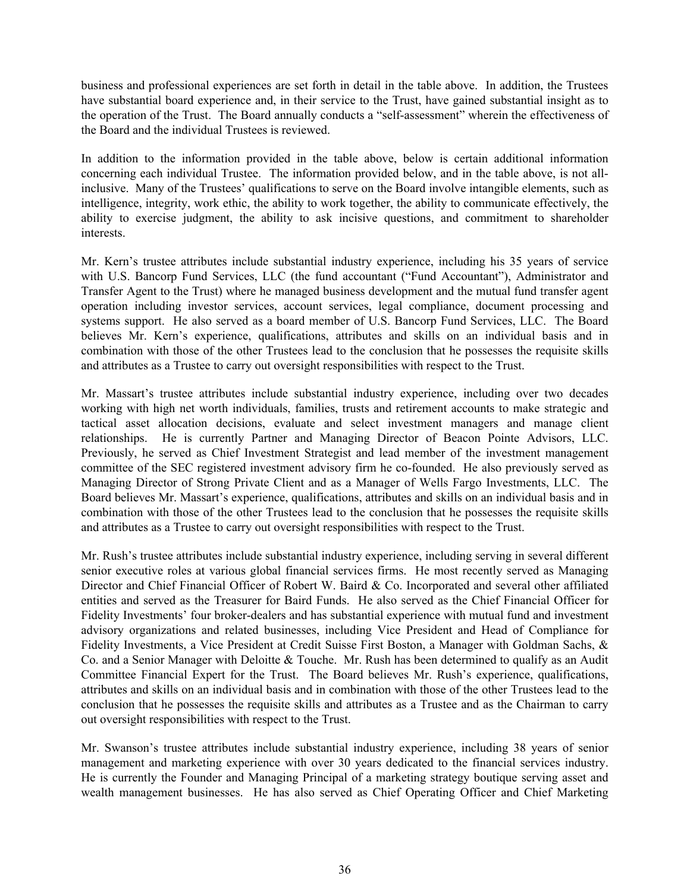business and professional experiences are set forth in detail in the table above. In addition, the Trustees have substantial board experience and, in their service to the Trust, have gained substantial insight as to the operation of the Trust. The Board annually conducts a "self-assessment" wherein the effectiveness of the Board and the individual Trustees is reviewed.

In addition to the information provided in the table above, below is certain additional information concerning each individual Trustee. The information provided below, and in the table above, is not allinclusive. Many of the Trustees' qualifications to serve on the Board involve intangible elements, such as intelligence, integrity, work ethic, the ability to work together, the ability to communicate effectively, the ability to exercise judgment, the ability to ask incisive questions, and commitment to shareholder interests.

Mr. Kern's trustee attributes include substantial industry experience, including his 35 years of service with U.S. Bancorp Fund Services, LLC (the fund accountant ("Fund Accountant"), Administrator and Transfer Agent to the Trust) where he managed business development and the mutual fund transfer agent operation including investor services, account services, legal compliance, document processing and systems support. He also served as a board member of U.S. Bancorp Fund Services, LLC. The Board believes Mr. Kern's experience, qualifications, attributes and skills on an individual basis and in combination with those of the other Trustees lead to the conclusion that he possesses the requisite skills and attributes as a Trustee to carry out oversight responsibilities with respect to the Trust.

Mr. Massart's trustee attributes include substantial industry experience, including over two decades working with high net worth individuals, families, trusts and retirement accounts to make strategic and tactical asset allocation decisions, evaluate and select investment managers and manage client relationships. He is currently Partner and Managing Director of Beacon Pointe Advisors, LLC. Previously, he served as Chief Investment Strategist and lead member of the investment management committee of the SEC registered investment advisory firm he co-founded. He also previously served as Managing Director of Strong Private Client and as a Manager of Wells Fargo Investments, LLC. The Board believes Mr. Massart's experience, qualifications, attributes and skills on an individual basis and in combination with those of the other Trustees lead to the conclusion that he possesses the requisite skills and attributes as a Trustee to carry out oversight responsibilities with respect to the Trust.

Mr. Rush's trustee attributes include substantial industry experience, including serving in several different senior executive roles at various global financial services firms. He most recently served as Managing Director and Chief Financial Officer of Robert W. Baird & Co. Incorporated and several other affiliated entities and served as the Treasurer for Baird Funds. He also served as the Chief Financial Officer for Fidelity Investments' four broker-dealers and has substantial experience with mutual fund and investment advisory organizations and related businesses, including Vice President and Head of Compliance for Fidelity Investments, a Vice President at Credit Suisse First Boston, a Manager with Goldman Sachs, & Co. and a Senior Manager with Deloitte & Touche. Mr. Rush has been determined to qualify as an Audit Committee Financial Expert for the Trust. The Board believes Mr. Rush's experience, qualifications, attributes and skills on an individual basis and in combination with those of the other Trustees lead to the conclusion that he possesses the requisite skills and attributes as a Trustee and as the Chairman to carry out oversight responsibilities with respect to the Trust.

Mr. Swanson's trustee attributes include substantial industry experience, including 38 years of senior management and marketing experience with over 30 years dedicated to the financial services industry. He is currently the Founder and Managing Principal of a marketing strategy boutique serving asset and wealth management businesses. He has also served as Chief Operating Officer and Chief Marketing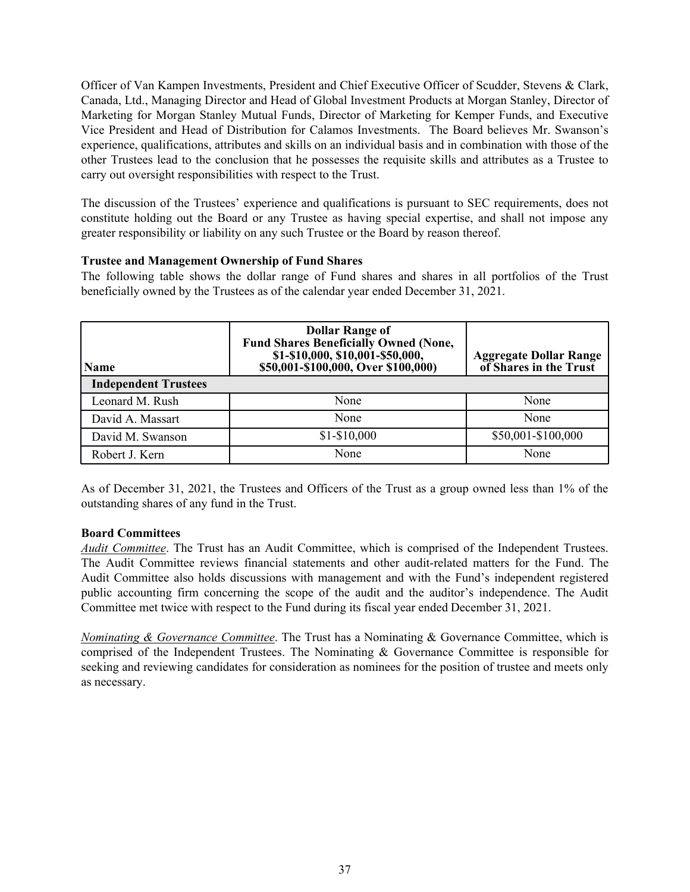Officer of Van Kampen Investments, President and Chief Executive Officer of Scudder, Stevens & Clark, Canada, Ltd., Managing Director and Head of Global Investment Products at Morgan Stanley, Director of Marketing for Morgan Stanley Mutual Funds, Director of Marketing for Kemper Funds, and Executive Vice President and Head of Distribution for Calamos Investments. The Board believes Mr. Swanson's experience, qualifications, attributes and skills on an individual basis and in combination with those of the other Trustees lead to the conclusion that he possesses the requisite skills and attributes as a Trustee to carry out oversight responsibilities with respect to the Trust.

The discussion of the Trustees' experience and qualifications is pursuant to SEC requirements, does not constitute holding out the Board or any Trustee as having special expertise, and shall not impose any greater responsibility or liability on any such Trustee or the Board by reason thereof.

# **Trustee and Management Ownership of Fund Shares**

The following table shows the dollar range of Fund shares and shares in all portfolios of the Trust beneficially owned by the Trustees as of the calendar year ended December 31, 2021.

| <b>Name</b>                 | <b>Dollar Range of</b><br><b>Fund Shares Beneficially Owned (None,</b><br>\$1-\$10,000, \$10,001-\$50,000,<br>\$50,001-\$100,000, Over \$100,000) | <b>Aggregate Dollar Range</b><br>of Shares in the Trust |
|-----------------------------|---------------------------------------------------------------------------------------------------------------------------------------------------|---------------------------------------------------------|
| <b>Independent Trustees</b> |                                                                                                                                                   |                                                         |
| Leonard M. Rush             | None                                                                                                                                              | None                                                    |
| David A. Massart            | None                                                                                                                                              | None                                                    |
| David M. Swanson            | $$1-$10,000$                                                                                                                                      | \$50,001-\$100,000                                      |
| Robert J. Kern              | None                                                                                                                                              | None                                                    |

As of December 31, 2021, the Trustees and Officers of the Trust as a group owned less than 1% of the outstanding shares of any fund in the Trust.

# **Board Committees**

*Audit Committee*. The Trust has an Audit Committee, which is comprised of the Independent Trustees. The Audit Committee reviews financial statements and other audit-related matters for the Fund. The Audit Committee also holds discussions with management and with the Fund's independent registered public accounting firm concerning the scope of the audit and the auditor's independence. The Audit Committee met twice with respect to the Fund during its fiscal year ended December 31, 2021.

*Nominating & Governance Committee*. The Trust has a Nominating & Governance Committee, which is comprised of the Independent Trustees. The Nominating & Governance Committee is responsible for seeking and reviewing candidates for consideration as nominees for the position of trustee and meets only as necessary.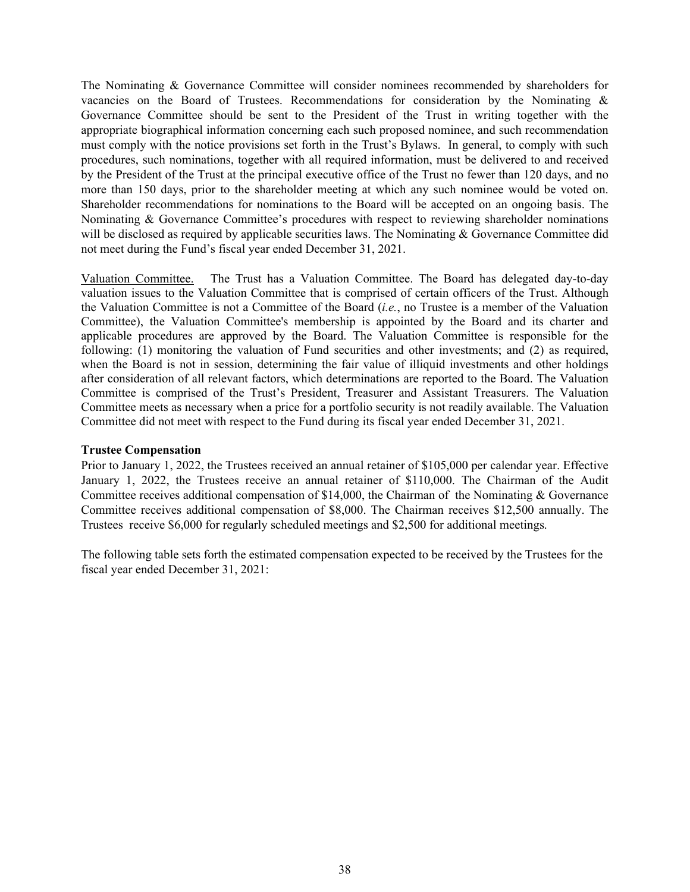The Nominating & Governance Committee will consider nominees recommended by shareholders for vacancies on the Board of Trustees. Recommendations for consideration by the Nominating & Governance Committee should be sent to the President of the Trust in writing together with the appropriate biographical information concerning each such proposed nominee, and such recommendation must comply with the notice provisions set forth in the Trust's Bylaws. In general, to comply with such procedures, such nominations, together with all required information, must be delivered to and received by the President of the Trust at the principal executive office of the Trust no fewer than 120 days, and no more than 150 days, prior to the shareholder meeting at which any such nominee would be voted on. Shareholder recommendations for nominations to the Board will be accepted on an ongoing basis. The Nominating & Governance Committee's procedures with respect to reviewing shareholder nominations will be disclosed as required by applicable securities laws. The Nominating & Governance Committee did not meet during the Fund's fiscal year ended December 31, 2021.

Valuation Committee. The Trust has a Valuation Committee. The Board has delegated day-to-day valuation issues to the Valuation Committee that is comprised of certain officers of the Trust. Although the Valuation Committee is not a Committee of the Board (*i.e.*, no Trustee is a member of the Valuation Committee), the Valuation Committee's membership is appointed by the Board and its charter and applicable procedures are approved by the Board. The Valuation Committee is responsible for the following: (1) monitoring the valuation of Fund securities and other investments; and (2) as required, when the Board is not in session, determining the fair value of illiquid investments and other holdings after consideration of all relevant factors, which determinations are reported to the Board. The Valuation Committee is comprised of the Trust's President, Treasurer and Assistant Treasurers. The Valuation Committee meets as necessary when a price for a portfolio security is not readily available. The Valuation Committee did not meet with respect to the Fund during its fiscal year ended December 31, 2021.

### **Trustee Compensation**

Prior to January 1, 2022, the Trustees received an annual retainer of \$105,000 per calendar year. Effective January 1, 2022, the Trustees receive an annual retainer of \$110,000. The Chairman of the Audit Committee receives additional compensation of \$14,000, the Chairman of the Nominating & Governance Committee receives additional compensation of \$8,000. The Chairman receives \$12,500 annually. The Trustees receive \$6,000 for regularly scheduled meetings and \$2,500 for additional meetings.

The following table sets forth the estimated compensation expected to be received by the Trustees for the fiscal year ended December 31, 2021: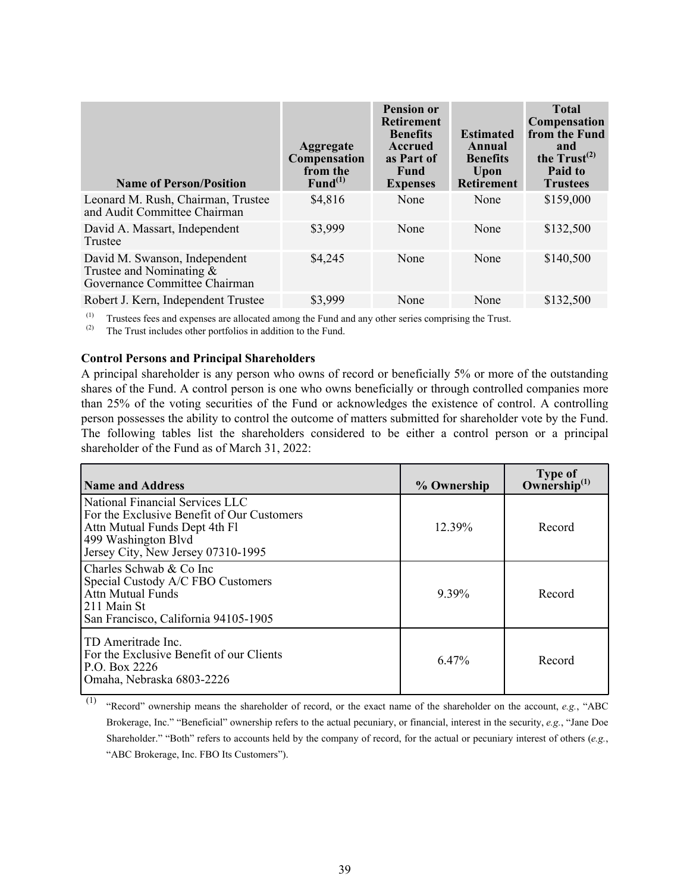| <b>Name of Person/Position</b>                                                                | <b>Aggregate</b><br>Compensation<br>from the<br>$Fund^{(1)}$ | <b>Pension or</b><br><b>Retirement</b><br><b>Benefits</b><br><b>Accrued</b><br>as Part of<br>Fund<br><b>Expenses</b> | <b>Estimated</b><br>Annual<br><b>Benefits</b><br>Upon<br><b>Retirement</b> | <b>Total</b><br>Compensation<br>from the Fund<br>and<br>the $Trust^{(2)}$<br>Paid to<br><b>Trustees</b> |
|-----------------------------------------------------------------------------------------------|--------------------------------------------------------------|----------------------------------------------------------------------------------------------------------------------|----------------------------------------------------------------------------|---------------------------------------------------------------------------------------------------------|
| Leonard M. Rush, Chairman, Trustee<br>and Audit Committee Chairman                            | \$4,816                                                      | None                                                                                                                 | None                                                                       | \$159,000                                                                                               |
| David A. Massart, Independent<br>Trustee                                                      | \$3,999                                                      | None                                                                                                                 | None                                                                       | \$132,500                                                                                               |
| David M. Swanson, Independent<br>Trustee and Nominating $\&$<br>Governance Committee Chairman | \$4,245                                                      | None                                                                                                                 | None                                                                       | \$140,500                                                                                               |
| Robert J. Kern, Independent Trustee                                                           | \$3,999                                                      | None                                                                                                                 | None                                                                       | \$132,500                                                                                               |

(1) Trustees fees and expenses are allocated among the Fund and any other series comprising the Trust.<br>(2) The Trust includes other portfolios in addition to the Fund

The Trust includes other portfolios in addition to the Fund.

#### **Control Persons and Principal Shareholders**

A principal shareholder is any person who owns of record or beneficially 5% or more of the outstanding shares of the Fund. A control person is one who owns beneficially or through controlled companies more than 25% of the voting securities of the Fund or acknowledges the existence of control. A controlling person possesses the ability to control the outcome of matters submitted for shareholder vote by the Fund. The following tables list the shareholders considered to be either a control person or a principal shareholder of the Fund as of March 31, 2022:

| <b>Name and Address</b>                                                                                                                                                     | % Ownership | <b>Type of</b><br>Ownership $^{(1)}$ |
|-----------------------------------------------------------------------------------------------------------------------------------------------------------------------------|-------------|--------------------------------------|
| National Financial Services LLC<br>For the Exclusive Benefit of Our Customers<br>Attn Mutual Funds Dept 4th Fl<br>499 Washington Blvd<br>Jersey City, New Jersey 07310-1995 | 12.39%      | Record                               |
| Charles Schwab & Co Inc<br>Special Custody A/C FBO Customers<br>Attn Mutual Funds<br>1211 Main St<br>San Francisco, California 94105-1905                                   | 9.39%       | Record                               |
| TD Ameritrade Inc.<br>For the Exclusive Benefit of our Clients<br>P.O. Box 2226<br>Omaha, Nebraska 6803-2226                                                                | 6.47%       | Record                               |

<sup>(1)</sup> "Record" ownership means the shareholder of record, or the exact name of the shareholder on the account, *e.g.*, "ABC Brokerage, Inc." "Beneficial" ownership refers to the actual pecuniary, or financial, interest in the security, *e.g.*, "Jane Doe Shareholder." "Both" refers to accounts held by the company of record, for the actual or pecuniary interest of others (*e.g.*, "ABC Brokerage, Inc. FBO Its Customers").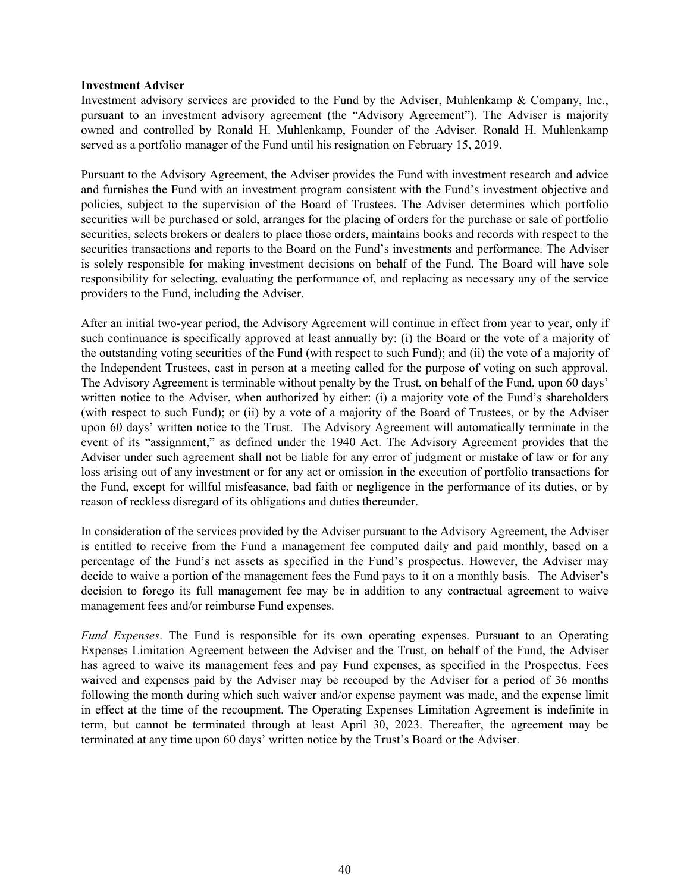#### **Investment Adviser**

Investment advisory services are provided to the Fund by the Adviser, Muhlenkamp & Company, Inc., pursuant to an investment advisory agreement (the "Advisory Agreement"). The Adviser is majority owned and controlled by Ronald H. Muhlenkamp, Founder of the Adviser. Ronald H. Muhlenkamp served as a portfolio manager of the Fund until his resignation on February 15, 2019.

Pursuant to the Advisory Agreement, the Adviser provides the Fund with investment research and advice and furnishes the Fund with an investment program consistent with the Fund's investment objective and policies, subject to the supervision of the Board of Trustees. The Adviser determines which portfolio securities will be purchased or sold, arranges for the placing of orders for the purchase or sale of portfolio securities, selects brokers or dealers to place those orders, maintains books and records with respect to the securities transactions and reports to the Board on the Fund's investments and performance. The Adviser is solely responsible for making investment decisions on behalf of the Fund. The Board will have sole responsibility for selecting, evaluating the performance of, and replacing as necessary any of the service providers to the Fund, including the Adviser.

After an initial two-year period, the Advisory Agreement will continue in effect from year to year, only if such continuance is specifically approved at least annually by: (i) the Board or the vote of a majority of the outstanding voting securities of the Fund (with respect to such Fund); and (ii) the vote of a majority of the Independent Trustees, cast in person at a meeting called for the purpose of voting on such approval. The Advisory Agreement is terminable without penalty by the Trust, on behalf of the Fund, upon 60 days' written notice to the Adviser, when authorized by either: (i) a majority vote of the Fund's shareholders (with respect to such Fund); or (ii) by a vote of a majority of the Board of Trustees, or by the Adviser upon 60 days' written notice to the Trust. The Advisory Agreement will automatically terminate in the event of its "assignment," as defined under the 1940 Act. The Advisory Agreement provides that the Adviser under such agreement shall not be liable for any error of judgment or mistake of law or for any loss arising out of any investment or for any act or omission in the execution of portfolio transactions for the Fund, except for willful misfeasance, bad faith or negligence in the performance of its duties, or by reason of reckless disregard of its obligations and duties thereunder.

In consideration of the services provided by the Adviser pursuant to the Advisory Agreement, the Adviser is entitled to receive from the Fund a management fee computed daily and paid monthly, based on a percentage of the Fund's net assets as specified in the Fund's prospectus. However, the Adviser may decide to waive a portion of the management fees the Fund pays to it on a monthly basis. The Adviser's decision to forego its full management fee may be in addition to any contractual agreement to waive management fees and/or reimburse Fund expenses.

*Fund Expenses*. The Fund is responsible for its own operating expenses. Pursuant to an Operating Expenses Limitation Agreement between the Adviser and the Trust, on behalf of the Fund, the Adviser has agreed to waive its management fees and pay Fund expenses, as specified in the Prospectus. Fees waived and expenses paid by the Adviser may be recouped by the Adviser for a period of 36 months following the month during which such waiver and/or expense payment was made, and the expense limit in effect at the time of the recoupment. The Operating Expenses Limitation Agreement is indefinite in term, but cannot be terminated through at least April 30, 2023. Thereafter, the agreement may be terminated at any time upon 60 days' written notice by the Trust's Board or the Adviser.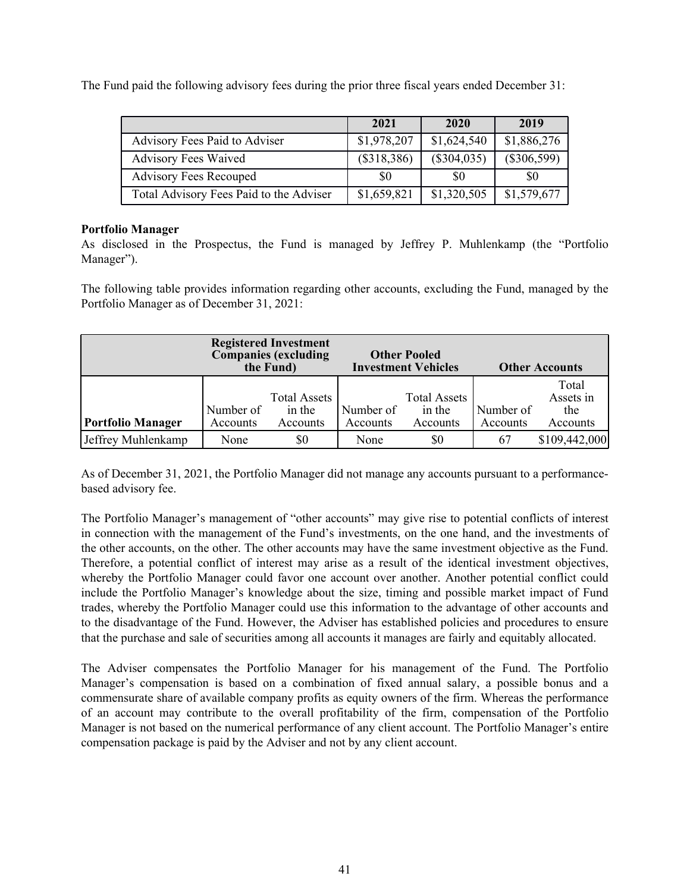The Fund paid the following advisory fees during the prior three fiscal years ended December 31:

|                                         | 2021        | 2020          | 2019          |
|-----------------------------------------|-------------|---------------|---------------|
| Advisory Fees Paid to Adviser           | \$1,978,207 | \$1,624,540   | \$1,886,276   |
| <b>Advisory Fees Waived</b>             | (\$318,386) | $(\$304,035)$ | $(\$306,599)$ |
| <b>Advisory Fees Recouped</b>           | \$0         | -SO           | SO.           |
| Total Advisory Fees Paid to the Adviser | \$1,659,821 | \$1,320,505   | \$1,579,677   |

# **Portfolio Manager**

As disclosed in the Prospectus, the Fund is managed by Jeffrey P. Muhlenkamp (the "Portfolio Manager").

The following table provides information regarding other accounts, excluding the Fund, managed by the Portfolio Manager as of December 31, 2021:

|                          | <b>Registered Investment</b><br><b>Companies (excluding</b><br>the Fund) |                                           | <b>Other Pooled</b><br><b>Investment Vehicles</b> |                                           | <b>Other Accounts</b> |                                       |
|--------------------------|--------------------------------------------------------------------------|-------------------------------------------|---------------------------------------------------|-------------------------------------------|-----------------------|---------------------------------------|
| <b>Portfolio Manager</b> | Number of<br>Accounts                                                    | <b>Total Assets</b><br>in the<br>Accounts | Number of<br>Accounts                             | <b>Total Assets</b><br>in the<br>Accounts | Number of<br>Accounts | Total<br>Assets in<br>the<br>Accounts |
| Jeffrey Muhlenkamp       | None                                                                     | \$0                                       | None                                              | \$0                                       | 67                    | \$109,442,000                         |

As of December 31, 2021, the Portfolio Manager did not manage any accounts pursuant to a performancebased advisory fee.

The Portfolio Manager's management of "other accounts" may give rise to potential conflicts of interest in connection with the management of the Fund's investments, on the one hand, and the investments of the other accounts, on the other. The other accounts may have the same investment objective as the Fund. Therefore, a potential conflict of interest may arise as a result of the identical investment objectives, whereby the Portfolio Manager could favor one account over another. Another potential conflict could include the Portfolio Manager's knowledge about the size, timing and possible market impact of Fund trades, whereby the Portfolio Manager could use this information to the advantage of other accounts and to the disadvantage of the Fund. However, the Adviser has established policies and procedures to ensure that the purchase and sale of securities among all accounts it manages are fairly and equitably allocated.

The Adviser compensates the Portfolio Manager for his management of the Fund. The Portfolio Manager's compensation is based on a combination of fixed annual salary, a possible bonus and a commensurate share of available company profits as equity owners of the firm. Whereas the performance of an account may contribute to the overall profitability of the firm, compensation of the Portfolio Manager is not based on the numerical performance of any client account. The Portfolio Manager's entire compensation package is paid by the Adviser and not by any client account.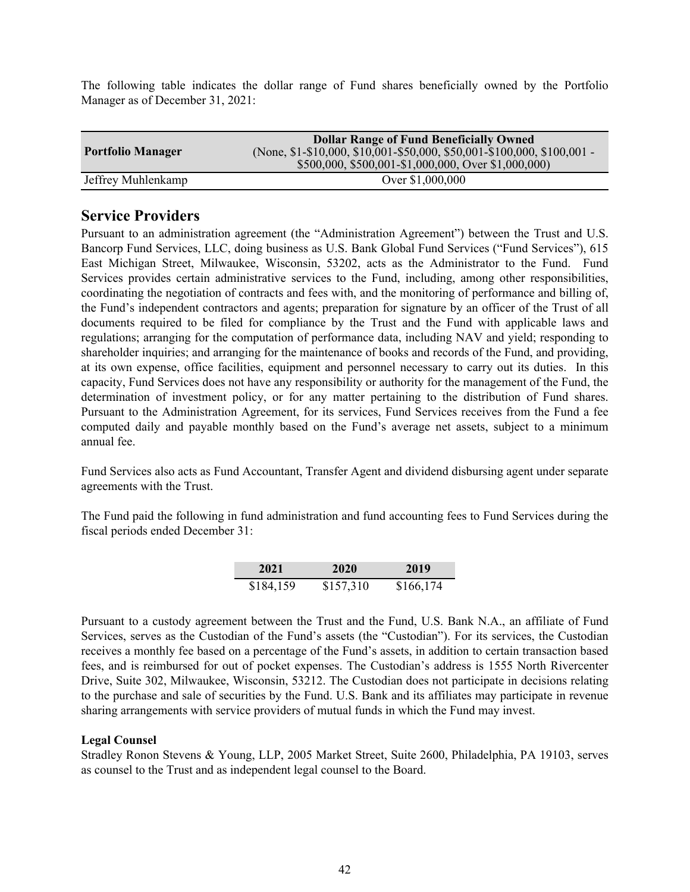The following table indicates the dollar range of Fund shares beneficially owned by the Portfolio Manager as of December 31, 2021:

| <b>Portfolio Manager</b> | <b>Dollar Range of Fund Beneficially Owned</b><br>(None, \$1-\$10,000, \$10,001-\$50,000, \$50,001-\$100,000, \$100,001 -<br>\$500,000, \$500,001-\$1,000,000, Over \$1,000,000) |
|--------------------------|----------------------------------------------------------------------------------------------------------------------------------------------------------------------------------|
| Jeffrey Muhlenkamp       | Over \$1,000,000                                                                                                                                                                 |

# **Service Providers**

Pursuant to an administration agreement (the "Administration Agreement") between the Trust and U.S. Bancorp Fund Services, LLC, doing business as U.S. Bank Global Fund Services ("Fund Services"), 615 East Michigan Street, Milwaukee, Wisconsin, 53202, acts as the Administrator to the Fund. Fund Services provides certain administrative services to the Fund, including, among other responsibilities, coordinating the negotiation of contracts and fees with, and the monitoring of performance and billing of, the Fund's independent contractors and agents; preparation for signature by an officer of the Trust of all documents required to be filed for compliance by the Trust and the Fund with applicable laws and regulations; arranging for the computation of performance data, including NAV and yield; responding to shareholder inquiries; and arranging for the maintenance of books and records of the Fund, and providing, at its own expense, office facilities, equipment and personnel necessary to carry out its duties. In this capacity, Fund Services does not have any responsibility or authority for the management of the Fund, the determination of investment policy, or for any matter pertaining to the distribution of Fund shares. Pursuant to the Administration Agreement, for its services, Fund Services receives from the Fund a fee computed daily and payable monthly based on the Fund's average net assets, subject to a minimum annual fee.

Fund Services also acts as Fund Accountant, Transfer Agent and dividend disbursing agent under separate agreements with the Trust.

The Fund paid the following in fund administration and fund accounting fees to Fund Services during the fiscal periods ended December 31:

| 2021      | 2020      | 2019      |
|-----------|-----------|-----------|
| \$184,159 | \$157,310 | \$166,174 |

Pursuant to a custody agreement between the Trust and the Fund, U.S. Bank N.A., an affiliate of Fund Services, serves as the Custodian of the Fund's assets (the "Custodian"). For its services, the Custodian receives a monthly fee based on a percentage of the Fund's assets, in addition to certain transaction based fees, and is reimbursed for out of pocket expenses. The Custodian's address is 1555 North Rivercenter Drive, Suite 302, Milwaukee, Wisconsin, 53212. The Custodian does not participate in decisions relating to the purchase and sale of securities by the Fund. U.S. Bank and its affiliates may participate in revenue sharing arrangements with service providers of mutual funds in which the Fund may invest.

# **Legal Counsel**

Stradley Ronon Stevens & Young, LLP, 2005 Market Street, Suite 2600, Philadelphia, PA 19103, serves as counsel to the Trust and as independent legal counsel to the Board.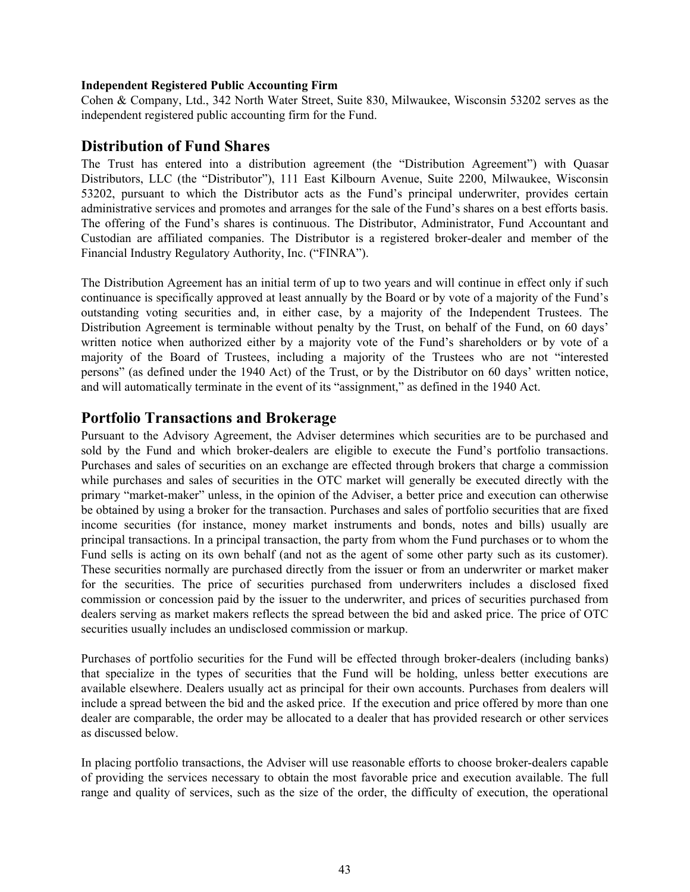### **Independent Registered Public Accounting Firm**

Cohen & Company, Ltd., 342 North Water Street, Suite 830, Milwaukee, Wisconsin 53202 serves as the independent registered public accounting firm for the Fund.

# **Distribution of Fund Shares**

The Trust has entered into a distribution agreement (the "Distribution Agreement") with Quasar Distributors, LLC (the "Distributor"), 111 East Kilbourn Avenue, Suite 2200, Milwaukee, Wisconsin 53202, pursuant to which the Distributor acts as the Fund's principal underwriter, provides certain administrative services and promotes and arranges for the sale of the Fund's shares on a best efforts basis. The offering of the Fund's shares is continuous. The Distributor, Administrator, Fund Accountant and Custodian are affiliated companies. The Distributor is a registered broker-dealer and member of the Financial Industry Regulatory Authority, Inc. ("FINRA").

The Distribution Agreement has an initial term of up to two years and will continue in effect only if such continuance is specifically approved at least annually by the Board or by vote of a majority of the Fund's outstanding voting securities and, in either case, by a majority of the Independent Trustees. The Distribution Agreement is terminable without penalty by the Trust, on behalf of the Fund, on 60 days' written notice when authorized either by a majority vote of the Fund's shareholders or by vote of a majority of the Board of Trustees, including a majority of the Trustees who are not "interested persons" (as defined under the 1940 Act) of the Trust, or by the Distributor on 60 days' written notice, and will automatically terminate in the event of its "assignment," as defined in the 1940 Act.

# **Portfolio Transactions and Brokerage**

Pursuant to the Advisory Agreement, the Adviser determines which securities are to be purchased and sold by the Fund and which broker-dealers are eligible to execute the Fund's portfolio transactions. Purchases and sales of securities on an exchange are effected through brokers that charge a commission while purchases and sales of securities in the OTC market will generally be executed directly with the primary "market-maker" unless, in the opinion of the Adviser, a better price and execution can otherwise be obtained by using a broker for the transaction. Purchases and sales of portfolio securities that are fixed income securities (for instance, money market instruments and bonds, notes and bills) usually are principal transactions. In a principal transaction, the party from whom the Fund purchases or to whom the Fund sells is acting on its own behalf (and not as the agent of some other party such as its customer). These securities normally are purchased directly from the issuer or from an underwriter or market maker for the securities. The price of securities purchased from underwriters includes a disclosed fixed commission or concession paid by the issuer to the underwriter, and prices of securities purchased from dealers serving as market makers reflects the spread between the bid and asked price. The price of OTC securities usually includes an undisclosed commission or markup.

Purchases of portfolio securities for the Fund will be effected through broker-dealers (including banks) that specialize in the types of securities that the Fund will be holding, unless better executions are available elsewhere. Dealers usually act as principal for their own accounts. Purchases from dealers will include a spread between the bid and the asked price. If the execution and price offered by more than one dealer are comparable, the order may be allocated to a dealer that has provided research or other services as discussed below.

In placing portfolio transactions, the Adviser will use reasonable efforts to choose broker-dealers capable of providing the services necessary to obtain the most favorable price and execution available. The full range and quality of services, such as the size of the order, the difficulty of execution, the operational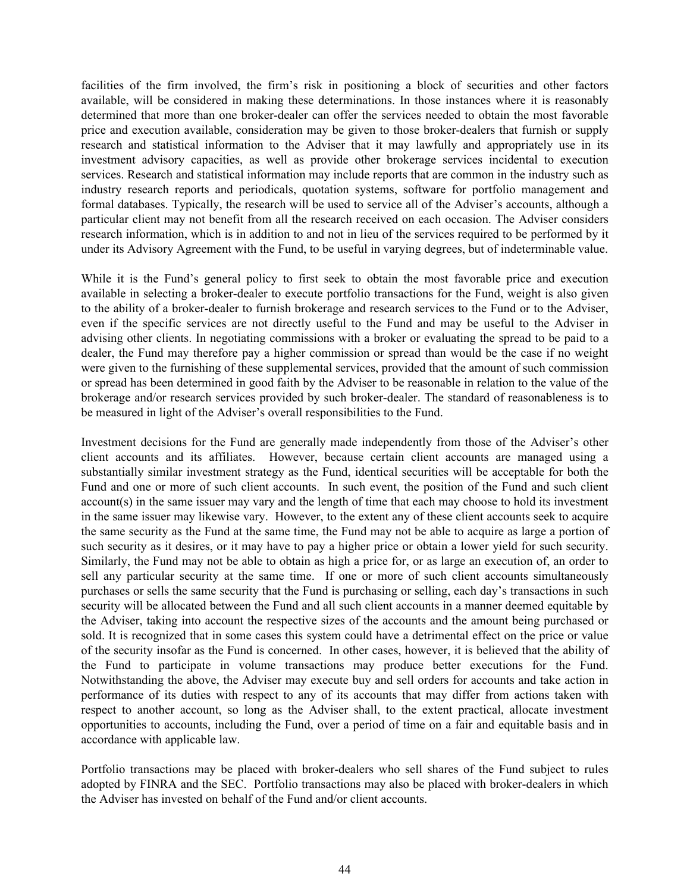facilities of the firm involved, the firm's risk in positioning a block of securities and other factors available, will be considered in making these determinations. In those instances where it is reasonably determined that more than one broker-dealer can offer the services needed to obtain the most favorable price and execution available, consideration may be given to those broker-dealers that furnish or supply research and statistical information to the Adviser that it may lawfully and appropriately use in its investment advisory capacities, as well as provide other brokerage services incidental to execution services. Research and statistical information may include reports that are common in the industry such as industry research reports and periodicals, quotation systems, software for portfolio management and formal databases. Typically, the research will be used to service all of the Adviser's accounts, although a particular client may not benefit from all the research received on each occasion. The Adviser considers research information, which is in addition to and not in lieu of the services required to be performed by it under its Advisory Agreement with the Fund, to be useful in varying degrees, but of indeterminable value.

While it is the Fund's general policy to first seek to obtain the most favorable price and execution available in selecting a broker-dealer to execute portfolio transactions for the Fund, weight is also given to the ability of a broker-dealer to furnish brokerage and research services to the Fund or to the Adviser, even if the specific services are not directly useful to the Fund and may be useful to the Adviser in advising other clients. In negotiating commissions with a broker or evaluating the spread to be paid to a dealer, the Fund may therefore pay a higher commission or spread than would be the case if no weight were given to the furnishing of these supplemental services, provided that the amount of such commission or spread has been determined in good faith by the Adviser to be reasonable in relation to the value of the brokerage and/or research services provided by such broker-dealer. The standard of reasonableness is to be measured in light of the Adviser's overall responsibilities to the Fund.

Investment decisions for the Fund are generally made independently from those of the Adviser's other client accounts and its affiliates. However, because certain client accounts are managed using a substantially similar investment strategy as the Fund, identical securities will be acceptable for both the Fund and one or more of such client accounts. In such event, the position of the Fund and such client account(s) in the same issuer may vary and the length of time that each may choose to hold its investment in the same issuer may likewise vary. However, to the extent any of these client accounts seek to acquire the same security as the Fund at the same time, the Fund may not be able to acquire as large a portion of such security as it desires, or it may have to pay a higher price or obtain a lower yield for such security. Similarly, the Fund may not be able to obtain as high a price for, or as large an execution of, an order to sell any particular security at the same time. If one or more of such client accounts simultaneously purchases or sells the same security that the Fund is purchasing or selling, each day's transactions in such security will be allocated between the Fund and all such client accounts in a manner deemed equitable by the Adviser, taking into account the respective sizes of the accounts and the amount being purchased or sold. It is recognized that in some cases this system could have a detrimental effect on the price or value of the security insofar as the Fund is concerned. In other cases, however, it is believed that the ability of the Fund to participate in volume transactions may produce better executions for the Fund. Notwithstanding the above, the Adviser may execute buy and sell orders for accounts and take action in performance of its duties with respect to any of its accounts that may differ from actions taken with respect to another account, so long as the Adviser shall, to the extent practical, allocate investment opportunities to accounts, including the Fund, over a period of time on a fair and equitable basis and in accordance with applicable law.

Portfolio transactions may be placed with broker-dealers who sell shares of the Fund subject to rules adopted by FINRA and the SEC. Portfolio transactions may also be placed with broker-dealers in which the Adviser has invested on behalf of the Fund and/or client accounts.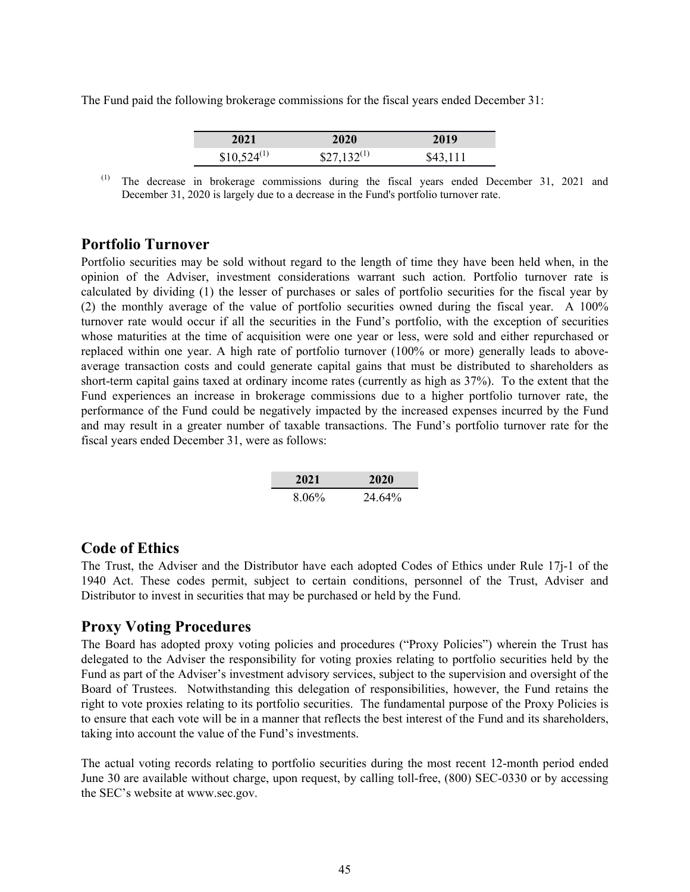The Fund paid the following brokerage commissions for the fiscal years ended December 31:

| 2021            | 2020             | 2019     |
|-----------------|------------------|----------|
| $$10,524^{(1)}$ | $$27,132^{(1)}$$ | \$43,111 |

(1) The decrease in brokerage commissions during the fiscal years ended December 31, 2021 and December 31, 2020 is largely due to a decrease in the Fund's portfolio turnover rate.

# **Portfolio Turnover**

Portfolio securities may be sold without regard to the length of time they have been held when, in the opinion of the Adviser, investment considerations warrant such action. Portfolio turnover rate is calculated by dividing (1) the lesser of purchases or sales of portfolio securities for the fiscal year by (2) the monthly average of the value of portfolio securities owned during the fiscal year. A 100% turnover rate would occur if all the securities in the Fund's portfolio, with the exception of securities whose maturities at the time of acquisition were one year or less, were sold and either repurchased or replaced within one year. A high rate of portfolio turnover (100% or more) generally leads to aboveaverage transaction costs and could generate capital gains that must be distributed to shareholders as short-term capital gains taxed at ordinary income rates (currently as high as 37%). To the extent that the Fund experiences an increase in brokerage commissions due to a higher portfolio turnover rate, the performance of the Fund could be negatively impacted by the increased expenses incurred by the Fund and may result in a greater number of taxable transactions. The Fund's portfolio turnover rate for the fiscal years ended December 31, were as follows:

| 2021  | 2020   |
|-------|--------|
| 8.06% | 24.64% |

# **Code of Ethics**

The Trust, the Adviser and the Distributor have each adopted Codes of Ethics under Rule 17j-1 of the 1940 Act. These codes permit, subject to certain conditions, personnel of the Trust, Adviser and Distributor to invest in securities that may be purchased or held by the Fund.

# **Proxy Voting Procedures**

The Board has adopted proxy voting policies and procedures ("Proxy Policies") wherein the Trust has delegated to the Adviser the responsibility for voting proxies relating to portfolio securities held by the Fund as part of the Adviser's investment advisory services, subject to the supervision and oversight of the Board of Trustees. Notwithstanding this delegation of responsibilities, however, the Fund retains the right to vote proxies relating to its portfolio securities. The fundamental purpose of the Proxy Policies is to ensure that each vote will be in a manner that reflects the best interest of the Fund and its shareholders, taking into account the value of the Fund's investments.

The actual voting records relating to portfolio securities during the most recent 12-month period ended June 30 are available without charge, upon request, by calling toll-free, (800) SEC-0330 or by accessing the SEC's website at www.sec.gov.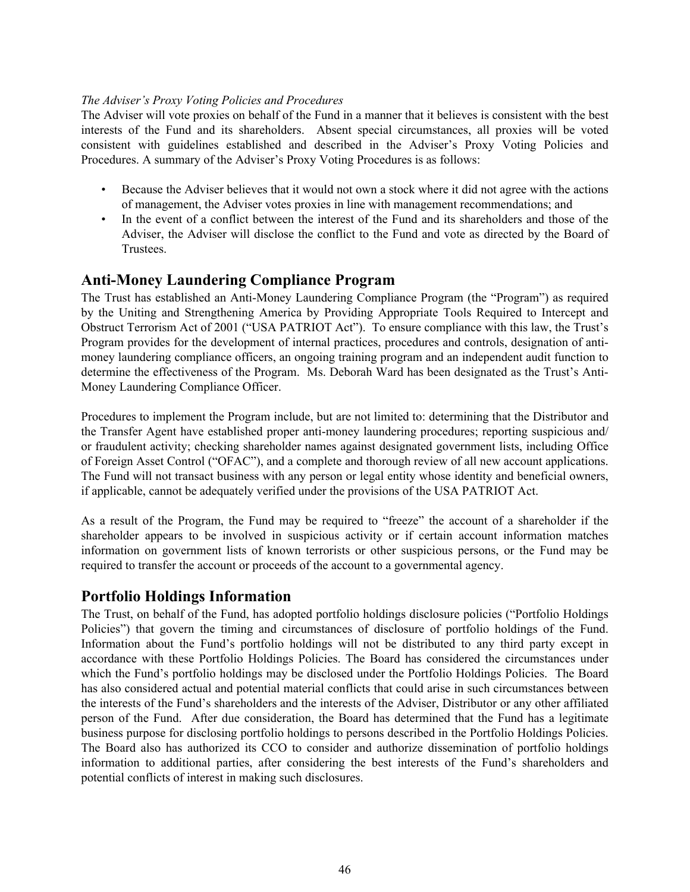# *The Adviser's Proxy Voting Policies and Procedures*

The Adviser will vote proxies on behalf of the Fund in a manner that it believes is consistent with the best interests of the Fund and its shareholders. Absent special circumstances, all proxies will be voted consistent with guidelines established and described in the Adviser's Proxy Voting Policies and Procedures. A summary of the Adviser's Proxy Voting Procedures is as follows:

- Because the Adviser believes that it would not own a stock where it did not agree with the actions of management, the Adviser votes proxies in line with management recommendations; and
- In the event of a conflict between the interest of the Fund and its shareholders and those of the Adviser, the Adviser will disclose the conflict to the Fund and vote as directed by the Board of Trustees.

# **Anti-Money Laundering Compliance Program**

The Trust has established an Anti-Money Laundering Compliance Program (the "Program") as required by the Uniting and Strengthening America by Providing Appropriate Tools Required to Intercept and Obstruct Terrorism Act of 2001 ("USA PATRIOT Act"). To ensure compliance with this law, the Trust's Program provides for the development of internal practices, procedures and controls, designation of antimoney laundering compliance officers, an ongoing training program and an independent audit function to determine the effectiveness of the Program. Ms. Deborah Ward has been designated as the Trust's Anti-Money Laundering Compliance Officer.

Procedures to implement the Program include, but are not limited to: determining that the Distributor and the Transfer Agent have established proper anti-money laundering procedures; reporting suspicious and/ or fraudulent activity; checking shareholder names against designated government lists, including Office of Foreign Asset Control ("OFAC"), and a complete and thorough review of all new account applications. The Fund will not transact business with any person or legal entity whose identity and beneficial owners, if applicable, cannot be adequately verified under the provisions of the USA PATRIOT Act.

As a result of the Program, the Fund may be required to "freeze" the account of a shareholder if the shareholder appears to be involved in suspicious activity or if certain account information matches information on government lists of known terrorists or other suspicious persons, or the Fund may be required to transfer the account or proceeds of the account to a governmental agency.

# **Portfolio Holdings Information**

The Trust, on behalf of the Fund, has adopted portfolio holdings disclosure policies ("Portfolio Holdings Policies") that govern the timing and circumstances of disclosure of portfolio holdings of the Fund. Information about the Fund's portfolio holdings will not be distributed to any third party except in accordance with these Portfolio Holdings Policies. The Board has considered the circumstances under which the Fund's portfolio holdings may be disclosed under the Portfolio Holdings Policies. The Board has also considered actual and potential material conflicts that could arise in such circumstances between the interests of the Fund's shareholders and the interests of the Adviser, Distributor or any other affiliated person of the Fund. After due consideration, the Board has determined that the Fund has a legitimate business purpose for disclosing portfolio holdings to persons described in the Portfolio Holdings Policies. The Board also has authorized its CCO to consider and authorize dissemination of portfolio holdings information to additional parties, after considering the best interests of the Fund's shareholders and potential conflicts of interest in making such disclosures.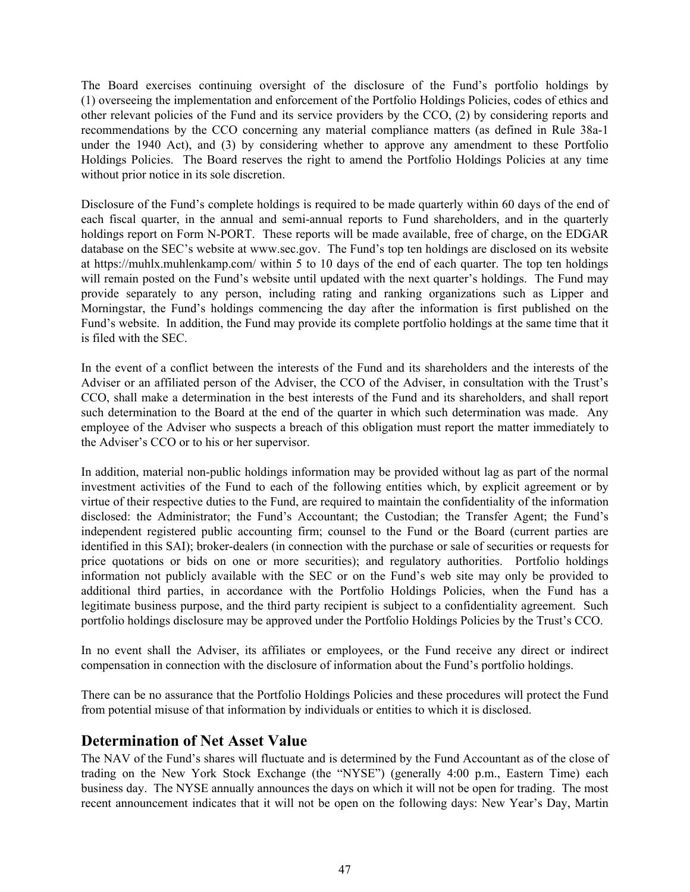The Board exercises continuing oversight of the disclosure of the Fund's portfolio holdings by (1) overseeing the implementation and enforcement of the Portfolio Holdings Policies, codes of ethics and other relevant policies of the Fund and its service providers by the CCO, (2) by considering reports and recommendations by the CCO concerning any material compliance matters (as defined in Rule 38a-1 under the 1940 Act), and (3) by considering whether to approve any amendment to these Portfolio Holdings Policies. The Board reserves the right to amend the Portfolio Holdings Policies at any time without prior notice in its sole discretion.

Disclosure of the Fund's complete holdings is required to be made quarterly within 60 days of the end of each fiscal quarter, in the annual and semi-annual reports to Fund shareholders, and in the quarterly holdings report on Form N-PORT. These reports will be made available, free of charge, on the EDGAR database on the SEC's website at www.sec.gov. The Fund's top ten holdings are disclosed on its website at https://muhlx.muhlenkamp.com/ within 5 to 10 days of the end of each quarter. The top ten holdings will remain posted on the Fund's website until updated with the next quarter's holdings. The Fund may provide separately to any person, including rating and ranking organizations such as Lipper and Morningstar, the Fund's holdings commencing the day after the information is first published on the Fund's website. In addition, the Fund may provide its complete portfolio holdings at the same time that it is filed with the SEC.

In the event of a conflict between the interests of the Fund and its shareholders and the interests of the Adviser or an affiliated person of the Adviser, the CCO of the Adviser, in consultation with the Trust's CCO, shall make a determination in the best interests of the Fund and its shareholders, and shall report such determination to the Board at the end of the quarter in which such determination was made. Any employee of the Adviser who suspects a breach of this obligation must report the matter immediately to the Adviser's CCO or to his or her supervisor.

In addition, material non-public holdings information may be provided without lag as part of the normal investment activities of the Fund to each of the following entities which, by explicit agreement or by virtue of their respective duties to the Fund, are required to maintain the confidentiality of the information disclosed: the Administrator; the Fund's Accountant; the Custodian; the Transfer Agent; the Fund's independent registered public accounting firm; counsel to the Fund or the Board (current parties are identified in this SAI); broker-dealers (in connection with the purchase or sale of securities or requests for price quotations or bids on one or more securities); and regulatory authorities. Portfolio holdings information not publicly available with the SEC or on the Fund's web site may only be provided to additional third parties, in accordance with the Portfolio Holdings Policies, when the Fund has a legitimate business purpose, and the third party recipient is subject to a confidentiality agreement. Such portfolio holdings disclosure may be approved under the Portfolio Holdings Policies by the Trust's CCO.

In no event shall the Adviser, its affiliates or employees, or the Fund receive any direct or indirect compensation in connection with the disclosure of information about the Fund's portfolio holdings.

There can be no assurance that the Portfolio Holdings Policies and these procedures will protect the Fund from potential misuse of that information by individuals or entities to which it is disclosed.

# **Determination of Net Asset Value**

The NAV of the Fund's shares will fluctuate and is determined by the Fund Accountant as of the close of trading on the New York Stock Exchange (the "NYSE") (generally 4:00 p.m., Eastern Time) each business day. The NYSE annually announces the days on which it will not be open for trading. The most recent announcement indicates that it will not be open on the following days: New Year's Day, Martin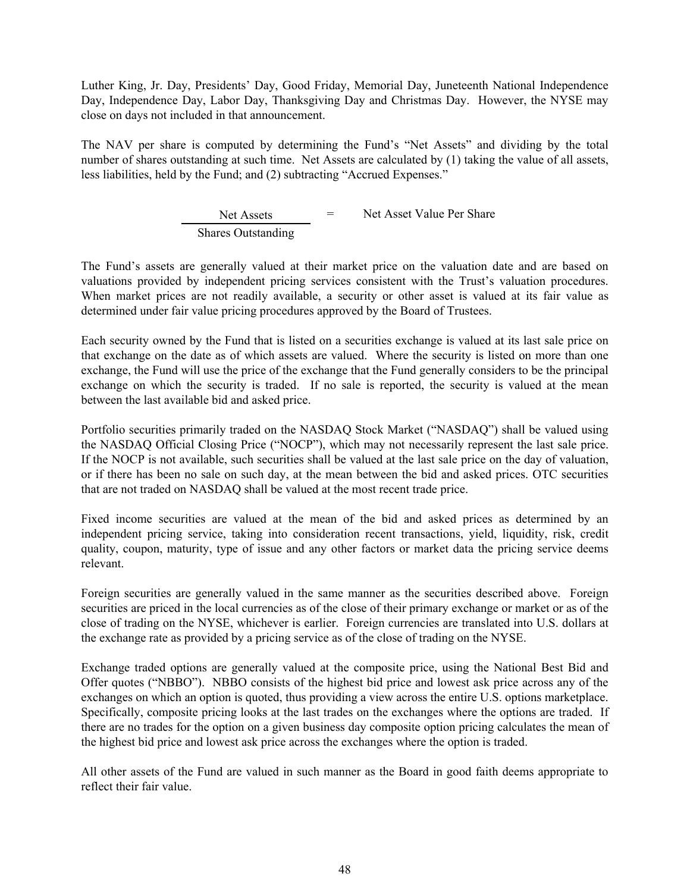Luther King, Jr. Day, Presidents' Day, Good Friday, Memorial Day, Juneteenth National Independence Day, Independence Day, Labor Day, Thanksgiving Day and Christmas Day. However, the NYSE may close on days not included in that announcement.

The NAV per share is computed by determining the Fund's "Net Assets" and dividing by the total number of shares outstanding at such time. Net Assets are calculated by (1) taking the value of all assets, less liabilities, held by the Fund; and (2) subtracting "Accrued Expenses."

> Net Assets = Net Asset Value Per Share Shares Outstanding

The Fund's assets are generally valued at their market price on the valuation date and are based on valuations provided by independent pricing services consistent with the Trust's valuation procedures. When market prices are not readily available, a security or other asset is valued at its fair value as determined under fair value pricing procedures approved by the Board of Trustees.

Each security owned by the Fund that is listed on a securities exchange is valued at its last sale price on that exchange on the date as of which assets are valued. Where the security is listed on more than one exchange, the Fund will use the price of the exchange that the Fund generally considers to be the principal exchange on which the security is traded. If no sale is reported, the security is valued at the mean between the last available bid and asked price.

Portfolio securities primarily traded on the NASDAQ Stock Market ("NASDAQ") shall be valued using the NASDAQ Official Closing Price ("NOCP"), which may not necessarily represent the last sale price. If the NOCP is not available, such securities shall be valued at the last sale price on the day of valuation, or if there has been no sale on such day, at the mean between the bid and asked prices. OTC securities that are not traded on NASDAQ shall be valued at the most recent trade price.

Fixed income securities are valued at the mean of the bid and asked prices as determined by an independent pricing service, taking into consideration recent transactions, yield, liquidity, risk, credit quality, coupon, maturity, type of issue and any other factors or market data the pricing service deems relevant.

Foreign securities are generally valued in the same manner as the securities described above. Foreign securities are priced in the local currencies as of the close of their primary exchange or market or as of the close of trading on the NYSE, whichever is earlier. Foreign currencies are translated into U.S. dollars at the exchange rate as provided by a pricing service as of the close of trading on the NYSE.

Exchange traded options are generally valued at the composite price, using the National Best Bid and Offer quotes ("NBBO"). NBBO consists of the highest bid price and lowest ask price across any of the exchanges on which an option is quoted, thus providing a view across the entire U.S. options marketplace. Specifically, composite pricing looks at the last trades on the exchanges where the options are traded. If there are no trades for the option on a given business day composite option pricing calculates the mean of the highest bid price and lowest ask price across the exchanges where the option is traded.

All other assets of the Fund are valued in such manner as the Board in good faith deems appropriate to reflect their fair value.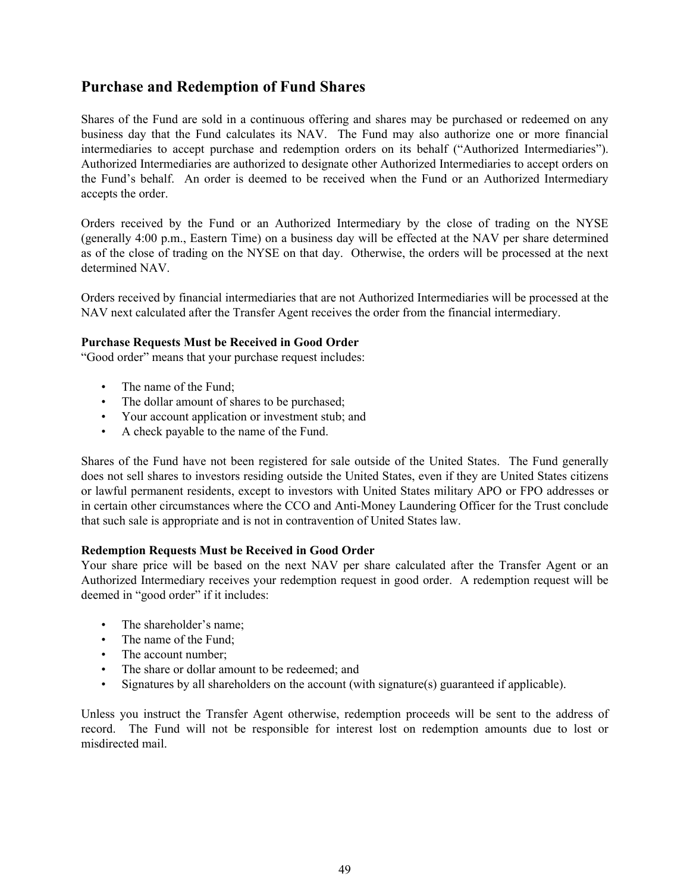# **Purchase and Redemption of Fund Shares**

Shares of the Fund are sold in a continuous offering and shares may be purchased or redeemed on any business day that the Fund calculates its NAV. The Fund may also authorize one or more financial intermediaries to accept purchase and redemption orders on its behalf ("Authorized Intermediaries"). Authorized Intermediaries are authorized to designate other Authorized Intermediaries to accept orders on the Fund's behalf. An order is deemed to be received when the Fund or an Authorized Intermediary accepts the order.

Orders received by the Fund or an Authorized Intermediary by the close of trading on the NYSE (generally 4:00 p.m., Eastern Time) on a business day will be effected at the NAV per share determined as of the close of trading on the NYSE on that day. Otherwise, the orders will be processed at the next determined NAV.

Orders received by financial intermediaries that are not Authorized Intermediaries will be processed at the NAV next calculated after the Transfer Agent receives the order from the financial intermediary.

# **Purchase Requests Must be Received in Good Order**

"Good order" means that your purchase request includes:

- The name of the Fund:
- The dollar amount of shares to be purchased;
- Your account application or investment stub; and
- A check payable to the name of the Fund.

Shares of the Fund have not been registered for sale outside of the United States. The Fund generally does not sell shares to investors residing outside the United States, even if they are United States citizens or lawful permanent residents, except to investors with United States military APO or FPO addresses or in certain other circumstances where the CCO and Anti-Money Laundering Officer for the Trust conclude that such sale is appropriate and is not in contravention of United States law.

# **Redemption Requests Must be Received in Good Order**

Your share price will be based on the next NAV per share calculated after the Transfer Agent or an Authorized Intermediary receives your redemption request in good order. A redemption request will be deemed in "good order" if it includes:

- The shareholder's name;
- The name of the Fund;
- The account number:
- The share or dollar amount to be redeemed; and
- Signatures by all shareholders on the account (with signature(s) guaranteed if applicable).

Unless you instruct the Transfer Agent otherwise, redemption proceeds will be sent to the address of record. The Fund will not be responsible for interest lost on redemption amounts due to lost or misdirected mail.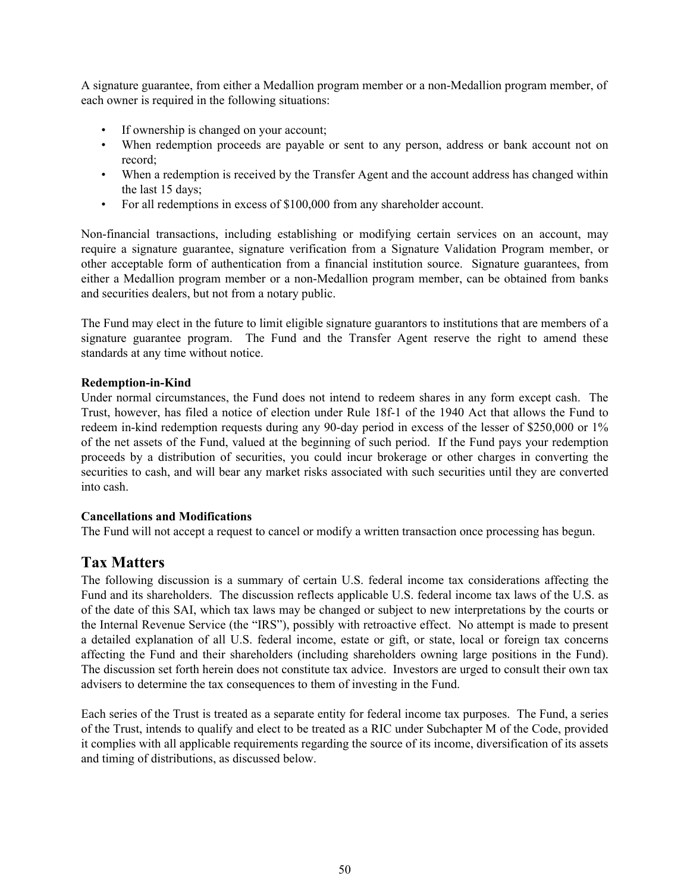A signature guarantee, from either a Medallion program member or a non-Medallion program member, of each owner is required in the following situations:

- If ownership is changed on your account;
- When redemption proceeds are payable or sent to any person, address or bank account not on record;
- When a redemption is received by the Transfer Agent and the account address has changed within the last 15 days;
- For all redemptions in excess of \$100,000 from any shareholder account.

Non-financial transactions, including establishing or modifying certain services on an account, may require a signature guarantee, signature verification from a Signature Validation Program member, or other acceptable form of authentication from a financial institution source. Signature guarantees, from either a Medallion program member or a non-Medallion program member, can be obtained from banks and securities dealers, but not from a notary public.

The Fund may elect in the future to limit eligible signature guarantors to institutions that are members of a signature guarantee program. The Fund and the Transfer Agent reserve the right to amend these standards at any time without notice.

# **Redemption-in-Kind**

Under normal circumstances, the Fund does not intend to redeem shares in any form except cash. The Trust, however, has filed a notice of election under Rule 18f-1 of the 1940 Act that allows the Fund to redeem in-kind redemption requests during any 90-day period in excess of the lesser of \$250,000 or 1% of the net assets of the Fund, valued at the beginning of such period. If the Fund pays your redemption proceeds by a distribution of securities, you could incur brokerage or other charges in converting the securities to cash, and will bear any market risks associated with such securities until they are converted into cash.

# **Cancellations and Modifications**

The Fund will not accept a request to cancel or modify a written transaction once processing has begun.

# **Tax Matters**

The following discussion is a summary of certain U.S. federal income tax considerations affecting the Fund and its shareholders. The discussion reflects applicable U.S. federal income tax laws of the U.S. as of the date of this SAI, which tax laws may be changed or subject to new interpretations by the courts or the Internal Revenue Service (the "IRS"), possibly with retroactive effect. No attempt is made to present a detailed explanation of all U.S. federal income, estate or gift, or state, local or foreign tax concerns affecting the Fund and their shareholders (including shareholders owning large positions in the Fund). The discussion set forth herein does not constitute tax advice. Investors are urged to consult their own tax advisers to determine the tax consequences to them of investing in the Fund.

Each series of the Trust is treated as a separate entity for federal income tax purposes. The Fund, a series of the Trust, intends to qualify and elect to be treated as a RIC under Subchapter M of the Code, provided it complies with all applicable requirements regarding the source of its income, diversification of its assets and timing of distributions, as discussed below.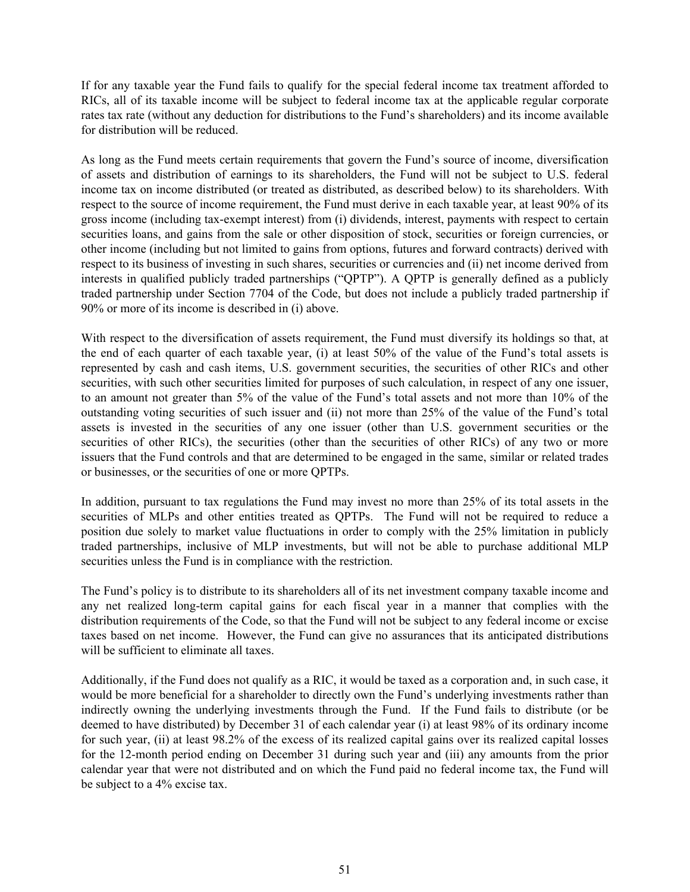If for any taxable year the Fund fails to qualify for the special federal income tax treatment afforded to RICs, all of its taxable income will be subject to federal income tax at the applicable regular corporate rates tax rate (without any deduction for distributions to the Fund's shareholders) and its income available for distribution will be reduced.

As long as the Fund meets certain requirements that govern the Fund's source of income, diversification of assets and distribution of earnings to its shareholders, the Fund will not be subject to U.S. federal income tax on income distributed (or treated as distributed, as described below) to its shareholders. With respect to the source of income requirement, the Fund must derive in each taxable year, at least 90% of its gross income (including tax-exempt interest) from (i) dividends, interest, payments with respect to certain securities loans, and gains from the sale or other disposition of stock, securities or foreign currencies, or other income (including but not limited to gains from options, futures and forward contracts) derived with respect to its business of investing in such shares, securities or currencies and (ii) net income derived from interests in qualified publicly traded partnerships ("QPTP"). A QPTP is generally defined as a publicly traded partnership under Section 7704 of the Code, but does not include a publicly traded partnership if 90% or more of its income is described in (i) above.

With respect to the diversification of assets requirement, the Fund must diversify its holdings so that, at the end of each quarter of each taxable year, (i) at least 50% of the value of the Fund's total assets is represented by cash and cash items, U.S. government securities, the securities of other RICs and other securities, with such other securities limited for purposes of such calculation, in respect of any one issuer, to an amount not greater than 5% of the value of the Fund's total assets and not more than 10% of the outstanding voting securities of such issuer and (ii) not more than 25% of the value of the Fund's total assets is invested in the securities of any one issuer (other than U.S. government securities or the securities of other RICs), the securities (other than the securities of other RICs) of any two or more issuers that the Fund controls and that are determined to be engaged in the same, similar or related trades or businesses, or the securities of one or more QPTPs.

In addition, pursuant to tax regulations the Fund may invest no more than 25% of its total assets in the securities of MLPs and other entities treated as QPTPs. The Fund will not be required to reduce a position due solely to market value fluctuations in order to comply with the 25% limitation in publicly traded partnerships, inclusive of MLP investments, but will not be able to purchase additional MLP securities unless the Fund is in compliance with the restriction.

The Fund's policy is to distribute to its shareholders all of its net investment company taxable income and any net realized long-term capital gains for each fiscal year in a manner that complies with the distribution requirements of the Code, so that the Fund will not be subject to any federal income or excise taxes based on net income. However, the Fund can give no assurances that its anticipated distributions will be sufficient to eliminate all taxes.

Additionally, if the Fund does not qualify as a RIC, it would be taxed as a corporation and, in such case, it would be more beneficial for a shareholder to directly own the Fund's underlying investments rather than indirectly owning the underlying investments through the Fund. If the Fund fails to distribute (or be deemed to have distributed) by December 31 of each calendar year (i) at least 98% of its ordinary income for such year, (ii) at least 98.2% of the excess of its realized capital gains over its realized capital losses for the 12-month period ending on December 31 during such year and (iii) any amounts from the prior calendar year that were not distributed and on which the Fund paid no federal income tax, the Fund will be subject to a 4% excise tax.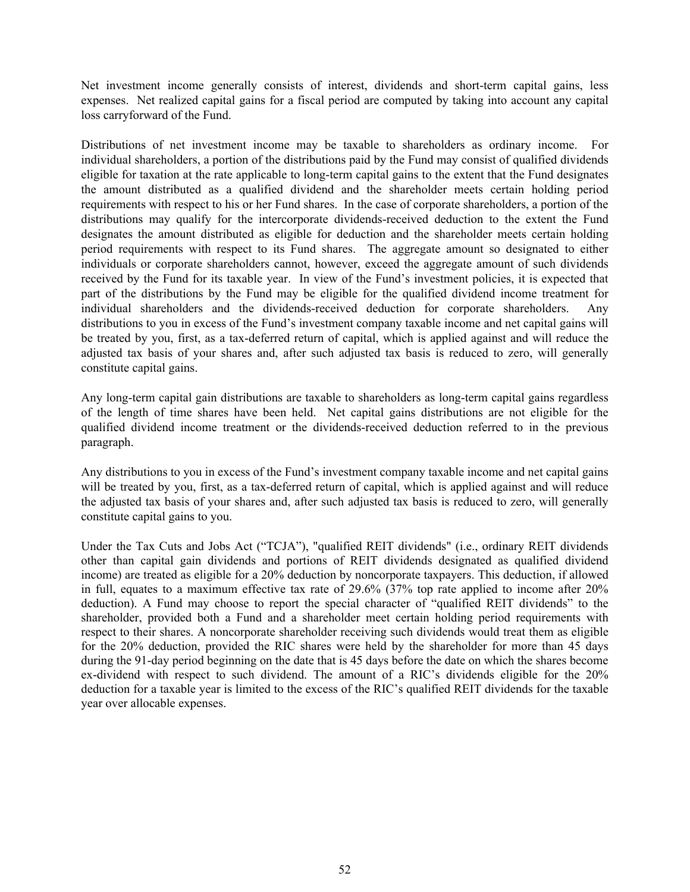Net investment income generally consists of interest, dividends and short-term capital gains, less expenses. Net realized capital gains for a fiscal period are computed by taking into account any capital loss carryforward of the Fund.

Distributions of net investment income may be taxable to shareholders as ordinary income. For individual shareholders, a portion of the distributions paid by the Fund may consist of qualified dividends eligible for taxation at the rate applicable to long-term capital gains to the extent that the Fund designates the amount distributed as a qualified dividend and the shareholder meets certain holding period requirements with respect to his or her Fund shares. In the case of corporate shareholders, a portion of the distributions may qualify for the intercorporate dividends-received deduction to the extent the Fund designates the amount distributed as eligible for deduction and the shareholder meets certain holding period requirements with respect to its Fund shares. The aggregate amount so designated to either individuals or corporate shareholders cannot, however, exceed the aggregate amount of such dividends received by the Fund for its taxable year. In view of the Fund's investment policies, it is expected that part of the distributions by the Fund may be eligible for the qualified dividend income treatment for individual shareholders and the dividends-received deduction for corporate shareholders. Any distributions to you in excess of the Fund's investment company taxable income and net capital gains will be treated by you, first, as a tax-deferred return of capital, which is applied against and will reduce the adjusted tax basis of your shares and, after such adjusted tax basis is reduced to zero, will generally constitute capital gains.

Any long-term capital gain distributions are taxable to shareholders as long-term capital gains regardless of the length of time shares have been held. Net capital gains distributions are not eligible for the qualified dividend income treatment or the dividends-received deduction referred to in the previous paragraph.

Any distributions to you in excess of the Fund's investment company taxable income and net capital gains will be treated by you, first, as a tax-deferred return of capital, which is applied against and will reduce the adjusted tax basis of your shares and, after such adjusted tax basis is reduced to zero, will generally constitute capital gains to you.

Under the Tax Cuts and Jobs Act ("TCJA"), "qualified REIT dividends" (i.e., ordinary REIT dividends other than capital gain dividends and portions of REIT dividends designated as qualified dividend income) are treated as eligible for a 20% deduction by noncorporate taxpayers. This deduction, if allowed in full, equates to a maximum effective tax rate of 29.6% (37% top rate applied to income after 20% deduction). A Fund may choose to report the special character of "qualified REIT dividends" to the shareholder, provided both a Fund and a shareholder meet certain holding period requirements with respect to their shares. A noncorporate shareholder receiving such dividends would treat them as eligible for the 20% deduction, provided the RIC shares were held by the shareholder for more than 45 days during the 91-day period beginning on the date that is 45 days before the date on which the shares become ex-dividend with respect to such dividend. The amount of a RIC's dividends eligible for the 20% deduction for a taxable year is limited to the excess of the RIC's qualified REIT dividends for the taxable year over allocable expenses.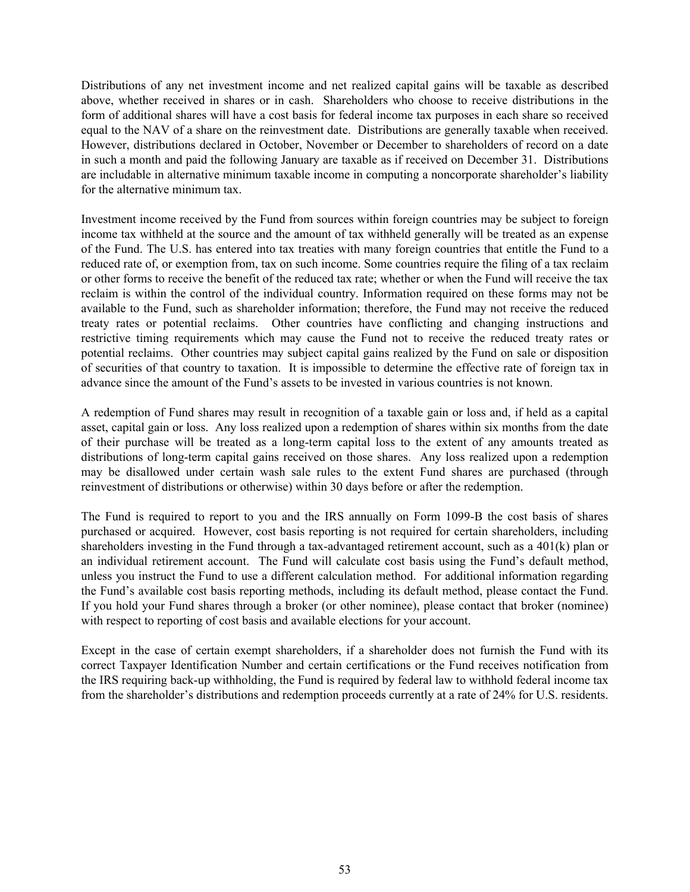Distributions of any net investment income and net realized capital gains will be taxable as described above, whether received in shares or in cash. Shareholders who choose to receive distributions in the form of additional shares will have a cost basis for federal income tax purposes in each share so received equal to the NAV of a share on the reinvestment date. Distributions are generally taxable when received. However, distributions declared in October, November or December to shareholders of record on a date in such a month and paid the following January are taxable as if received on December 31. Distributions are includable in alternative minimum taxable income in computing a noncorporate shareholder's liability for the alternative minimum tax.

Investment income received by the Fund from sources within foreign countries may be subject to foreign income tax withheld at the source and the amount of tax withheld generally will be treated as an expense of the Fund. The U.S. has entered into tax treaties with many foreign countries that entitle the Fund to a reduced rate of, or exemption from, tax on such income. Some countries require the filing of a tax reclaim or other forms to receive the benefit of the reduced tax rate; whether or when the Fund will receive the tax reclaim is within the control of the individual country. Information required on these forms may not be available to the Fund, such as shareholder information; therefore, the Fund may not receive the reduced treaty rates or potential reclaims. Other countries have conflicting and changing instructions and restrictive timing requirements which may cause the Fund not to receive the reduced treaty rates or potential reclaims. Other countries may subject capital gains realized by the Fund on sale or disposition of securities of that country to taxation. It is impossible to determine the effective rate of foreign tax in advance since the amount of the Fund's assets to be invested in various countries is not known.

A redemption of Fund shares may result in recognition of a taxable gain or loss and, if held as a capital asset, capital gain or loss. Any loss realized upon a redemption of shares within six months from the date of their purchase will be treated as a long-term capital loss to the extent of any amounts treated as distributions of long-term capital gains received on those shares. Any loss realized upon a redemption may be disallowed under certain wash sale rules to the extent Fund shares are purchased (through reinvestment of distributions or otherwise) within 30 days before or after the redemption.

The Fund is required to report to you and the IRS annually on Form 1099-B the cost basis of shares purchased or acquired. However, cost basis reporting is not required for certain shareholders, including shareholders investing in the Fund through a tax-advantaged retirement account, such as a 401(k) plan or an individual retirement account. The Fund will calculate cost basis using the Fund's default method, unless you instruct the Fund to use a different calculation method. For additional information regarding the Fund's available cost basis reporting methods, including its default method, please contact the Fund. If you hold your Fund shares through a broker (or other nominee), please contact that broker (nominee) with respect to reporting of cost basis and available elections for your account.

Except in the case of certain exempt shareholders, if a shareholder does not furnish the Fund with its correct Taxpayer Identification Number and certain certifications or the Fund receives notification from the IRS requiring back-up withholding, the Fund is required by federal law to withhold federal income tax from the shareholder's distributions and redemption proceeds currently at a rate of 24% for U.S. residents.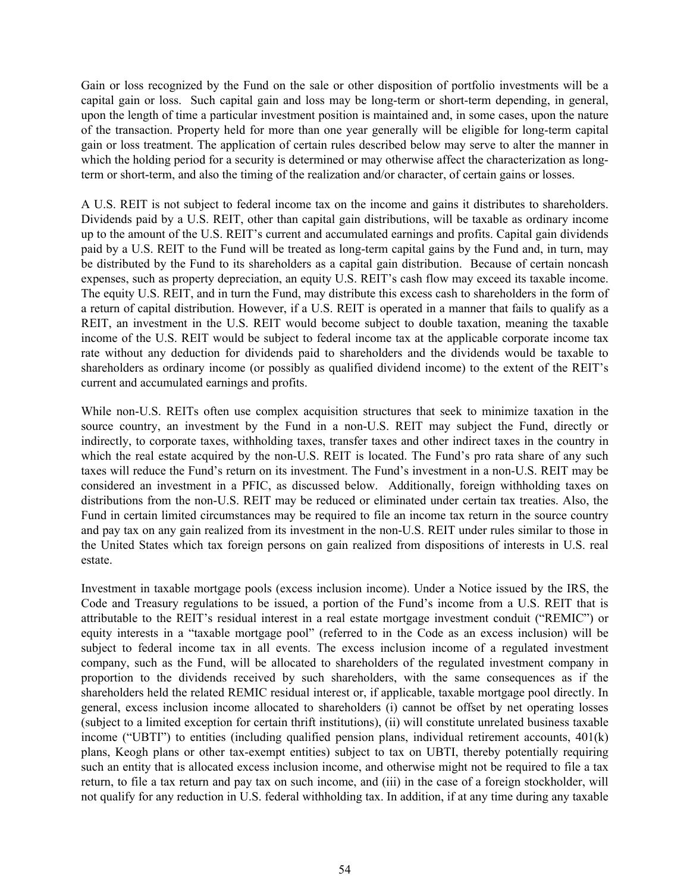Gain or loss recognized by the Fund on the sale or other disposition of portfolio investments will be a capital gain or loss. Such capital gain and loss may be long-term or short-term depending, in general, upon the length of time a particular investment position is maintained and, in some cases, upon the nature of the transaction. Property held for more than one year generally will be eligible for long-term capital gain or loss treatment. The application of certain rules described below may serve to alter the manner in which the holding period for a security is determined or may otherwise affect the characterization as longterm or short-term, and also the timing of the realization and/or character, of certain gains or losses.

A U.S. REIT is not subject to federal income tax on the income and gains it distributes to shareholders. Dividends paid by a U.S. REIT, other than capital gain distributions, will be taxable as ordinary income up to the amount of the U.S. REIT's current and accumulated earnings and profits. Capital gain dividends paid by a U.S. REIT to the Fund will be treated as long-term capital gains by the Fund and, in turn, may be distributed by the Fund to its shareholders as a capital gain distribution. Because of certain noncash expenses, such as property depreciation, an equity U.S. REIT's cash flow may exceed its taxable income. The equity U.S. REIT, and in turn the Fund, may distribute this excess cash to shareholders in the form of a return of capital distribution. However, if a U.S. REIT is operated in a manner that fails to qualify as a REIT, an investment in the U.S. REIT would become subject to double taxation, meaning the taxable income of the U.S. REIT would be subject to federal income tax at the applicable corporate income tax rate without any deduction for dividends paid to shareholders and the dividends would be taxable to shareholders as ordinary income (or possibly as qualified dividend income) to the extent of the REIT's current and accumulated earnings and profits.

While non-U.S. REITs often use complex acquisition structures that seek to minimize taxation in the source country, an investment by the Fund in a non-U.S. REIT may subject the Fund, directly or indirectly, to corporate taxes, withholding taxes, transfer taxes and other indirect taxes in the country in which the real estate acquired by the non-U.S. REIT is located. The Fund's pro rata share of any such taxes will reduce the Fund's return on its investment. The Fund's investment in a non-U.S. REIT may be considered an investment in a PFIC, as discussed below. Additionally, foreign withholding taxes on distributions from the non-U.S. REIT may be reduced or eliminated under certain tax treaties. Also, the Fund in certain limited circumstances may be required to file an income tax return in the source country and pay tax on any gain realized from its investment in the non-U.S. REIT under rules similar to those in the United States which tax foreign persons on gain realized from dispositions of interests in U.S. real estate.

Investment in taxable mortgage pools (excess inclusion income). Under a Notice issued by the IRS, the Code and Treasury regulations to be issued, a portion of the Fund's income from a U.S. REIT that is attributable to the REIT's residual interest in a real estate mortgage investment conduit ("REMIC") or equity interests in a "taxable mortgage pool" (referred to in the Code as an excess inclusion) will be subject to federal income tax in all events. The excess inclusion income of a regulated investment company, such as the Fund, will be allocated to shareholders of the regulated investment company in proportion to the dividends received by such shareholders, with the same consequences as if the shareholders held the related REMIC residual interest or, if applicable, taxable mortgage pool directly. In general, excess inclusion income allocated to shareholders (i) cannot be offset by net operating losses (subject to a limited exception for certain thrift institutions), (ii) will constitute unrelated business taxable income ("UBTI") to entities (including qualified pension plans, individual retirement accounts, 401(k) plans, Keogh plans or other tax-exempt entities) subject to tax on UBTI, thereby potentially requiring such an entity that is allocated excess inclusion income, and otherwise might not be required to file a tax return, to file a tax return and pay tax on such income, and (iii) in the case of a foreign stockholder, will not qualify for any reduction in U.S. federal withholding tax. In addition, if at any time during any taxable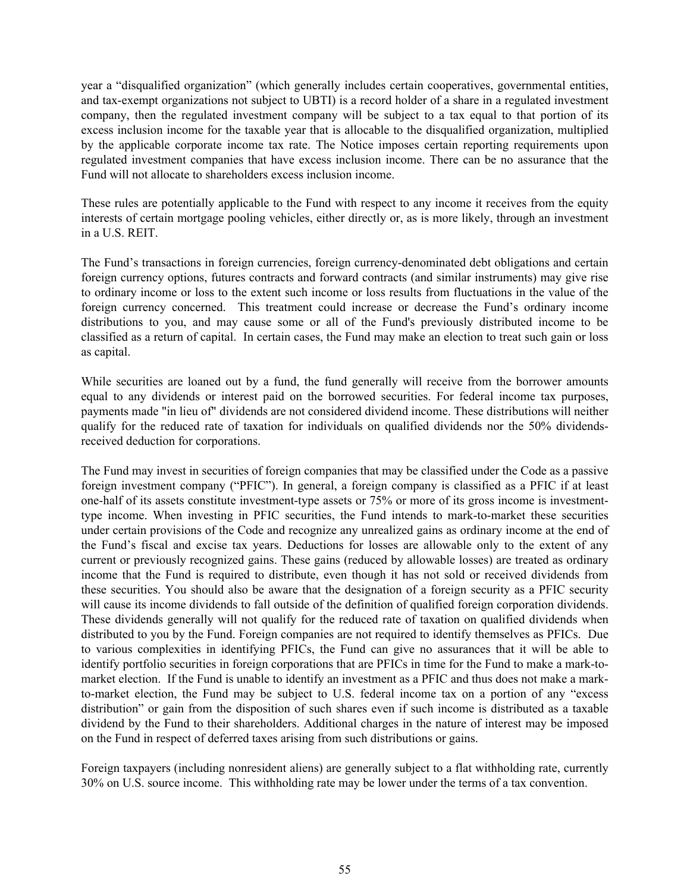year a "disqualified organization" (which generally includes certain cooperatives, governmental entities, and tax-exempt organizations not subject to UBTI) is a record holder of a share in a regulated investment company, then the regulated investment company will be subject to a tax equal to that portion of its excess inclusion income for the taxable year that is allocable to the disqualified organization, multiplied by the applicable corporate income tax rate. The Notice imposes certain reporting requirements upon regulated investment companies that have excess inclusion income. There can be no assurance that the Fund will not allocate to shareholders excess inclusion income.

These rules are potentially applicable to the Fund with respect to any income it receives from the equity interests of certain mortgage pooling vehicles, either directly or, as is more likely, through an investment in a U.S. REIT.

The Fund's transactions in foreign currencies, foreign currency-denominated debt obligations and certain foreign currency options, futures contracts and forward contracts (and similar instruments) may give rise to ordinary income or loss to the extent such income or loss results from fluctuations in the value of the foreign currency concerned. This treatment could increase or decrease the Fund's ordinary income distributions to you, and may cause some or all of the Fund's previously distributed income to be classified as a return of capital. In certain cases, the Fund may make an election to treat such gain or loss as capital.

While securities are loaned out by a fund, the fund generally will receive from the borrower amounts equal to any dividends or interest paid on the borrowed securities. For federal income tax purposes, payments made "in lieu of" dividends are not considered dividend income. These distributions will neither qualify for the reduced rate of taxation for individuals on qualified dividends nor the 50% dividendsreceived deduction for corporations.

The Fund may invest in securities of foreign companies that may be classified under the Code as a passive foreign investment company ("PFIC"). In general, a foreign company is classified as a PFIC if at least one-half of its assets constitute investment-type assets or 75% or more of its gross income is investmenttype income. When investing in PFIC securities, the Fund intends to mark-to-market these securities under certain provisions of the Code and recognize any unrealized gains as ordinary income at the end of the Fund's fiscal and excise tax years. Deductions for losses are allowable only to the extent of any current or previously recognized gains. These gains (reduced by allowable losses) are treated as ordinary income that the Fund is required to distribute, even though it has not sold or received dividends from these securities. You should also be aware that the designation of a foreign security as a PFIC security will cause its income dividends to fall outside of the definition of qualified foreign corporation dividends. These dividends generally will not qualify for the reduced rate of taxation on qualified dividends when distributed to you by the Fund. Foreign companies are not required to identify themselves as PFICs. Due to various complexities in identifying PFICs, the Fund can give no assurances that it will be able to identify portfolio securities in foreign corporations that are PFICs in time for the Fund to make a mark-tomarket election. If the Fund is unable to identify an investment as a PFIC and thus does not make a markto-market election, the Fund may be subject to U.S. federal income tax on a portion of any "excess distribution" or gain from the disposition of such shares even if such income is distributed as a taxable dividend by the Fund to their shareholders. Additional charges in the nature of interest may be imposed on the Fund in respect of deferred taxes arising from such distributions or gains.

Foreign taxpayers (including nonresident aliens) are generally subject to a flat withholding rate, currently 30% on U.S. source income. This withholding rate may be lower under the terms of a tax convention.